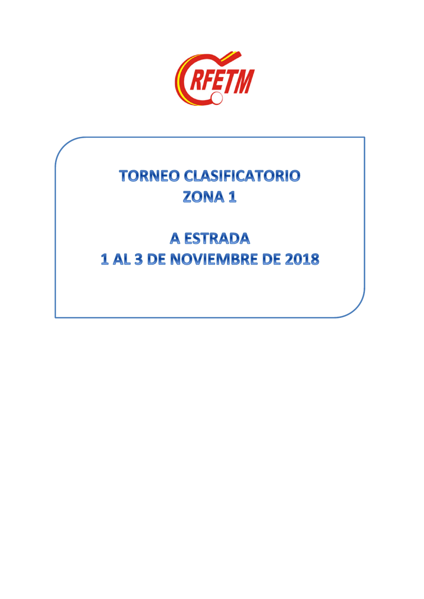

# **TORNEO CLASIFICATORIO** ZONA<sub>1</sub>

# **A ESTRADA** 1 AL 3 DE NOVIEMBRE DE 2018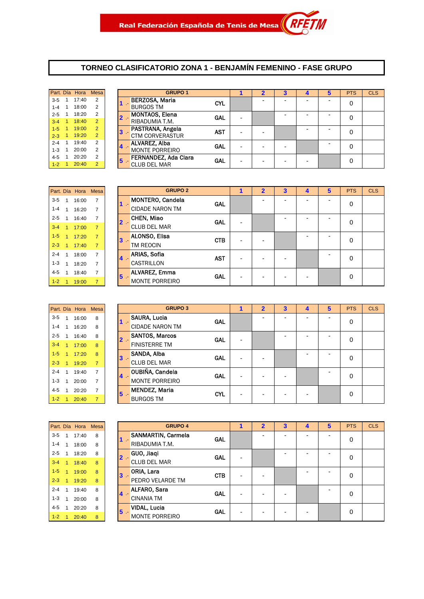#### **TORNEO CLASIFICATORIO ZONA 1 - BENJAMÍN FEMENINO - FASE GRUPO**

**GRUPO 2**

|         |                | Part. Día Hora Mesa |                |   |                        |
|---------|----------------|---------------------|----------------|---|------------------------|
| $3-5$   | $\mathbf{1}$   | 17:40               | 2              |   | <b>BERZOSA, N</b>      |
| $1 - 4$ | $\mathbf{1}$   | 18:00               | $\overline{2}$ |   | <b>BURGOS TM</b>       |
| $2 - 5$ | 1              | 18:20               | $\overline{2}$ | 2 | <b>MONTAOS, I</b>      |
| $3 - 4$ | $\overline{1}$ | 18:40               | $\overline{2}$ |   | RIBADUMIA <sup>®</sup> |
| $1 - 5$ | 1              | 19:00               | $\overline{2}$ |   | PASTRANA.              |
| $2 - 3$ | $\overline{1}$ | 19:20               | $\overline{2}$ |   | <b>CTM CORVE</b>       |
| $2 - 4$ | 1              | 19:40               | $\overline{2}$ |   | <b>ALVAREZ, AI</b>     |
| $1 - 3$ | 1              | 20:00               | 2              |   | <b>MONTE POR</b>       |
| $4 - 5$ | $\mathbf{1}$   | 20:20               | 2              |   | <b>FERNANDEZ</b>       |
| $1 - 2$ |                | 20:40               | $\overline{2}$ | 5 | CLUB DEL M             |

|           |                | Part. Día Hora | Mesa           |                | <b>GRUPO 1</b>              |            |   | $\overline{2}$ | 3 |   | 5 | <b>PTS</b> | <b>CLS</b> |
|-----------|----------------|----------------|----------------|----------------|-----------------------------|------------|---|----------------|---|---|---|------------|------------|
| $3 - 5$   | $\overline{1}$ | 17:40          | 2              |                | <b>BERZOSA, Maria</b>       | <b>CYL</b> |   | -              |   | - | - | 0          |            |
| $1 - 4$   |                | 18:00          | 2              |                | <b>BURGOS TM</b>            |            |   |                |   |   |   |            |            |
| $2 - 5$   | -1             | 18:20          | 2              |                | <b>MONTAOS, Elena</b>       | <b>GAL</b> | ۰ |                |   |   |   | 0          |            |
| $3 - 4$   |                | 18:40          | $\overline{2}$ |                | RIBADUMIA T.M.              |            |   |                |   |   |   |            |            |
| $1 - 5$   |                | 19:00          | $\overline{2}$ | $\mathbf{3}$   | PASTRANA, Angela            | <b>AST</b> |   |                |   |   |   | 0          |            |
| $2 - 3$   | $\overline{1}$ | 19:20          | $\overline{2}$ |                | <b>CTM CORVERASTUR</b>      |            |   |                |   |   |   |            |            |
| $2 - 4$   |                | 19:40          | 2              |                | <b>ALVAREZ, Alba</b>        | <b>GAL</b> |   |                |   |   |   | 0          |            |
| $1 - 3$   |                | 20:00          | 2              | $\overline{4}$ | <b>MONTE PORREIRO</b>       |            | ۰ | -              |   |   |   |            |            |
| $4 - 5$   |                | 20:20          | $\overline{2}$ | 5              | <b>FERNANDEZ, Ada Clara</b> | <b>GAL</b> | ۰ |                |   |   |   | 0          |            |
| $1 - 2$ 1 |                | 20:40          | $\overline{2}$ |                | <b>CLUB DEL MAR</b>         |            |   | -              | ۰ |   |   |            |            |
|           |                |                |                |                |                             |            |   |                |   |   |   |            |            |

|         |                | Part. Día Hora Mesa |   |                 | <b>GRUPO 2</b>          |            | 1 | $\overline{2}$ | 3 | 4 | 5 | <b>PTS</b> | <b>CLS</b> |
|---------|----------------|---------------------|---|-----------------|-------------------------|------------|---|----------------|---|---|---|------------|------------|
| $3 - 5$ |                | 16:00               | 7 |                 | <b>MONTERO, Candela</b> | GAL        |   |                |   |   |   | 0          |            |
| 1-4     |                | 16:20               | 7 |                 | <b>CIDADE NARON TM</b>  |            |   |                |   |   |   |            |            |
| $2 - 5$ | $\overline{1}$ | 16:40               |   | $2 -$           | <b>CHEN, Miao</b>       | <b>GAL</b> |   |                |   |   |   | 0          |            |
| $3 - 4$ |                | 17:00               |   |                 | <b>CLUB DEL MAR</b>     |            |   |                |   |   |   |            |            |
| $1 - 5$ | $\overline{A}$ | 17:20               |   | 3               | <b>ALONSO, Elisa</b>    | <b>CTB</b> |   |                |   |   |   | 0          |            |
| $2 - 3$ |                | 17:40               |   |                 | <b>TM REOCIN</b>        |            |   |                |   |   |   |            |            |
| $2 - 4$ |                | 18:00               | 7 | $4 -$           | <b>ARIAS, Sofia</b>     | <b>AST</b> |   |                |   |   |   | 0          |            |
| $1 - 3$ |                | 18:20               |   |                 | <b>CASTRILLON</b>       |            |   |                |   |   |   |            |            |
| $4 - 5$ |                | 18:40               |   | $5\phantom{.0}$ | <b>ALVAREZ, Emma</b>    | GAL        |   |                |   |   |   | $\Omega$   |            |
| $1-2$   |                | 19:00               |   |                 | <b>MONTE PORREIRO</b>   |            |   |                |   |   |   |            |            |

| GF                   |        |                | Part. Día Hora Mesa |                |             |
|----------------------|--------|----------------|---------------------|----------------|-------------|
| SAURA, Lucia         |        | 8              | 16:00               | $\mathbf{1}$   | $3-5$       |
| <b>CIDADE NARON</b>  |        | 8              | 16:20               |                | $1 - 4 = 1$ |
| <b>SANTOS, Marco</b> | 2      | 8              | 16:40               | $\overline{1}$ | $2 - 5$     |
| <b>FINISTERRE TM</b> |        | 8              | 17:00               | $\clubsuit$    | $3 - 4$     |
| SANDA, Alba          | 3      | 8              | 17:20               | $\overline{1}$ | $1 - 5$     |
| <b>CLUB DEL MAR</b>  |        | $\overline{7}$ | 19:20               | $\overline{1}$ | $2 - 3$     |
| <b>OUBIÑA, Cande</b> |        | $\overline{7}$ | 19:40               | 1              | $2 - 4$     |
| <b>MONTE PORREI</b>  | Δ<br>5 | $\overline{7}$ | 20:00               | 1              | $1 - 3$     |
| <b>MENDEZ, Maria</b> |        | $\overline{7}$ | 20:20               | $\mathbf{1}$   | $4 - 5$     |
| <b>BURGOS TM</b>     |        |                | 20:40               |                | $1 - 2$     |

| 3-5     |                      | 16:00 | $\overline{7}$ |                | <b>MONTERO, Candela</b> | <b>GAL</b> |                          |   | ۰ | ۰ | - | 0        |  |
|---------|----------------------|-------|----------------|----------------|-------------------------|------------|--------------------------|---|---|---|---|----------|--|
| $1 - 4$ |                      | 16:20 | 7              | - 1            | <b>CIDADE NARON TM</b>  |            |                          |   |   |   |   |          |  |
| 2-5     | $\mathbf{1}$         | 16:40 | 7              | $\overline{2}$ | CHEN, Miao              | <b>GAL</b> | $\overline{\phantom{a}}$ |   |   |   |   | 0        |  |
| $3 - 4$ | $\overline{4}$       | 17:00 | $\overline{7}$ |                | <b>CLUB DEL MAR</b>     |            |                          |   |   |   |   |          |  |
| $1-5$   | $\overline{A}$       | 17:20 | $\overline{7}$ | $\mathbf{3}$   | ALONSO, Elisa           | <b>CTB</b> | $\overline{\phantom{a}}$ |   |   |   |   | 0        |  |
| $2 - 3$ | -1                   | 17:40 | 7              |                | TM REOCIN               |            |                          |   |   |   |   |          |  |
| 2-4     |                      | 18:00 | 7              | $4 -$          | <b>ARIAS, Sofia</b>     | <b>AST</b> | $\overline{\phantom{0}}$ |   | - |   | - | 0        |  |
| 1-3     |                      | 18:20 | $\overline{7}$ |                | CASTRILLON              |            |                          |   |   |   |   |          |  |
| 4-5     |                      | 18:40 | 7              | $5\phantom{1}$ | ALVAREZ, Emma           | <b>GAL</b> | ٠                        | - | - | - |   | $\Omega$ |  |
| $1-2$   | $\blacktriangleleft$ | 19:00 | $\overline{7}$ |                | <b>MONTE PORREIRO</b>   |            |                          |   |   |   |   |          |  |
|         |                      |       |                |                |                         |            |                          |   |   |   |   |          |  |

|         |                      | Part. Día Hora | Mesa           |                                                | <b>GRUPO 3</b>               |            | 1                        | $\overline{2}$ | 3 | 4 | 5                        | <b>PTS</b> | <b>CLS</b> |
|---------|----------------------|----------------|----------------|------------------------------------------------|------------------------------|------------|--------------------------|----------------|---|---|--------------------------|------------|------------|
| $3 - 5$ | 1                    | 16:00          | 8              |                                                | SAURA, Lucia<br><b>GAL</b>   |            |                          |                |   | - | $\overline{\phantom{0}}$ | 0          |            |
| $1 - 4$ |                      | 16:20          | 8              |                                                | <b>CIDADE NARON TM</b>       |            |                          |                |   |   |                          |            |            |
| $2 - 5$ |                      | 16:40          | 8              | $2 -$                                          | <b>SANTOS, Marcos</b><br>GAL |            | $\overline{\phantom{a}}$ |                |   | ۰ | $\overline{\phantom{0}}$ | 0          |            |
| $3 - 4$ | $\blacktriangleleft$ | 17:00          | 8              |                                                | <b>FINISTERRE TM</b>         |            |                          |                |   |   |                          |            |            |
| $1-5$   | $\blacktriangleleft$ | 17:20          | 8              | $\overline{\mathbf{3}}$<br>$\mathcal{L}^{\pm}$ | SANDA, Alba<br>GAL           |            | $\overline{\phantom{a}}$ |                |   | - | $\overline{\phantom{0}}$ | $\Omega$   |            |
| $2 - 3$ | -1                   | 19:20          | $\overline{7}$ |                                                | <b>CLUB DEL MAR</b>          |            |                          |                |   |   |                          |            |            |
| $2 - 4$ |                      | 19:40          | $\overline{7}$ | $4 -$                                          | OUBIÑA, Candela<br>GAL       |            | $\overline{\phantom{a}}$ | -              |   |   | $\overline{\phantom{0}}$ | 0          |            |
| $1 - 3$ |                      | 20:00          | 7              |                                                | <b>MONTE PORREIRO</b>        |            |                          |                |   |   |                          |            |            |
| $4 - 5$ |                      | 20:20          | 7              | $5\phantom{a}$                                 | <b>MENDEZ, Maria</b>         |            |                          |                |   |   |                          | $\Omega$   |            |
| $1 - 2$ | 1                    | 20:40          | 7              |                                                | <b>BURGOS TM</b>             | <b>CYL</b> | $\overline{\phantom{a}}$ | -              | - | - |                          |            |            |

| GI                  |   | <b>Mesa</b> | Part. Día Hora |                |         |
|---------------------|---|-------------|----------------|----------------|---------|
| SANMARTIN, C        |   | 8           | 17:40          | 1              | $3 - 5$ |
| RIBADUMIA T.N       |   | 8           | 18:00          | 1              | $1 - 4$ |
| GUO, Jiagi          |   | 8           | 18:20          | 1              | $2 - 5$ |
| <b>CLUB DEL MAR</b> |   | 8           | 18:40          | 1              | $3 - 4$ |
| ORIA, Lara          | 3 | 8           | 19:00          | $\overline{1}$ | $1 - 5$ |
| PEDRO VELARD        |   | 8           | 19:20          | 1              | $2 - 3$ |
| <b>ALFARO, Sara</b> | 4 | 8           | 19:40          | 1              | $2 - 4$ |
| <b>CINANIA TM</b>   |   | 8           | 20:00          | 1              | $1 - 3$ |
| <b>VIDAL, Lucia</b> | 5 | 8           | 20:20          | 1              | $4 - 5$ |
| <b>MONTE PORRE</b>  |   | 8           | 20:40          |                | $1 - 2$ |

|         |    | Part. Día Hora | Mesa |                        | <b>GRUPO 4</b>        |            |   |   | 3                        |   | 5 | <b>PTS</b> | <b>CLS</b> |
|---------|----|----------------|------|------------------------|-----------------------|------------|---|---|--------------------------|---|---|------------|------------|
| $3 - 5$ |    | 17:40          | 8    |                        | SANMARTIN, Carmela    | <b>GAL</b> |   | - |                          |   |   | 0          |            |
| $1 - 4$ |    | 18:00          | 8    | 1<br>in 1999.          | RIBADUMIA T.M.        |            |   |   |                          |   |   |            |            |
| $2 - 5$ | 1  | 18:20          | 8    | $2 -$                  | GUO, Jiaqi            | <b>GAL</b> |   |   |                          |   | ۰ | 0          |            |
| $3 - 4$ | 1  | 18:40          | 8    |                        | <b>CLUB DEL MAR</b>   |            | ۰ |   |                          |   |   |            |            |
| $1 - 5$ | -1 | 19:00          | 8    | $\mathbf{3}$<br>$\sim$ | <b>ORIA, Lara</b>     | <b>CTB</b> | ٠ |   |                          |   | - | 0          |            |
| $2 - 3$ | -1 | 19:20          | 8    |                        | PEDRO VELARDE TM      |            |   |   |                          |   |   |            |            |
| $2 - 4$ | 1  | 19:40          | 8    | $\blacktriangleleft$   | ALFARO, Sara          | GAL        |   | - | -                        |   |   | 0          |            |
| $1 - 3$ |    | 20:00          | 8    |                        | <b>CINANIA TM</b>     |            | ۰ |   |                          |   |   |            |            |
| $4 - 5$ |    | 20:20          | 8    | $5\phantom{1}$         | <b>VIDAL, Lucia</b>   | <b>GAL</b> |   |   |                          | - |   | 0          |            |
| $1-2$   |    | 20:40          | 8    |                        | <b>MONTE PORREIRO</b> |            | ۰ | - | $\overline{\phantom{a}}$ |   |   |            |            |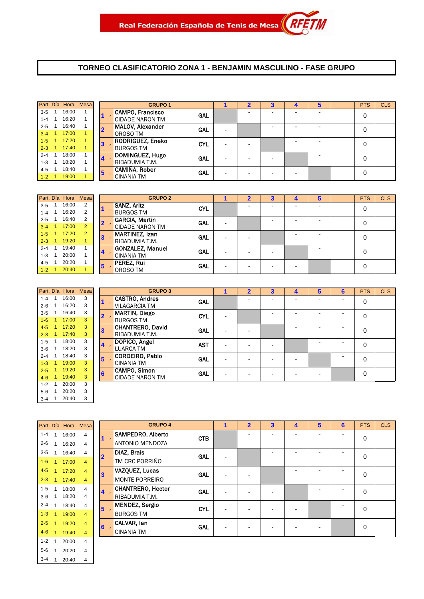#### **TORNEO CLASIFICATORIO ZONA 1 - BENJAMIN MASCULINO - FASE GRUPO**

|                      | Part. Día Hora Mesa |  |    | <b>GRUPO 1</b>                                    |            |   |  |  | <b>PTS</b> | <b>CLS</b> |
|----------------------|---------------------|--|----|---------------------------------------------------|------------|---|--|--|------------|------------|
| $3 - 5$<br>$1 - 4$   | 16:00<br>16:20      |  |    | <b>CAMPO, Francisco</b><br><b>CIDADE NARON TM</b> | GAL        |   |  |  | 0          |            |
| $2 - 5$ 1<br>$3-4$ 1 | 16:40<br>17:00      |  |    | <b>MALOV, Alexander</b><br>OROSO TM               | <b>GAL</b> | - |  |  | 0          |            |
| $1 - 5$<br>$2 - 3$ 1 | 17:20<br>17:40      |  | 3  | <b>RODRIGUEZ, Eneko</b><br><b>BURGOS TM</b>       | <b>CYL</b> | - |  |  | 0          |            |
| $2 - 4$ 1<br>$1 - 3$ | 18:00<br>18:20      |  | 14 | DOMINGUEZ, Hugo<br>RIBADUMIA T.M.                 | <b>GAL</b> |   |  |  | $\Omega$   |            |
| 4-5<br>$1 - 2$ 1     | 18:40<br>19:00      |  | 5  | CAMIÑA, Rober<br><b>CINANIA TM</b>                | <b>GAL</b> |   |  |  | 0          |            |

|         | Part. Día Hora | <b>Mesa</b>    |       | <b>GRUPO 2</b>          |            |   |  | 5 | <b>PTS</b> | <b>CLS</b> |
|---------|----------------|----------------|-------|-------------------------|------------|---|--|---|------------|------------|
| $3 - 5$ | 16:00          | 2              |       | <b>SANZ, Aritz</b>      | <b>CYL</b> |   |  |   | 0          |            |
| $1 - 4$ | 16:20          | 2              |       | <b>BURGOS TM</b>        |            |   |  |   |            |            |
| $2 - 5$ | 16:40          | 2              | $2 -$ | <b>GARCIA, Martin</b>   | <b>GAL</b> |   |  |   | 0          |            |
| $3 - 4$ | 17:00          | $\overline{2}$ |       | <b>CIDADE NARON TM</b>  |            |   |  |   |            |            |
| $1 - 5$ | 17:20          | $\overline{2}$ | 3     | <b>MARTINEZ, Izan</b>   | GAL        |   |  | - | 0          |            |
| $2 - 3$ | 19:20          |                |       | RIBADUMIA T.M.          |            | - |  |   |            |            |
| $2 - 4$ | 19:40          |                |       | <b>GONZALEZ, Manuel</b> | GAL        |   |  |   | 0          |            |
| $1 - 3$ | 20:00          |                | 4     | <b>CINANIA TM</b>       |            |   |  |   |            |            |
| 4-5     | 20:20          |                | 5     | PEREZ, Rui              | <b>GAL</b> |   |  |   | 0          |            |
| $1 - 2$ | 20:40          |                |       | OROSO TM                |            |   |  |   |            |            |

| Part. Día |   | Hora  | <b>Mesa</b> |   | <b>GRI</b>            |
|-----------|---|-------|-------------|---|-----------------------|
| $1 - 4$   | 1 | 16:00 | 3           |   | <b>CASTRO, Andres</b> |
| $2 - 6$   | 1 | 16:20 | 3           |   | VILAGARCIA TM         |
| $3 - 5$   | 1 | 16:40 | 3           | 2 | <b>MARTIN, Diego</b>  |
| $1 - 6$   | 1 | 17:00 | 3           |   | <b>BURGOS TM</b>      |
| $4 - 5$   | 1 | 17:20 | 3           | 3 | <b>CHANTRERO, Da</b>  |
| $2 - 3$   | 1 | 17:40 | 3           |   | RIBADUMIA T.M.        |
| $1 - 5$   | 1 | 18:00 | 3           |   | DOPICO, Angel         |
| $3-6$     | 1 | 18:20 | 3           |   | <b>LUARCA TM</b>      |
| $2 - 4$   | 1 | 18:40 | 3           | 5 | <b>CORDEIRO, Pab</b>  |
| $1 - 3$   | 1 | 19:00 | 3           |   | CINANIA TM            |
| $2 - 5$   | 1 | 19:20 | 3           | 6 | <b>CAMPO, Simon</b>   |
| $4 - 6$   | 1 | 19:40 | 3           |   | <b>CIDADE NARON</b>   |
| $1 - 2$   | 1 | 20:00 | 3           |   |                       |
| $5-6$     | 1 | 20:20 | 3           |   |                       |
| $3 - 4$   |   | 20:40 | 3           |   |                       |

|         | Part. Día Hora Mesa |   |                         | <b>GRUPO 3</b>          |            |  | 3 |  | 6 | <b>PTS</b> | <b>CLS</b> |
|---------|---------------------|---|-------------------------|-------------------------|------------|--|---|--|---|------------|------------|
| $1 - 4$ | 16:00               | 3 |                         | <b>CASTRO, Andres</b>   | <b>GAL</b> |  |   |  | - | 0          |            |
| $2 - 6$ | 16:20               | 3 |                         | <b>VILAGARCIA TM</b>    |            |  |   |  |   |            |            |
| $3 - 5$ | 16:40               | 3 |                         | <b>MARTIN, Diego</b>    | <b>CYL</b> |  |   |  |   | 0          |            |
| $1-6$   | 17:00               | 3 |                         | <b>BURGOS TM</b>        |            |  |   |  |   |            |            |
| $4 - 5$ | 17:20               | 3 | 3                       | <b>CHANTRERO, David</b> | <b>GAL</b> |  |   |  |   | 0          |            |
| $2 - 3$ | 17:40               | 3 |                         | RIBADUMIA T.M.          |            |  |   |  |   |            |            |
| $1 - 5$ | 18:00               | 3 | $\overline{\mathbf{4}}$ | DOPICO, Angel           | <b>AST</b> |  |   |  |   | 0          |            |
| $3-6$   | 18:20               | 3 |                         | <b>LUARCA TM</b>        |            |  |   |  |   |            |            |
| $2 - 4$ | 18:40               | 3 | 5                       | CORDEIRO, Pablo         | <b>GAL</b> |  |   |  |   | 0          |            |
| $1-3$   | 19:00               | 3 |                         | <b>CINANIA TM</b>       |            |  |   |  |   |            |            |
| $2 - 5$ | 19:20               | 3 | 6                       | <b>CAMPO, Simon</b>     |            |  |   |  |   | 0          |            |
| $4 - 6$ | 19:40               | 3 |                         | <b>CIDADE NARON TM</b>  | <b>GAL</b> |  |   |  |   |            |            |

| Part. Día |              | Hora  | Mesa                    |   | <b>GRI</b>            |
|-----------|--------------|-------|-------------------------|---|-----------------------|
| $1 - 4$   | 1            | 16:00 | $\overline{4}$          |   | SAMPEDRO, Alb         |
| $2 - 6$   | 1            | 16:20 | 4                       |   | <b>ANTONIO MEND</b>   |
| $3 - 5$   | 1            | 16:40 | 4                       |   | <b>DIAZ, Brais</b>    |
| $1-6$     | 1            | 17:00 | $\overline{4}$          |   | TM CRC PORRIÑ         |
| $4 - 5$   | 1            | 17:20 | $\overline{4}$          | 3 | VAZQUEZ, Lucas        |
| $2 - 3$   | 1            | 17:40 | $\overline{4}$          |   | <b>MONTE PORREIF</b>  |
| $1 - 5$   | 1            | 18:00 | $\overline{\mathbf{4}}$ | 4 | <b>CHANTRERO, He</b>  |
| $3-6$     | 1            | 18:20 | 4                       |   | RIBADUMIA T.M.        |
| $2 - 4$   | $\mathbf{1}$ | 18:40 | 4                       | 5 | <b>MENDEZ, Sergio</b> |
| $1 - 3$   | 1            | 19:00 | $\overline{4}$          |   | <b>BURGOS TM</b>      |
| $2 - 5$   | 1            | 19:20 | $\overline{4}$          | 6 | CALVAR. Ian           |
| $4 - 6$   | 1            | 19:40 | $\overline{4}$          |   | <b>CINANIA TM</b>     |
| $1 - 2$   | 1            | 20:00 | 4                       |   |                       |
| $5 - 6$   | 1            | 20:20 | 4                       |   |                       |
| $3 - 4$   | 1            | 20:40 | 4                       |   |                       |

|         |                      | Part. Día Hora Mesa |                |                | <b>GRUPO 4</b>           |            |   | $\overline{2}$ | $\overline{\mathbf{3}}$ | $\overline{\mathbf{4}}$ | $5\phantom{1}$ | 6 | <b>PTS</b>  | <b>CLS</b> |
|---------|----------------------|---------------------|----------------|----------------|--------------------------|------------|---|----------------|-------------------------|-------------------------|----------------|---|-------------|------------|
| $1 - 4$ |                      | 16:00               | 4              |                | <b>SAMPEDRO, Alberto</b> | <b>CTB</b> |   |                |                         |                         |                |   | 0           |            |
| $2 - 6$ |                      | 16:20               | 4              | - 17           | <b>ANTONIO MENDOZA</b>   |            |   |                |                         |                         |                |   |             |            |
| $3 - 5$ |                      | 16:40               | 4              | $2-$           | DIAZ, Brais              | <b>GAL</b> |   |                |                         |                         |                |   | 0           |            |
| $1 - 6$ | $\blacktriangleleft$ | 17:00               | $\overline{4}$ |                | TM CRC PORRIÑO           |            |   |                |                         |                         |                |   |             |            |
| $4 - 5$ | -1                   | 17:20               | $\overline{4}$ | $3 -$          | <b>VAZQUEZ, Lucas</b>    | <b>GAL</b> | - |                |                         |                         |                |   | $\mathbf 0$ |            |
| $2 - 3$ | 1                    | 17:40               | $\overline{4}$ |                | <b>MONTE PORREIRO</b>    |            |   |                |                         |                         |                |   |             |            |
| $1 - 5$ |                      | 18:00               | $\overline{4}$ | $4 -$          | <b>CHANTRERO, Hector</b> | <b>GAL</b> |   |                |                         |                         |                |   | $\mathbf 0$ |            |
| $3-6$   |                      | 18:20               | $\overline{4}$ |                | RIBADUMIA T.M.           |            |   |                |                         |                         |                |   |             |            |
| $2 - 4$ |                      | 18:40               | $\overline{4}$ | 5 <sup>5</sup> | <b>MENDEZ, Sergio</b>    | <b>CYL</b> | - |                |                         |                         |                |   | $\mathbf 0$ |            |
| $1-3$   |                      | 19:00               | $\overline{4}$ |                | <b>BURGOS TM</b>         |            |   |                |                         |                         |                |   |             |            |
| $2 - 5$ |                      | 19:20               | $\overline{4}$ | $6 -$          | CALVAR, lan              | <b>GAL</b> |   |                |                         |                         |                |   | 0           |            |
| $4 - 6$ |                      | 19:40               | $\overline{4}$ |                | <b>CINANIA TM</b>        |            |   |                |                         |                         |                |   |             |            |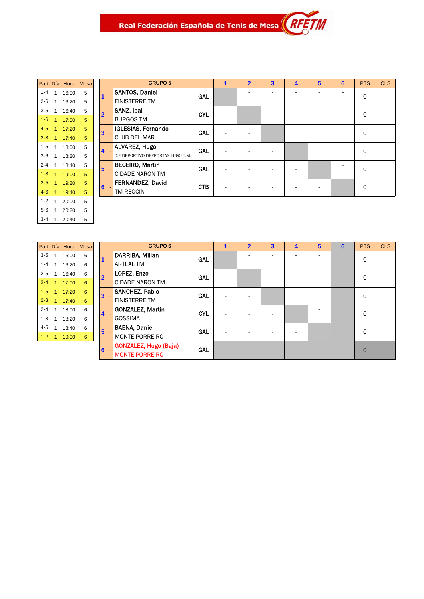|         |   | Part. Día Hora | <b>Mesa</b> |
|---------|---|----------------|-------------|
| $1 - 4$ | 1 | 16:00          | 5           |
| $2 - 6$ | 1 | 16:20          | 5           |
| 3-5     | 1 | 16:40          | 5           |
| $1 - 6$ | 1 | 17:00          | 5           |
| $4 - 5$ | 1 | 17:20          | 5           |
| $2 - 3$ | 1 | 17:40          | 5           |
| $1 - 5$ | 1 | 18:00          | 5           |
| $3-6$   | 1 | 18:20          | 5           |
| $2 - 4$ | 1 | 18:40          | 5           |
| $1 - 3$ | 1 | 19:00          | 5           |
| $2 - 5$ | 1 | 19:20          | 5           |
| $4 - 6$ | 1 | 19:40          | 5           |
| $1 - 2$ | 1 | 20:00          | 5           |
| 5-6     | 1 | 20:20          | 5           |
| 3-4     | 1 | 20:40          | 5           |

|              | <b>GRUPO 5</b>                    |            | $\overline{\mathbf{2}}$ | $\overline{\mathbf{3}}$ | 4 | 5 | 6 | <b>PTS</b> | <b>CLS</b> |
|--------------|-----------------------------------|------------|-------------------------|-------------------------|---|---|---|------------|------------|
|              | <b>SANTOS, Daniel</b>             | GAL        |                         |                         |   |   |   | 0          |            |
|              | <b>FINISTERRE TM</b>              |            |                         |                         |   |   |   |            |            |
|              | SANZ, Ibai                        | <b>CYL</b> |                         |                         |   |   |   | 0          |            |
| $\mathbf{z}$ | <b>BURGOS TM</b>                  |            |                         |                         |   |   |   |            |            |
|              | <b>IGLESIAS, Fernando</b>         | <b>GAL</b> |                         |                         |   |   |   | $\Omega$   |            |
|              | <b>CLUB DEL MAR</b>               |            |                         |                         |   |   |   |            |            |
|              | <b>ALVAREZ, Hugo</b>              | <b>GAL</b> |                         |                         |   |   |   | 0          |            |
|              | C.E DEPORTIVO DEZPORTAS LUGO T.M. |            |                         |                         |   |   |   |            |            |
|              | <b>BECEIRO, Martin</b>            | <b>GAL</b> |                         |                         |   |   |   | 0          |            |
| - 14         | <b>CIDADE NARON TM</b>            |            |                         |                         |   |   |   |            |            |
|              | FERNANDEZ, David                  | <b>CTB</b> |                         |                         |   |   |   | 0          |            |
|              | TM REOCIN                         |            |                         |                         |   |   |   |            |            |

|         |              | Part. Día Hora Mesa |   |
|---------|--------------|---------------------|---|
| $3 - 5$ | $\mathbf{1}$ | 16:00               | 6 |
| $1 - 4$ | 1            | 16:20               | 6 |
| $2 - 5$ | 1            | 16:40               | 6 |
| $3 - 4$ | 1            | 17:00               | 6 |
| $1 - 5$ | 1            | 17:20               | 6 |
| $2 - 3$ | 1            | 17.40               | 6 |
| $2 - 4$ | 1            | 18:00               | 6 |
| $1 - 3$ | 1            | 18:20               | 6 |
| $4 - 5$ | 1            | 18:40               | 6 |
| 1-2     |              | 19:00               | 6 |

|                           | <b>GRUPO 6</b>                             |                          | 2 | 3 | 4 | 5 | 6 | <b>PTS</b>  | <b>CLS</b> |
|---------------------------|--------------------------------------------|--------------------------|---|---|---|---|---|-------------|------------|
| $\mathbf{1}$              | DARRIBA, Millan<br><b>GAL</b>              |                          |   |   |   |   |   | 0           |            |
|                           | <b>ARTEAL TM</b>                           |                          |   |   |   |   |   |             |            |
| $\overline{2}$ .          | LOPEZ, Enzo<br><b>GAL</b>                  |                          |   |   |   |   |   | 0           |            |
|                           | <b>CIDADE NARON TM</b>                     |                          |   |   |   |   |   |             |            |
| $3 -$                     | <b>SANCHEZ, Pablo</b><br><b>GAL</b>        | $\blacksquare$           |   |   |   |   |   | 0           |            |
|                           | <b>FINISTERRE TM</b>                       |                          |   |   |   |   |   |             |            |
| $\overline{\mathbf{4}}$ . | <b>GONZALEZ, Martin</b><br><b>CYL</b>      | $\overline{\phantom{0}}$ | ۰ | ۰ |   |   |   | $\Omega$    |            |
|                           | <b>GOSSIMA</b>                             |                          |   |   |   |   |   |             |            |
| $5 -$                     | <b>BAENA, Daniel</b><br><b>GAL</b>         | ۰                        |   |   |   |   |   | $\Omega$    |            |
|                           | <b>MONTE PORREIRO</b>                      |                          |   |   |   |   |   |             |            |
| $6 -$                     | <b>GONZALEZ, Hugo (Baja)</b><br><b>GAL</b> |                          |   |   |   |   |   | $\mathbf 0$ |            |
|                           | <b>MONTE PORREIRO</b>                      |                          |   |   |   |   |   |             |            |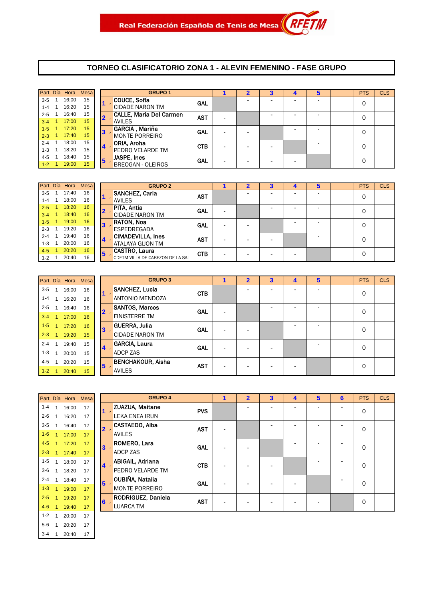#### **TORNEO CLASIFICATORIO ZONA 1 - ALEVIN FEMENINO - FASE GRUPO**

|         | Part. Día Hora | <b>Mesa</b> |                | <b>GRUPO 1</b>                 |            |  | з | b | <b>PTS</b> | <b>CLS</b> |
|---------|----------------|-------------|----------------|--------------------------------|------------|--|---|---|------------|------------|
| $3 - 5$ | 16:00          | 15          |                | COUCE, Sofía                   | <b>GAL</b> |  |   |   | 0          |            |
| $1 - 4$ | 16:20          | 15          |                | <b>CIDADE NARON TM</b>         |            |  |   |   |            |            |
| $2 - 5$ | 16:40          | 15          | $\mathbf{2}$ - | <b>CALLE, Maria Del Carmen</b> | <b>AST</b> |  |   | - | 0          |            |
| $3 - 4$ | 17:00          | 15          |                | <b>AVILES</b>                  |            |  |   |   |            |            |
| $1 - 5$ | 17:20          | 15          | 3              | GARCIA, Mariña                 | <b>GAL</b> |  |   | - | 0          |            |
| $2 - 3$ | 17:40          | 15          |                | <b>MONTE PORREIRO</b>          |            |  |   |   |            |            |
| $2 - 4$ | 18:00          | 15          | 14             | ORIA, Aroha                    | <b>CTB</b> |  |   |   | 0          |            |
| $1 - 3$ | 18:20          | 15          |                | PEDRO VELARDE TM               |            |  |   |   |            |            |
| 4-5     | 18:40          | 15          | 5              | JASPE, Ines                    | <b>GAL</b> |  |   |   | 0          |            |
| $1-2$   | 19:00          | 15          |                | <b>BREOGAN - OLEIROS</b>       |            |  |   |   |            |            |

|         | Part. Día Hora | <b>Mesa</b> |   |       | <b>GRUPO 2</b>                   |            |   | 3                        |   | 5                        | <b>PTS</b> | <b>CLS</b> |
|---------|----------------|-------------|---|-------|----------------------------------|------------|---|--------------------------|---|--------------------------|------------|------------|
| $3 - 5$ | 17:40          | 16          |   |       | <b>SANCHEZ, Carla</b>            | <b>AST</b> |   | -                        | - | -                        | 0          |            |
| $1 - 4$ | 18:00          | 16          |   |       | <b>AVILES</b>                    |            |   |                          |   |                          |            |            |
| $2 - 5$ | 18:20          | 16          |   | $2 -$ | PITA, Antia                      | <b>GAL</b> |   | $\overline{\phantom{a}}$ | - | $\overline{\phantom{0}}$ | 0          |            |
| $3 - 4$ | 18:40          | 16          |   |       | <b>CIDADE NARON TM</b>           |            |   |                          |   |                          |            |            |
| $1-5$   | 19:00          | 16          | 3 |       | <b>RATON, Noa</b>                | GAL        |   |                          |   | -                        | 0          |            |
| $2 - 3$ | 19:20          | 16          |   |       | ESPEDREGADA                      |            |   |                          |   |                          |            |            |
| $2 - 4$ | 19:40          | 16          |   | $4 -$ | <b>CIMADEVILLA, Ines</b>         | <b>AST</b> | - | $\overline{\phantom{a}}$ |   | -                        | 0          |            |
| $1 - 3$ | 20:00          | 16          |   |       | <b>ATALAYA GIJON TM</b>          |            |   |                          |   |                          |            |            |
| $4 - 5$ | 20:20          | 16          |   | $5 -$ | <b>CASTRO, Laura</b>             | <b>CTB</b> |   |                          |   |                          | 0          |            |
| $1 - 2$ | 20:40          | 16          |   |       | CDETM VILLA DE CABEZON DE LA SAL |            | - | $\overline{\phantom{a}}$ | - |                          |            |            |

| GF                   |   |    | Part. Día Hora Mesa |              |         |
|----------------------|---|----|---------------------|--------------|---------|
| <b>SANCHEZ, Luci</b> |   | 16 | 16:00               | 1            | $3 - 5$ |
| <b>ANTONIO MEND</b>  |   | 16 | 16:20               | 1            | $1 - 4$ |
| <b>SANTOS, Marco</b> |   | 16 | 16:40               | 1            | $2 - 5$ |
| <b>FINISTERRE TM</b> |   | 16 | 17:00               | $\mathbf{1}$ | $3 - 4$ |
| GUERRA, Julia        | 3 | 16 | 17:20               | $\mathbf{1}$ | $1 - 5$ |
| <b>CIDADE NARON</b>  |   | 15 | 19:20               | 1            | $2 - 3$ |
| <b>GARCIA, Laura</b> | 4 | 15 | 19:40               | 1            | $2 - 4$ |
| <b>ADCP ZAS</b>      |   | 15 | 20:00               | 1            | $1 - 3$ |
| <b>BENCHAKOUR,</b>   | 5 | 15 | 20:20               | 1            | $4 - 5$ |
| <b>AVILES</b>        |   | 15 | 20:40               | 1            | $1 - 2$ |

|         | Part. Día Hora | <b>Mesa</b> |       | <b>GRUPO 3</b>           |            | 1 | $\overline{2}$           | 3                        | 4 | 5                        | <b>PTS</b> | <b>CLS</b> |
|---------|----------------|-------------|-------|--------------------------|------------|---|--------------------------|--------------------------|---|--------------------------|------------|------------|
| $3 - 5$ | 16:00          | 16          | $1 -$ | <b>SANCHEZ, Lucia</b>    | <b>CTB</b> |   |                          |                          | - | -                        | 0          |            |
| $1 - 4$ | 16:20          | 16          |       | <b>ANTONIO MENDOZA</b>   |            |   |                          |                          |   |                          |            |            |
| $2 - 5$ | 16:40          | 16          | $2 -$ | <b>SANTOS, Marcos</b>    | <b>GAL</b> | - |                          |                          |   | $\overline{\phantom{0}}$ | 0          |            |
| $3 - 4$ | 17:00          | 16          |       | <b>FINISTERRE TM</b>     |            |   |                          |                          |   |                          |            |            |
| $1-5$   | 17:20          | 16          | $3 -$ | <b>GUERRA, Julia</b>     | <b>GAL</b> |   |                          |                          |   | $\overline{\phantom{0}}$ | 0          |            |
| $2 - 3$ | 19:20          | 15          |       | <b>CIDADE NARON TM</b>   |            |   |                          |                          |   |                          |            |            |
| $2 - 4$ | 19:40          | 15          | $4 -$ | <b>GARCIA, Laura</b>     | <b>GAL</b> |   | $\overline{\phantom{a}}$ | -                        |   | -                        | 0          |            |
| $1 - 3$ | 20:00          | 15          |       | ADCP ZAS                 |            |   |                          |                          |   |                          |            |            |
| $4 - 5$ | 20:20          | 15          | $5 -$ | <b>BENCHAKOUR, Aisha</b> | <b>AST</b> |   |                          |                          |   |                          | 0          |            |
| $1 - 2$ | 20:40          | 15          |       | <b>AVILES</b>            |            |   | $\overline{\phantom{a}}$ | $\overline{\phantom{a}}$ | - |                          |            |            |

| Part. Día Hora Mesa<br>$1 - 4$<br>1<br>16:00<br>17<br>$2 - 6$<br>1<br>17<br>16:20<br>3-5<br>$\mathbf{1}$<br>16:40<br>17<br>2<br><b>AVILES</b><br>$1 - 6$<br>1<br>17:00<br>17<br>$4-5$<br>1<br>17<br>17:20<br>3<br>$2 - 3$<br>1<br>17<br>17:40<br>$1 - 5$<br>1<br>18:00<br>17<br>4<br>3-6<br>1<br>17<br>18:20<br>$2 - 4$<br>1<br>18:40<br>17<br>5<br>$1 - 3$<br>1<br>17<br>19:00<br>$2 - 5$<br>1<br>19:20<br>17<br>6<br>$4 - 6$<br>17<br>1<br>19:40<br>$1 - 2$<br>1<br>20:00<br>17<br>$5-6$<br>1<br>17<br>20:20 |                  |  |  |  |
|----------------------------------------------------------------------------------------------------------------------------------------------------------------------------------------------------------------------------------------------------------------------------------------------------------------------------------------------------------------------------------------------------------------------------------------------------------------------------------------------------------------|------------------|--|--|--|
|                                                                                                                                                                                                                                                                                                                                                                                                                                                                                                                |                  |  |  |  |
|                                                                                                                                                                                                                                                                                                                                                                                                                                                                                                                | ZUAZUA, M        |  |  |  |
|                                                                                                                                                                                                                                                                                                                                                                                                                                                                                                                | LEKA ENEA        |  |  |  |
|                                                                                                                                                                                                                                                                                                                                                                                                                                                                                                                | <b>CASTAEDO.</b> |  |  |  |
|                                                                                                                                                                                                                                                                                                                                                                                                                                                                                                                |                  |  |  |  |
|                                                                                                                                                                                                                                                                                                                                                                                                                                                                                                                | ROMERO, L        |  |  |  |
|                                                                                                                                                                                                                                                                                                                                                                                                                                                                                                                | ADCP ZAS         |  |  |  |
|                                                                                                                                                                                                                                                                                                                                                                                                                                                                                                                | ABIGAIL. Ac      |  |  |  |
|                                                                                                                                                                                                                                                                                                                                                                                                                                                                                                                | PEDRO VEL        |  |  |  |
|                                                                                                                                                                                                                                                                                                                                                                                                                                                                                                                | OUBIÑA, Na       |  |  |  |
|                                                                                                                                                                                                                                                                                                                                                                                                                                                                                                                | <b>MONTE POR</b> |  |  |  |
|                                                                                                                                                                                                                                                                                                                                                                                                                                                                                                                | RODRIGUE.        |  |  |  |
|                                                                                                                                                                                                                                                                                                                                                                                                                                                                                                                | <b>LUARCA TM</b> |  |  |  |
|                                                                                                                                                                                                                                                                                                                                                                                                                                                                                                                |                  |  |  |  |
|                                                                                                                                                                                                                                                                                                                                                                                                                                                                                                                |                  |  |  |  |
| 3-4<br>20:40<br>17<br>1                                                                                                                                                                                                                                                                                                                                                                                                                                                                                        |                  |  |  |  |

|         | Part. Día Hora | Mesa |       | <b>GRUPO 4</b>        |            | 1 | $\overline{2}$ | 3 | 4 | 5 | 6 | <b>PTS</b> | <b>CLS</b> |
|---------|----------------|------|-------|-----------------------|------------|---|----------------|---|---|---|---|------------|------------|
| $1 - 4$ | 16:00          | 17   | - 10  | ZUAZUA, Maitane       | <b>PVS</b> |   |                |   | ۰ |   | ۰ | 0          |            |
| $2 - 6$ | 16:20          | 17   |       | <b>LEKA ENEA IRUN</b> |            |   |                |   |   |   |   |            |            |
| $3-5$   | 16:40          | 17   | $2 -$ | CASTAEDO, Alba        | <b>AST</b> |   |                |   |   |   |   | 0          |            |
| $1 - 6$ | 17:00          | 17   |       | <b>AVILES</b>         |            |   |                |   |   |   |   |            |            |
| $4 - 5$ | 17:20          | 17   | $3 -$ | ROMERO, Lara          | <b>GAL</b> |   |                |   |   |   | - | 0          |            |
| $2 - 3$ | 17:40          | 17   |       | <b>ADCP ZAS</b>       |            |   |                |   |   |   |   |            |            |
| $1 - 5$ | 18:00          | 17   | $4 -$ | ABIGAIL, Adriana      | <b>CTB</b> |   |                |   |   | ٠ | ٠ | 0          |            |
| $3-6$   | 18:20          | 17   |       | PEDRO VELARDE TM      |            |   |                |   |   |   |   |            |            |
| $2 - 4$ | 18:40          | 17   | $5 -$ | OUBIÑA, Natalia       | <b>GAL</b> |   |                |   |   |   |   | 0          |            |
| $1-3$   | 19:00          | 17   |       | <b>MONTE PORREIRO</b> |            |   |                |   |   |   |   |            |            |
| $2 - 5$ | 19:20          | 17   | $6 -$ | RODRIGUEZ, Daniela    | <b>AST</b> |   |                |   | - |   |   | 0          |            |
| $4 - 6$ | 19:40          | 17   |       | <b>LUARCA TM</b>      |            |   |                |   |   |   |   |            |            |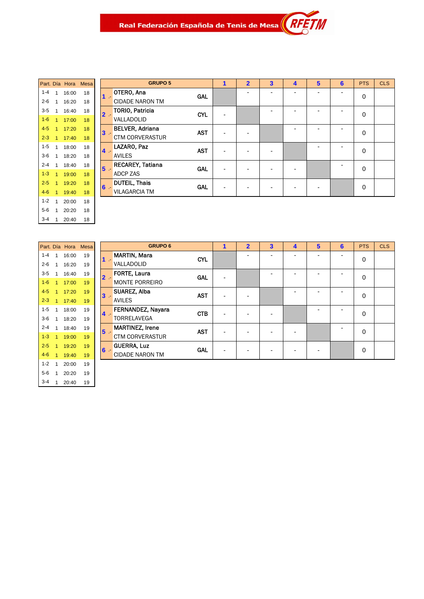|         |   | Part. Día Hora | Mesa |
|---------|---|----------------|------|
| $1 - 4$ | 1 | 16:00          | 18   |
| 2-6     | 1 | 16:20          | 18   |
| $3 - 5$ | 1 | 16:40          | 18   |
| $1 - 6$ | 1 | 17:00          | 18   |
| $4 - 5$ | 1 | 17:20          | 18   |
| $2 - 3$ | 1 | 17:40          | 18   |
| $1 - 5$ | 1 | 18:00          | 18   |
| $3-6$   | 1 | 18:20          | 18   |
| $2 - 4$ | 1 | 18:40          | 18   |
| $1 - 3$ | 1 | 19:00          | 18   |
| $2 - 5$ | 1 | 19:20          | 18   |
| $4 - 6$ | 1 | 19:40          | 18   |
| $1 - 2$ | 1 | 20:00          | 18   |
| 5-6     | 1 | 20:20          | 18   |
| $3-4$   | 1 | 20:40          | 18   |

|       | <b>GRUPO 5</b>                                                 | 1 | $\overline{2}$ | $\overline{\mathbf{3}}$ | 4 | 5 | 6 | <b>PTS</b>  | <b>CLS</b> |
|-------|----------------------------------------------------------------|---|----------------|-------------------------|---|---|---|-------------|------------|
| $1 -$ | OTERO, Ana<br><b>GAL</b><br><b>CIDADE NARON TM</b>             |   |                | -                       | - | ۰ | ۰ | 0           |            |
| $2 -$ | TORIO, Patricia<br><b>CYL</b><br>VALLADOLID                    |   |                |                         |   |   |   | $\mathbf 0$ |            |
| $3 -$ | <b>BELVER, Adriana</b><br><b>AST</b><br><b>CTM CORVERASTUR</b> |   |                |                         |   |   |   | $\Omega$    |            |
| $4 -$ | LAZARO, Paz<br><b>AST</b><br><b>AVILES</b>                     |   |                |                         |   |   |   | $\mathbf 0$ |            |
| $5 -$ | <b>RECAREY, Tatiana</b><br><b>GAL</b><br><b>ADCP ZAS</b>       |   |                |                         |   |   |   | $\mathbf 0$ |            |
| $6 -$ | <b>DUTEIL, Thais</b><br><b>GAL</b><br><b>VILAGARCIA TM</b>     |   |                |                         |   |   |   | 0           |            |

 $\overline{\mathcal{U}}$ 

|         |   | Part. Día Hora | <b>Mesa</b> |
|---------|---|----------------|-------------|
| $1 - 4$ | 1 | 16:00          | 19          |
| $2 - 6$ | 1 | 16:20          | 19          |
| $3 - 5$ | 1 | 16:40          | 19          |
| $1 - 6$ | 1 | 17:00          | 19          |
| $4 - 5$ | 1 | 17:20          | 19          |
| $2 - 3$ | 1 | 17:40          | 19          |
| $1 - 5$ | 1 | 18:00          | 19          |
| $3-6$   | 1 | 18:20          | 19          |
| $2 - 4$ | 1 | 18.40          | 19          |
| $1 - 3$ | 1 | 19:00          | 19          |
| $2 - 5$ | 1 | 19:20          | 19          |
| $4 - 6$ | 1 | 19:40          | 19          |
| $1 - 2$ | 1 | 20:00          | 19          |
| $5-6$   | 1 | 20:20          | 19          |
| $3-4$   | 1 | 20:40          | 19          |

|                         | <b>GRUPO 6</b>                       | $\overline{\mathbf{c}}$ | $\overline{\mathbf{3}}$ | 4 | 5 | 6 | <b>PTS</b>  | <b>CLS</b> |
|-------------------------|--------------------------------------|-------------------------|-------------------------|---|---|---|-------------|------------|
| $1 -$                   | <b>MARTIN, Mara</b><br><b>CYL</b>    |                         |                         |   |   |   | $\mathbf 0$ |            |
|                         | VALLADOLID                           |                         |                         |   |   |   |             |            |
| $\overline{2}$          | <b>FORTE, Laura</b><br><b>GAL</b>    |                         |                         |   |   |   | 0           |            |
|                         | <b>MONTE PORREIRO</b>                |                         |                         |   |   |   |             |            |
| $\overline{\mathbf{3}}$ | <b>SUAREZ, Alba</b><br><b>AST</b>    |                         |                         |   |   |   | $\mathbf 0$ |            |
|                         | <b>AVILES</b>                        |                         |                         |   |   |   |             |            |
| $\overline{\mathbf{4}}$ | FERNANDEZ, Nayara<br><b>CTB</b>      |                         |                         |   |   |   | 0           |            |
|                         | <b>TORRELAVEGA</b>                   |                         |                         |   |   |   |             |            |
| $5 -$                   | <b>MARTINEZ, Irene</b><br><b>AST</b> |                         |                         |   |   |   | $\mathbf 0$ |            |
|                         | <b>CTM CORVERASTUR</b>               |                         |                         |   |   |   |             |            |
| $6 -$                   | <b>GUERRA, Luz</b><br><b>GAL</b>     |                         |                         |   |   |   | $\mathbf 0$ |            |
|                         | <b>CIDADE NARON TM</b>               |                         |                         |   |   |   |             |            |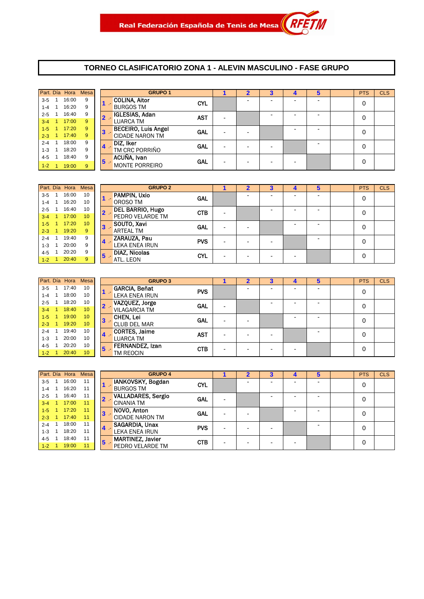#### **TORNEO CLASIFICATORIO ZONA 1 - ALEVIN MASCULINO - FASE GRUPO**

|           |     |       | Part. Día Hora Mesa |       | <b>GRUPO 1</b>             |            | 2 | з |   | 5                        | <b>PTS</b> | <b>CLS</b> |
|-----------|-----|-------|---------------------|-------|----------------------------|------------|---|---|---|--------------------------|------------|------------|
| $3 - 5$   |     | 16:00 | 9                   |       | <b>COLINA, Aitor</b>       | <b>CYL</b> |   |   |   | -                        | 0          |            |
| $1 - 4$   |     | 16:20 | 9                   |       | <b>BURGOS TM</b>           |            |   |   |   |                          |            |            |
| $2 - 5$   |     | 16:40 | 9                   | $2 -$ | IGLESIAS, Adan             | <b>AST</b> |   |   | - | $\overline{\phantom{0}}$ | 0          |            |
| $3 - 4$   | -1  | 17:00 | 9                   |       | <b>LUARCA TM</b>           |            |   |   |   |                          |            |            |
| $1-5$     |     | 17:20 | 9                   | $3 -$ | <b>BECEIRO, Luis Angel</b> | <b>GAL</b> |   |   |   | $\overline{\phantom{0}}$ | 0          |            |
| $2 - 3$ 1 |     | 17:40 | 9                   |       | <b>CIDADE NARON TM</b>     |            |   |   |   |                          |            |            |
| $2 - 4$   | - 1 | 18:00 | 9                   |       | DIZ, Iker                  | <b>GAL</b> |   |   |   | -                        | 0          |            |
| $1 - 3$   |     | 18:20 | 9                   | 4     | TM CRC PORRIÑO             |            |   |   |   |                          |            |            |
| $4 - 5$   |     | 18:40 | 9                   |       | ACUÑA, Ivan                |            |   |   |   |                          |            |            |
| $1 - 2$   |     | 19:00 | 9                   | $5 -$ | <b>MONTE PORREIRO</b>      | <b>GAL</b> |   |   |   |                          | 0          |            |

|         | Part. Día Hora | <b>Mesa</b>     |                | <b>GRUPO 2</b>          |            |   |                          |                          | 4 | 5                        | <b>PTS</b> | <b>CLS</b> |
|---------|----------------|-----------------|----------------|-------------------------|------------|---|--------------------------|--------------------------|---|--------------------------|------------|------------|
| $3-5$   | 16:00          | 10              |                | PAMPIN, Uxio            | <b>GAL</b> |   |                          |                          | - | -                        | 0          |            |
| $1 - 4$ | 16:20          | 10              |                | OROSO TM                |            |   |                          |                          |   |                          |            |            |
| $2 - 5$ | 16:40          | 10              |                | <b>DEL BARRIO, Hugo</b> | <b>CTB</b> |   |                          |                          | - | $\overline{\phantom{0}}$ |            |            |
| $3 - 4$ | 17:00          | 10              |                | PEDRO VELARDE TM        |            |   |                          |                          |   |                          | 0          |            |
| $1 - 5$ | 17:20          | 10 <sup>°</sup> | $3 -$          | SOUTO, Xavi             | <b>GAL</b> |   |                          |                          | - | $\overline{\phantom{a}}$ | 0          |            |
| $2 - 3$ | 19:20          | 9               |                | ARTEAL TM               |            | - | $\overline{\phantom{a}}$ |                          |   |                          |            |            |
| $2 - 4$ | 19:40          | 9               | $\overline{4}$ | ZARAUZA, Pau            | <b>PVS</b> |   |                          |                          |   | $\overline{\phantom{0}}$ | 0          |            |
| $1 - 3$ | 20:00          | 9               |                | <b>LEKA ENEA IRUN</b>   |            |   | $\overline{\phantom{a}}$ | -                        |   |                          |            |            |
| 4-5     | 20:20          | 9               | 5              | <b>DIAZ, Nicolas</b>    | <b>CYL</b> |   |                          |                          |   |                          | 0          |            |
| $1-2$   | 20:40          | 9               |                | ATL. LEON               |            |   | $\overline{\phantom{0}}$ | $\overline{\phantom{0}}$ | - |                          |            |            |

| GI                   |              | <b>Mesa</b> | Part. Día Hora |                      |         |
|----------------------|--------------|-------------|----------------|----------------------|---------|
| <b>GARCIA, Beñat</b> |              | 10          | 17:40          | $\mathbf{1}$         | $3 - 5$ |
| <b>LEKA ENEA IRU</b> |              | 10          | 18:00          | $\mathbf{1}$         | $1 - 4$ |
| VAZOUEZ, Jorg        | $\mathbf{2}$ | 10          | 18:20          | $\mathbf{1}$         | $2 - 5$ |
| <b>VILAGARCIA TM</b> |              | 10          | 18:40          | $\blacktriangleleft$ | $3 - 4$ |
| CHEN, Lei            | 3            | 10          | 19:00          | $\mathbf{1}$         | $1 - 5$ |
| <b>CLUB DEL MAR</b>  |              | 10          | 19:20          | ♦                    | $2 - 3$ |
| <b>CORTES, Jaime</b> | 4            | 10          | 19:40          | 1                    | $2 - 4$ |
| <b>LUARCA TM</b>     |              | 10          | 20:00          | 1                    | $1 - 3$ |
| <b>FERNANDEZ, Iz</b> | 5            | 10          | 20:20          | $\mathbf{1}$         | $4 - 5$ |
| TM REOCIN            |              | 10          | 20:40          | 1                    | $1 - 2$ |

|         | Part. Día Hora | <b>Mesa</b>     |       | <b>GRUPO 3</b>                     |                          |   | 3 |   | 5                        | <b>PTS</b> | <b>CLS</b> |
|---------|----------------|-----------------|-------|------------------------------------|--------------------------|---|---|---|--------------------------|------------|------------|
| $3 - 5$ | 17:40          | 10              |       | <b>GARCIA, Beñat</b><br><b>PVS</b> |                          |   |   | - |                          | 0          |            |
| $1 - 4$ | 18:00          | 10              |       | LEKA ENEA IRUN                     |                          |   |   |   |                          |            |            |
| $2 - 5$ | 18:20          | 10              |       | VAZQUEZ, Jorge<br><b>GAL</b>       | $\overline{\phantom{0}}$ |   | - | - | $\overline{\phantom{a}}$ | 0          |            |
| $3 - 4$ | 18:40          | 10              |       | <b>VILAGARCIA TM</b>               |                          |   |   |   |                          |            |            |
| $1-5$   | 19:00          | 10              | 3     | <b>CHEN, Lei</b><br><b>GAL</b>     |                          |   |   |   | ٠                        | 0          |            |
| $2 - 3$ | 19:20          | 10 <sup>°</sup> |       | <b>CLUB DEL MAR</b>                |                          |   |   |   |                          |            |            |
| $2 - 4$ | 19:40          | 10              | $4 -$ | <b>CORTES, Jaime</b><br><b>AST</b> |                          |   |   |   | ۰                        | 0          |            |
| $1 - 3$ | 20:00          | 10              |       | <b>LUARCA TM</b>                   | $\overline{\phantom{0}}$ |   | - |   |                          |            |            |
| 4-5     | 20:20          | 10              | 5     | FERNANDEZ, Izan<br><b>CTB</b>      |                          | - |   |   |                          | 0          |            |
| $1-2$   | 20:40          | 10 <sup>°</sup> |       | TM REOCIN                          | $\overline{\phantom{0}}$ |   | - | - |                          |            |            |

|           | Part. Día Hora | <b>Mesa</b> |                | <b>GRUPO 4</b>            |            | כי |  | 5 | <b>PTS</b> | <b>CLS</b> |
|-----------|----------------|-------------|----------------|---------------------------|------------|----|--|---|------------|------------|
| $3-5$     | 16:00          | 11          |                | IANKOVSKY, Bogdan         | <b>CYL</b> |    |  |   | 0          |            |
| $1 - 4$   | 16:20          | 11          |                | <b>BURGOS TM</b>          |            |    |  |   |            |            |
| $2 - 5$   | 16:40          | 11          |                | <b>VALLADARES, Sergio</b> | <b>GAL</b> |    |  |   | 0          |            |
| $3 - 4$   | 17:00          | 11          |                | <b>CINANIA TM</b>         |            |    |  |   |            |            |
| $1 - 5$   | 17:20          | 11          | 3              | NOVO, Anton               | <b>GAL</b> |    |  |   | 0          |            |
| $2 - 3$ 1 | 17:40          | 11          |                | <b>CIDADE NARON TM</b>    |            |    |  |   |            |            |
| $2 - 4$   | 18:00          | 11          |                | SAGARDIA, Unax            | <b>PVS</b> |    |  |   | 0          |            |
| $1 - 3$   | 18:20          | 11          | $\overline{4}$ | <b>LEKA ENEA IRUN</b>     |            |    |  |   |            |            |
| $4 - 5$   | 18:40          | 11          | 5              | <b>MARTINEZ, Javier</b>   | <b>CTB</b> |    |  |   | 0          |            |
| $1-2$     | 19:00          | 11          |                | PEDRO VELARDE TM          |            |    |  |   |            |            |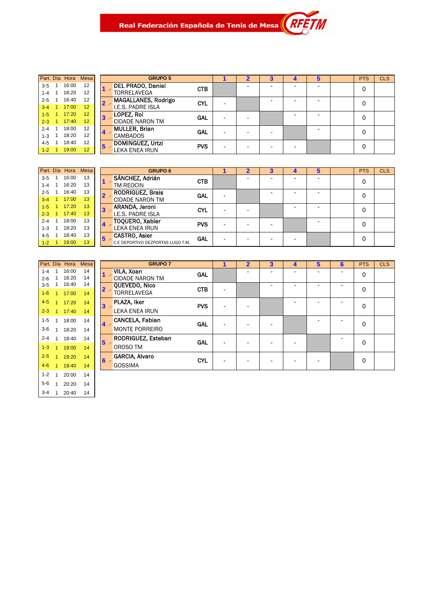Real Federación Española de Tenis de Mesa $\left\| \begin{array}{c} R \end{array} \right\|$ 

|   | <b>Mesa</b> | Part. Día Hora |                      |         |
|---|-------------|----------------|----------------------|---------|
|   |             |                |                      |         |
|   | 12          | 16:00          | $\mathbf{1}$         | $3 - 5$ |
|   | 12          | 16:20          | $\mathbf{1}$         | $1 - 4$ |
| 2 | 12          | 16:40          | 1                    | $2 - 5$ |
|   | 12          | 17:00          | $\blacktriangleleft$ | $3 - 4$ |
| З | 12          | 17:20          | ♦                    | $1 - 5$ |
|   | 12          | 17:40          | 1                    | $2 - 3$ |
|   | 12          | 18:00          | 1                    | $2 - 4$ |
|   | 12          | 18:20          | 1                    | $1 - 3$ |
| 5 | 12          | 18:40          | 1                    | $4 - 5$ |
|   | 12          | 19:00          | 1                    | $1 - 2$ |
|   |             |                |                      |         |

|         | Part. Día Hora | Mesa |   | <b>GRUPO 5</b>             |            | $\overline{2}$ | 3 | 4 | 5 | <b>PTS</b> | <b>CLS</b> |
|---------|----------------|------|---|----------------------------|------------|----------------|---|---|---|------------|------------|
| $3 - 5$ | 16:00          | 12   |   | <b>DEL PRADO, Daniel</b>   | <b>CTB</b> |                |   |   |   | 0          |            |
| 1-4     | 16:20          | 12   |   | <b>TORRELAVEGA</b>         |            |                |   |   |   |            |            |
| $2 - 5$ | 16:40          | 12   |   | <b>MAGALLANES, Rodrigo</b> | <b>CYL</b> |                |   |   |   | 0          |            |
| $3 - 4$ | 17:00          | 12   |   | I.E.S. PADRE ISLA          |            |                |   |   |   |            |            |
| $1-5$   | 17:20          | 12   |   | LOPEZ, Roi                 | <b>GAL</b> |                |   |   |   | 0          |            |
| $2 - 3$ | 17:40          | 12   |   | <b>CIDADE NARON TM</b>     |            |                |   |   |   |            |            |
| $2 - 4$ | 18:00          | 12   |   | <b>MULLER, Brian</b>       | <b>GAL</b> |                |   |   |   | 0          |            |
| $1 - 3$ | 18:20          | 12   |   | <b>CAMBADOS</b>            |            |                |   |   |   |            |            |
| $4 - 5$ | 18:40          | 12   | 5 | DOMINGUEZ, Urtzi           | <b>PVS</b> |                |   |   |   | 0          |            |
| $1-2$   | 19:00          | 12   |   | LEKA ENEA IRUN             |            |                |   |   |   |            |            |
|         |                |      |   |                            |            |                |   |   |   |            |            |

M

|         |   | Part. Día Hora | <b>Mesa</b> |    | <b>GRU</b>               |
|---------|---|----------------|-------------|----|--------------------------|
| $3 - 5$ | 1 | 16:00          | 13          |    | SÁNCHEZ, Adrián          |
| $1 - 4$ | 1 | 16:20          | 13          |    | <b>TM REOCIN</b>         |
| $2 - 5$ | 1 | 16:40          | 13          |    | <b>RODRIGUEZ, Brai</b>   |
| $3 - 4$ | 1 | 17:00          | 13          |    | <b>CIDADE NARON T</b>    |
| $1 - 5$ | 1 | 17.20          | 13          | 3  | ARANDA, Jeroni           |
| $2 - 3$ | 1 | 17:40          | 13          |    | <b>I.E.S. PADRE ISLA</b> |
| $2 - 4$ | 1 | 18:00          | 13          |    | <b>TOOUERO, Xabie</b>    |
| $1 - 3$ | 1 | 18:20          | 13          |    | <b>LEKA ENEA IRUN</b>    |
| $4 - 5$ | 1 | 18:40          | 13          |    | <b>CASTRO, Asier</b>     |
| $1 - 2$ | 1 | 19:00          | 13          | 5. | C.E DEPORTIVO DEZPOJ     |

|         | Part. Día Hora | Mesa |    | <b>GRUPO 6</b>                    |            |  |  | 5 | <b>PTS</b> | <b>CLS</b> |
|---------|----------------|------|----|-----------------------------------|------------|--|--|---|------------|------------|
| $3-5$   | 16:00          | 13   |    | SÁNCHEZ, Adrián                   | <b>CTB</b> |  |  |   | 0          |            |
| $1 - 4$ | 16:20          | 13   |    | TM REOCIN                         |            |  |  |   |            |            |
| $2 - 5$ | 16:40          | 13   |    | <b>RODRIGUEZ, Brais</b>           | <b>GAL</b> |  |  |   | 0          |            |
| $3 - 4$ | 17:00          | 13   |    | - 17<br><b>CIDADE NARON TM</b>    |            |  |  |   |            |            |
| $1 - 5$ | 17:20          | 13   |    | <b>ARANDA, Jeroni</b>             | <b>CYL</b> |  |  |   | 0          |            |
| $2 - 3$ | 17:40          | 13   |    | I.E.S. PADRE ISLA                 |            |  |  |   |            |            |
| $2 - 4$ | 18:00          | 13   |    | <b>TOQUERO, Xabier</b>            | <b>PVS</b> |  |  |   | $\Omega$   |            |
| $1 - 3$ | 18:20          | 13   |    | LEKA ENEA IRUN                    |            |  |  |   |            |            |
| $4 - 5$ | 18:40          | 13   | 15 | <b>CASTRO, Asier</b>              | <b>GAL</b> |  |  |   | 0          |            |
| $1-2$   | 19:00          | 13   |    | C.E DEPORTIVO DEZPORTAS LUGO T.M. |            |  |  |   |            |            |

| <b>GRI</b>            |   | Mesa | Part. Día Hora |                |         |
|-----------------------|---|------|----------------|----------------|---------|
| VILA, Xoan            |   | 14   | 16:00          | 1              | $1 - 4$ |
| <b>CIDADE NARON 1</b> |   | 14   | 16:20          | 1              | $2 - 6$ |
| QUEVEDO, Nico         |   | 14   | 16:40          | 1              | $3 - 5$ |
| TORRFI AVFGA          | 2 | 14   | 17:00          | $\overline{1}$ | $1 - 6$ |
| PLAZA. Iker           | 3 | 14   | 17:20          | 1              | $4 - 5$ |
| LEKA ENEA IRUN        |   | 14   | 17:40          | 1              | $2 - 3$ |
| <b>CANCELA, Fabia</b> |   | 14   | 18:00          | 1              | $1 - 5$ |
| <b>MONTE PORREIR</b>  |   | 14   | 18:20          | 1              | $3-6$   |
| <b>RODRIGUEZ, Est</b> | 5 | 14   | 18:40          | 1              | $2 - 4$ |
| OROSO TM              |   | 14   | 19:00          | 1              | $1 - 3$ |
| <b>GARCIA, Alvaro</b> | 6 | 14   | 19:20          | 1              | $2 - 5$ |
| <b>GOSSIMA</b>        |   | 14   | 19:40          | 1              | $4 - 6$ |
|                       |   | 14   | 20:00          | 1              | $1 - 2$ |
|                       |   | 14   | 20:20          | 1              | $5 - 6$ |
|                       |   | 14   | 20:40          | 1              | $3 - 4$ |

|         | Part. Día Hora | Mesa |       | <b>GRUPO 7</b>         |            |                          | 2 | 3 | 4 | 5 | 6 | <b>PTS</b>  | <b>CLS</b> |
|---------|----------------|------|-------|------------------------|------------|--------------------------|---|---|---|---|---|-------------|------------|
| $1 - 4$ | 16:00          | 14   |       | VILA, Xoan<br>147      | <b>GAL</b> |                          |   |   |   |   |   | 0           |            |
| $2 - 6$ | 16:20          | 14   |       | <b>CIDADE NARON TM</b> |            |                          |   |   |   |   |   |             |            |
| $3-5$   | 16:40          | 14   | $2 -$ | QUEVEDO, Nico          | <b>CTB</b> |                          |   |   |   |   |   | $\mathbf 0$ |            |
| $1 - 6$ | 17:00          | 14   |       | TORRELAVEGA            |            | ٠                        |   |   |   |   |   |             |            |
| $4 - 5$ | 17:20          | 14   | $3 -$ | PLAZA, Iker            | <b>PVS</b> | $\overline{\phantom{0}}$ |   |   |   |   | ۰ | 0           |            |
| $2 - 3$ | 17:40          | 14   |       | <b>LEKA ENEA IRUN</b>  |            |                          |   |   |   |   |   |             |            |
| $1 - 5$ | 18:00          | 14   | $4 -$ | CANCELA, Fabian        | <b>GAL</b> | -                        |   |   |   |   |   | 0           |            |
| $3-6$   | 18:20          | 14   |       | <b>MONTE PORREIRO</b>  |            |                          |   |   |   |   |   |             |            |
| $2 - 4$ | 18:40          | 14   | $5 -$ | RODRIGUEZ, Esteban     | <b>GAL</b> |                          |   |   |   |   |   | 0           |            |
| $1-3$   | 19:00          | 14   |       | OROSO TM               |            |                          |   |   |   |   |   |             |            |
| $2 - 5$ | 19:20          | 14   | $6 -$ | <b>GARCIA, Alvaro</b>  | <b>CYL</b> |                          |   |   |   |   |   | 0           |            |
| $4 - 6$ | 19:40          | 14   |       | <b>GOSSIMA</b>         |            |                          |   |   |   |   |   |             |            |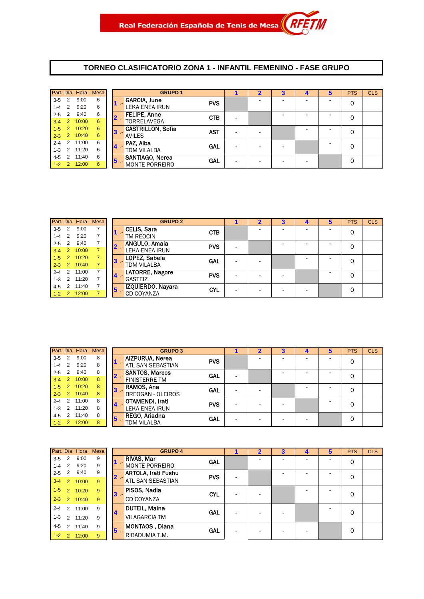#### **TORNEO CLASIFICATORIO ZONA 1 - INFANTIL FEMENINO - FASE GRUPO**

|           |                  | Part. Día Hora | <b>Mesa</b> |   | <b>GRUPO 1</b>                    |  |   |   | <b>PTS</b> | <b>CLS</b> |
|-----------|------------------|----------------|-------------|---|-----------------------------------|--|---|---|------------|------------|
| $3-5$ 2   |                  | 9:00           | 6           |   | <b>GARCIA, June</b><br><b>PVS</b> |  |   |   | 0          |            |
| $1-4$ 2   |                  | 9:20           | 6           |   | <b>LEKA ENEA IRUN</b>             |  |   |   |            |            |
| $2 - 5$ 2 |                  | 9:40           | 6           |   | <b>FELIPE, Anne</b><br><b>CTB</b> |  | - |   | 0          |            |
| $3 - 4$   | $\blacksquare$ 2 | 10:00          | 6           |   | <b>TORRELAVEGA</b>                |  |   |   |            |            |
| $1-5$     | $\sim$ 2 $\sim$  | 10:20          | 6           | 3 | <b>CASTRILLON, Sofia</b><br>AST   |  |   | - | 0          |            |
| $2 - 3$ 2 |                  | 10:40          | 6           |   | <b>AVILES</b>                     |  |   |   |            |            |
|           |                  | 2-4 2 11:00    | 6           |   | PAZ, Alba<br>GAL                  |  |   |   | 0          |            |
| $1-3$ 2   |                  | 11:20          | 6           |   | <b>TDM VILALBA</b>                |  |   |   |            |            |
| $4 - 5$   | $\mathcal{P}$    | 11:40          | 6           | 5 | SANTIAGO, Nerea<br>GAL            |  |   |   | 0          |            |
| $1-2$ 2   |                  | 12:00          | 6           |   | <b>MONTE PORREIRO</b>             |  |   |   |            |            |

|         |                | Part. Día Hora | <b>Mesa</b> |          | <b>GRUPO 2</b>         |            |  | 3 |  | <b>PTS</b> | <b>CLS</b> |
|---------|----------------|----------------|-------------|----------|------------------------|------------|--|---|--|------------|------------|
| $3 - 5$ | 2              | 9:00           |             |          | <b>CELIS, Sara</b>     | <b>CTB</b> |  |   |  | 0          |            |
| $1 - 4$ | 2              | 9:20           |             |          | TM REOCIN              |            |  |   |  |            |            |
| $2 - 5$ | 2              | 9:40           |             |          | ANGULO, Amaia          | <b>PVS</b> |  |   |  | 0          |            |
| $3 - 4$ | 2              | 10:00          |             |          | <b>LEKA ENEA IRUN</b>  |            |  |   |  |            |            |
| $1 - 5$ | $\overline{2}$ | 10:20          |             | 3        | LOPEZ, Sabela          | <b>GAL</b> |  |   |  |            |            |
| $2 - 3$ | $\overline{2}$ | 10:40          |             |          | <b>TDM VILALBA</b>     |            |  |   |  |            |            |
| $2 - 4$ | 2              | 11:00          |             |          | <b>LATORRE, Nagore</b> | <b>PVS</b> |  |   |  |            |            |
| $1 - 3$ | 2              | 11:20          |             | <b>4</b> | <b>GASTEIZ</b>         |            |  |   |  |            |            |
| 4-5     | 2              | 11:40          |             | 5        | IZQUIERDO, Nayara      | <b>CYL</b> |  |   |  | $\Omega$   |            |
| $1-2$   | $\overline{2}$ | 12:00          |             |          | <b>CD COYANZA</b>      |            |  |   |  |            |            |

|         |                |       | Part. Día Hora Mesa |                | <b>GRUPO 3</b>           |            |  |   | <b>PTS</b> | <b>CLS</b> |
|---------|----------------|-------|---------------------|----------------|--------------------------|------------|--|---|------------|------------|
| $3-5$   | $\overline{2}$ | 9:00  | 8                   |                | <b>AIZPURUA, Nerea</b>   | <b>PVS</b> |  |   | 0          |            |
| $1 - 4$ | 2              | 9:20  | 8                   |                | <b>ATL SAN SEBASTIAN</b> |            |  |   |            |            |
| $2 - 5$ | 2              | 9:40  | 8                   |                | <b>SANTOS, Marcos</b>    | <b>GAL</b> |  |   | 0          |            |
| $3 - 4$ | $\overline{2}$ | 10:00 | 8                   |                | <b>FINISTERRE TM</b>     |            |  |   |            |            |
| $1 - 5$ | 2              | 10:20 | 8                   | 3              | RAMOS, Ana               | <b>GAL</b> |  |   | 0          |            |
| $2 - 3$ | 2              | 10:40 | 8                   |                | <b>BREOGAN - OLEIROS</b> |            |  |   |            |            |
| $2 - 4$ | 2              | 11:00 | 8                   |                | OTAMENDI, Irati          | <b>PVS</b> |  |   | 0          |            |
| $1 - 3$ | $\mathcal{P}$  | 11:20 | 8                   | $\overline{4}$ | <b>LEKA ENEA IRUN</b>    |            |  |   |            |            |
| $4 - 5$ | 2              | 11:40 | 8                   | 5              | REGO, Ariadna            | GAL        |  | ۰ | 0          |            |
| $1 - 2$ | $\overline{2}$ | 12:00 | 8                   |                | TDM VILALBA              |            |  |   |            |            |

|                    |                | Part. Día Hora | Mesa   |                | <b>GRUPO 4</b>                               |   | $\mathbf{2}$ | 3 |   | <b>PTS</b> | <b>CLS</b> |
|--------------------|----------------|----------------|--------|----------------|----------------------------------------------|---|--------------|---|---|------------|------------|
| $3-5$              | 2<br>2         | 9:00<br>9:20   | 9      |                | RIVAS, Mar<br>GAL                            |   |              |   |   | 0          |            |
| $1 - 4$<br>$2 - 5$ | 2              | 9:40           | 9<br>9 |                | MONTE PORREIRO<br><b>ARTOLA, Irati Fushu</b> |   |              |   |   |            |            |
| $3 - 4$            | $\sqrt{2}$     | 10:00          | 9      | $\mathbf{2}$   | <b>PVS</b><br><b>ATL SAN SEBASTIAN</b>       | - |              |   |   | 0          |            |
| $1 - 5$            | $\mathcal{P}$  | 10:20          | 9      | 3              | PISOS, Nadia<br><b>CYL</b>                   | - |              |   | ۰ | 0          |            |
| $2 - 3$            | 2              | 10:40          | 9      |                | CD COYANZA                                   |   |              |   |   |            |            |
| $2 - 4$            | $\mathcal{P}$  | 11:00          | 9      | $\overline{4}$ | <b>DUTEIL, Maina</b><br><b>GAL</b>           | - |              |   |   | 0          |            |
| $1 - 3$            | $\mathcal{P}$  | 11:20          | 9      |                | <b>VILAGARCIA TM</b>                         |   |              |   |   |            |            |
| $4 - 5$            | $\mathcal{P}$  | 11:40          | 9      | 15.            | MONTAOS, Diana<br>GAL                        | ٠ |              |   |   | $\Omega$   |            |
| $1 - 2$            | $\overline{2}$ | 12:00          | 9      |                | RIBADUMIA T.M.                               |   |              |   |   |            |            |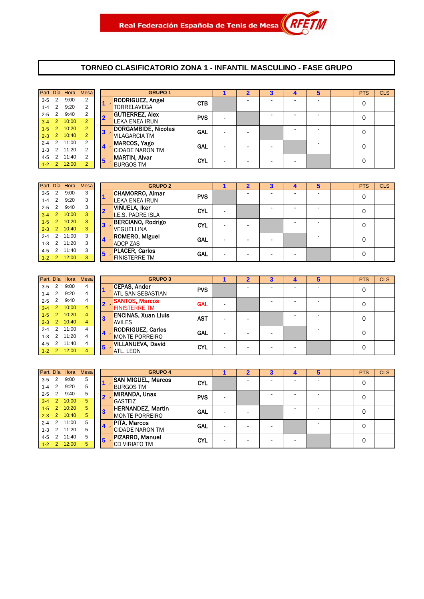#### **TORNEO CLASIFICATORIO ZONA 1 - INFANTIL MASCULINO - FASE GRUPO**

|         |                | Part. Día Hora | <b>Mesa</b>    |                | <b>GRUPO 1</b>          |            |   |  |   | <b>PTS</b> | <b>CLS</b> |
|---------|----------------|----------------|----------------|----------------|-------------------------|------------|---|--|---|------------|------------|
| $3 - 5$ | $\overline{2}$ | 9:00           | $\overline{2}$ |                | <b>RODRIGUEZ, Angel</b> | <b>CTB</b> |   |  | - | 0          |            |
| $1-4$ 2 |                | 9:20           | 2              | 1              | <b>TORRELAVEGA</b>      |            |   |  |   |            |            |
| $2 - 5$ | $\overline{2}$ | 9:40           | $\overline{2}$ | $2 -$          | <b>GUTIERREZ, Alex</b>  | <b>PVS</b> |   |  | - | 0          |            |
| $3-4$ 2 |                | 10:00          | $\overline{2}$ |                | <b>LEKA ENEA IRUN</b>   |            | - |  |   |            |            |
| $1 - 5$ | $\overline{2}$ | 10:20          | $\overline{2}$ | $\mathbf{3}$   | DORGAMBIDE, Nicolas     | <b>GAL</b> |   |  | - | 0          |            |
| $2 - 3$ |                | 2 10:40        | $\overline{2}$ |                | <b>VILAGARCIA TM</b>    |            |   |  |   |            |            |
|         |                | 2-4 2 11:00    | 2              |                | MARCOS, Yago            | <b>GAL</b> |   |  | - | 0          |            |
| $1 - 3$ |                | 2 11:20        | 2              | $\overline{4}$ | <b>CIDADE NARON TM</b>  |            |   |  |   |            |            |
| 4-5     | 2              | 11:40          | 2              | $\sqrt{5}$     | <b>MARTIN, Alvar</b>    | <b>CYL</b> |   |  |   | 0          |            |
| $1-2$   | $\overline{2}$ | 12:00          | $\overline{2}$ |                | <b>BURGOS TM</b>        |            |   |  |   |            |            |

|           | Part. Día Hora | <b>Mesa</b> |    | <b>GRUPO 2</b>           |            |  |  | э | <b>PTS</b> | <b>CLS</b> |
|-----------|----------------|-------------|----|--------------------------|------------|--|--|---|------------|------------|
| $3-5$ 2   | 9:00           | 3           |    | <b>CHAMORRO, Aimar</b>   | <b>PVS</b> |  |  |   | 0          |            |
| $1-4$ 2   | 9:20           | 3           |    | LEKA ENEA IRUN           |            |  |  |   |            |            |
| $2 - 5$ 2 | 9:40           | 3           |    | VIÑUELA, Iker            | <b>CYL</b> |  |  |   | 0          |            |
|           | 3-4 2 10:00    | 3           |    | <b>I.E.S. PADRE ISLA</b> |            |  |  |   |            |            |
|           | $1-5$ 2 10:20  | 3           | 3  | <b>BERCIANO, Rodrigo</b> | <b>CYL</b> |  |  |   | 0          |            |
|           | 2-3 2 10:40    | 3           |    | <b>VEGUELLINA</b>        |            |  |  |   |            |            |
|           | 2-4 2 11:00    | 3           | 14 | <b>ROMERO, Miguel</b>    | GAL        |  |  |   | 0          |            |
|           | $1-3$ 2 11:20  | 3           |    | ADCP ZAS                 |            |  |  |   |            |            |
|           | 4-5 2 11:40    | 3           | 15 | <b>PLACER, Carlos</b>    | GAL        |  |  |   | 0          |            |
|           | $1-2$ 2 12:00  | 3           |    | <b>FINISTERRE TM</b>     |            |  |  |   |            |            |

|         |                | Part. Día Hora | Mesa           |                         |       | <b>GRUPO 3</b>             |            |   |  | 5 | <b>PTS</b> | <b>CLS</b> |
|---------|----------------|----------------|----------------|-------------------------|-------|----------------------------|------------|---|--|---|------------|------------|
| $3-5$   | 2              | 9:00           | 4              |                         |       | <b>CEPAS, Ander</b>        | <b>PVS</b> |   |  |   | 0          |            |
| $1-4$ 2 |                | 9:20           | 4              |                         |       | ATL SAN SEBASTIAN          |            |   |  |   |            |            |
| $2 - 5$ | 2              | 9:40           | 4              |                         |       | <b>SANTOS, Marcos</b>      | <b>GAL</b> |   |  |   | $\Omega$   |            |
| $3 - 4$ | $\overline{2}$ | 10:00          | $\overline{4}$ |                         |       | <b>FINISTERRE TM</b>       |            |   |  |   |            |            |
| $1 - 5$ | $\overline{2}$ | 10:20          | 4              |                         | $3 -$ | <b>ENCINAS, Xuan Lluis</b> | <b>AST</b> |   |  |   | 0          |            |
| $2 - 3$ | <sup>2</sup>   | 10:40          | 4              |                         |       | <b>AVILES</b>              |            |   |  |   |            |            |
| $2 - 4$ | 2              | 11:00          | 4              |                         |       | <b>RODRIGUEZ, Carlos</b>   | GAL        |   |  |   | 0          |            |
| $1 - 3$ | $\mathcal{P}$  | 11:20          | 4              | $\overline{\mathbf{4}}$ |       | <b>MONTE PORREIRO</b>      |            |   |  |   |            |            |
| 4-5     | $\mathfrak{p}$ | 11:40          | 4              | 5                       |       | <b>VILLANUEVA, David</b>   | CYL        | - |  |   | 0          |            |
| $1 - 2$ | $\mathcal{P}$  | 12:00          | 4              |                         |       | ATL. LEON                  |            |   |  |   |            |            |

|         |                  | Part. Día Hora | Mesa |                         | <b>GRUPO 4</b>            |            |  |  |  | <b>PTS</b> | <b>CLS</b> |
|---------|------------------|----------------|------|-------------------------|---------------------------|------------|--|--|--|------------|------------|
| $3-5$   | 2                | 9:00           | 5    |                         | <b>SAN MIGUEL, Marcos</b> | <b>CYL</b> |  |  |  | 0          |            |
| $1 - 4$ | $\overline{2}$   | 9:20           | 5    |                         | <b>BURGOS TM</b>          |            |  |  |  |            |            |
| $2 - 5$ | 2                | 9:40           | 5    |                         | <b>MIRANDA, Unax</b>      | <b>PVS</b> |  |  |  | 0          |            |
| $3 - 4$ | $\overline{2}$   | 10:00          | 5    |                         | <b>GASTEIZ</b>            |            |  |  |  |            |            |
| $1 - 5$ | $\overline{2}$   | 10:20          | 5    | $\overline{\mathbf{3}}$ | <b>HERNANDEZ, Martin</b>  | <b>GAL</b> |  |  |  | 0          |            |
| $2-3$ 2 |                  | 10:40          | 5    |                         | <b>MONTE PORREIRO</b>     |            |  |  |  |            |            |
| $2 - 4$ | 2                | 11:00          | 5    | $\overline{4}$          | <b>PITA, Marcos</b>       | <b>GAL</b> |  |  |  | 0          |            |
| $1 - 3$ | 2                | 11:20          | 5    |                         | <b>CIDADE NARON TM</b>    |            |  |  |  |            |            |
| 4-5     |                  | 11:40          | 5    | $5 -$                   | PIZARRO, Manuel           | <b>CYL</b> |  |  |  | 0          |            |
| $1 - 2$ | $\blacksquare$ 2 | 12:00          | 5    |                         | <b>CD VIRIATO TM</b>      |            |  |  |  |            |            |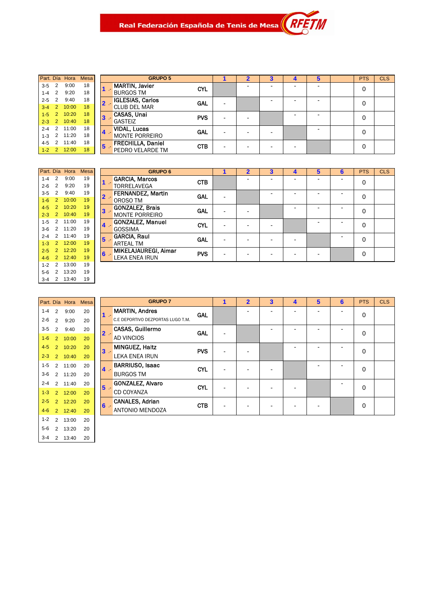Real Federación Española de Tenis de Mesa $\left\| \begin{array}{c} R \end{array} \right\|$ 

|         |                | Part. Día Hora | <b>Mesa</b> |                | a                     |
|---------|----------------|----------------|-------------|----------------|-----------------------|
| $3-5$   | 2              | 9:00           | 18          |                | <b>MARTIN, Javier</b> |
| $1-4$ 2 |                | 9:20           | 18          |                | <b>BURGOS TM</b>      |
| $2 - 5$ | 2              | 9:40           | 18          | $\overline{2}$ | <b>IGLESIAS, Carl</b> |
| $3 - 4$ | $\overline{2}$ | 10:00          | 18          |                | <b>CLUB DEL MAR</b>   |
| $1 - 5$ | 2              | 10:20          | 18          | 3              | CASAS, Unai           |
| $2 - 3$ | 2              | 10:40          | 18          |                | <b>GASTEIZ</b>        |
| $2 - 4$ | 2              | 11:00          | 18          |                | <b>VIDAL, Lucas</b>   |
| $1 - 3$ | 2              | 11:20          | 18          |                | <b>MONTE PORRE</b>    |
| 4-5     | 2              | 11:40          | 18          | 5              | <b>FRECHILLA, Da</b>  |
| $1 - 2$ | $\overline{2}$ | 12:00          | 18          |                | PEDRO VELARD          |
|         |                |                |             |                |                       |

|           |                | Part. Día Hora | Mesa |       | <b>GRUPO 5</b>           |            |   | $\overline{\mathbf{2}}$  | 3 | 4 | 5                        | <b>PTS</b> | <b>CLS</b> |
|-----------|----------------|----------------|------|-------|--------------------------|------------|---|--------------------------|---|---|--------------------------|------------|------------|
| 3-5       | 2              | 9:00           | 18   |       | <b>MARTIN, Javier</b>    | <b>CYL</b> |   |                          |   | - | -                        | 0          |            |
| $1 - 4$   | 2              | 9:20           | 18   |       | <b>BURGOS TM</b>         |            |   |                          |   |   |                          |            |            |
| $2 - 5$   | 2              | 9:40           | 18   |       | <b>IGLESIAS, Carlos</b>  | <b>GAL</b> |   |                          |   | - | -                        | 0          |            |
| $3 - 4$   | 2              | 10:00          | 18   |       | <b>CLUB DEL MAR</b>      |            |   |                          |   |   |                          |            |            |
| $1-5$     | $\overline{2}$ | 10:20          | 18   |       | CASAS, Unai              | <b>PVS</b> |   |                          |   | - | $\overline{\phantom{0}}$ | 0          |            |
| $2 - 3$   | 2 <sup>2</sup> | 10:40          | 18   |       | <b>GASTEIZ</b>           |            |   | $\overline{\phantom{0}}$ |   |   |                          |            |            |
| $2 - 4$   | 2              | 11:00          | 18   | $4 -$ | <b>VIDAL, Lucas</b>      | <b>GAL</b> |   | $\overline{\phantom{0}}$ |   |   | $\overline{\phantom{0}}$ | 0          |            |
| $1 - 3$   | 2              | 11:20          | 18   |       | <b>MONTE PORREIRO</b>    |            |   |                          | - |   |                          |            |            |
| 4-5       | 2              | 11:40          | 18   | 5     | <b>FRECHILLA, Daniel</b> | <b>CTB</b> |   |                          |   |   |                          | 0          |            |
| $1 - 2$ 2 |                | 12:00          | 18   |       | PEDRO VELARDE TM         |            | - | $\overline{\phantom{0}}$ | - | - |                          |            |            |

M

| Part, Día |                | Hora  | Mesa |   | G                    |
|-----------|----------------|-------|------|---|----------------------|
| $1 - 4$   | 2              | 9:00  | 19   |   | <b>GARCIA, Marco</b> |
| $2 - 6$   | 2              | 9:20  | 19   |   | TORRELAVEGA          |
| 3-5       | 2              | 9:40  | 19   | 2 | <b>FERNANDEZ.I</b>   |
| $1 - 6$   | $\overline{2}$ | 10:00 | 19   |   | OROSO TM             |
| $4 - 5$   | $\overline{2}$ | 10:20 | 19   |   | <b>GONZALEZ. Br</b>  |
| $2 - 3$   | $\overline{2}$ | 10:40 | 19   |   | <b>MONTE PORRE</b>   |
| $1 - 5$   | 2              | 11:00 | 19   |   | <b>GONZALEZ, Ma</b>  |
| 3-6       | 2              | 11:20 | 19   |   | GOSSIMA              |
| $2 - 4$   | 2              | 11:40 | 19   | 5 | <b>GARCIA, Raul</b>  |
| $1 - 3$   | $\overline{2}$ | 12:00 | 19   |   | <b>ARTEAL TM</b>     |
| $2 - 5$   | $\overline{2}$ | 12:20 | 19   | 6 | <b>MIKELAJAURE</b>   |
| $4 - 6$   | $\overline{2}$ | 12:40 | 19   |   | LEKA ENEA IRI        |
| $1 - 2$   | 2              | 13:00 | 19   |   |                      |
| $5-6$     | 2              | 13:20 | 19   |   |                      |
| 3-4       | $\overline{2}$ | 13:40 | 19   |   |                      |

|         |                | Part. Día Hora | <b>Mesa</b> |                 | <b>GRUPO 6</b>           |            | 2                        | 3 | 4 | 5 | 6 | <b>PTS</b> | <b>CLS</b> |
|---------|----------------|----------------|-------------|-----------------|--------------------------|------------|--------------------------|---|---|---|---|------------|------------|
| $1 - 4$ | 2              | 9:00           | 19          |                 | <b>GARCIA, Marcos</b>    | <b>CTB</b> |                          |   | - |   |   | 0          |            |
| $2 - 6$ | 2              | 9:20           | 19          |                 | <b>TORRELAVEGA</b>       |            |                          |   |   |   |   |            |            |
| $3 - 5$ | 2              | 9:40           | 19          | 2 -             | <b>FERNANDEZ, Martin</b> | GAL        |                          | - | - |   |   | 0          |            |
| $1-6$   | 2              | 10:00          | 19          |                 | OROSO TM                 |            |                          |   |   |   |   |            |            |
| $4 - 5$ | 2              | 10:20          | 19          |                 | <b>GONZALEZ, Brais</b>   | <b>GAL</b> |                          |   |   |   | - | 0          |            |
| $2 - 3$ | $\mathcal{P}$  | 10:40          | 19          | $3 -$           | <b>MONTE PORREIRO</b>    |            |                          |   |   |   |   |            |            |
| $1 - 5$ | $\mathcal{P}$  | 11:00          | 19          | $4 -$           | <b>GONZALEZ, Manuel</b>  | <b>CYL</b> | $\overline{\phantom{a}}$ |   |   |   |   | 0          |            |
| 3-6     | $\mathcal{P}$  | 11:20          | 19          |                 | <b>GOSSIMA</b>           |            |                          |   |   |   |   |            |            |
| $2 - 4$ | $\mathcal{P}$  | 11:40          | 19          | $5\overline{5}$ | <b>GARCIA, Raul</b>      | <b>GAL</b> |                          | ٠ | - |   |   | 0          |            |
| $1-3$   | $\overline{2}$ | 12:00          | 19          |                 | <b>ARTEAL TM</b>         |            |                          |   |   |   |   |            |            |
| $2 - 5$ | 2              | 12:20          | 19          |                 | MIKELAJAUREGI, Aimar     |            |                          |   |   |   |   |            |            |
| $4 - 6$ | $\mathcal{P}$  | 12:40          | 19          |                 | LEKA ENEA IRUN           |            |                          |   |   |   |   |            |            |
|         |                |                |             | $6 -$           |                          | <b>PVS</b> |                          |   | - |   |   | $\Omega$   |            |

| GRI                    |   | <b>Mesa</b> | Hora  |                | Part. Día |
|------------------------|---|-------------|-------|----------------|-----------|
| <b>MARTIN, Andres</b>  |   | 20          | 9:00  | 2              | $1 - 4$   |
| C.E DEPORTIVO DEZPO    |   | 20          | 9:20  | $\overline{2}$ | $2 - 6$   |
| <b>CASAS, Guillerm</b> | 2 | 20          | 9:40  | 2              | $3 - 5$   |
| AD VINCIOS             |   | 20          | 10:00 | $\overline{2}$ | $1 - 6$   |
| <b>MINGUEZ, Haitz</b>  |   | 20          | 10:20 | $\overline{2}$ | $4 - 5$   |
| <b>LEKA ENEA IRUN</b>  |   | 20          | 10:40 | $\overline{2}$ | $2 - 3$   |
| <b>BARRIUSO, Isaa</b>  |   | 20          | 11:00 | 2              | $1 - 5$   |
| <b>BURGOS TM</b>       |   | 20          | 11:20 | $\overline{2}$ | $3-6$     |
| GONZALEZ, Alva         | 5 | 20          | 11:40 | $\mathfrak{p}$ | $2 - 4$   |
| <b>CD COYANZA</b>      |   | 20          | 12:00 | $\overline{2}$ | $1 - 3$   |
| <b>CANALES, Adriar</b> | 6 | 20          | 12:20 | $\overline{2}$ | $2 - 5$   |
| <b>ANTONIO MENDO</b>   |   | 20          | 12:40 | $\overline{2}$ | $4 - 6$   |
|                        |   | 20          | 13:00 | 2              | $1 - 2$   |
|                        |   | 20          | 13:20 | 2              | $5-6$     |
|                        |   | 20          | 13:40 | 2              | $3 - 4$   |

|         |                | Part. Día Hora | Mesa |                | <b>GRUPO 7</b>                    |            | 1 | $\overline{2}$ | $\overline{\mathbf{3}}$ | 4 | 5 | 6 | <b>PTS</b>  | <b>CLS</b> |
|---------|----------------|----------------|------|----------------|-----------------------------------|------------|---|----------------|-------------------------|---|---|---|-------------|------------|
| $1 - 4$ | 2              | 9:00           | 20   |                | <b>MARTIN, Andres</b>             | <b>GAL</b> |   |                |                         |   |   |   | $\mathbf 0$ |            |
| $2 - 6$ | 2              | 9:20           | 20   |                | C.E DEPORTIVO DEZPORTAS LUGO T.M. |            |   |                |                         |   |   |   |             |            |
| $3 - 5$ | $\mathcal{P}$  | 9:40           | 20   | $\overline{2}$ | <b>CASAS, Guillermo</b>           | <b>GAL</b> |   |                |                         |   |   |   | $\mathbf 0$ |            |
| $1-6$   | 2              | 10:00          | 20   |                | <b>AD VINCIOS</b>                 |            |   |                |                         |   |   |   |             |            |
| $4-5$   | $\mathcal{P}$  | 10:20          | 20   | $\mathbf{3}$   | <b>MINGUEZ, Haitz</b>             | <b>PVS</b> |   |                |                         |   |   |   | 0           |            |
| $2 - 3$ | 2 <sup>1</sup> | 10:40          | 20   |                | <b>LEKA ENEA IRUN</b>             |            |   |                |                         |   |   |   |             |            |
| $1 - 5$ | $\mathcal{P}$  | 11:00          | 20   | $\overline{4}$ | <b>BARRIUSO, Isaac</b>            | <b>CYL</b> |   |                |                         |   |   |   | $\mathbf 0$ |            |
| $3-6$   |                | 2 11:20        | 20   |                | <b>BURGOS TM</b>                  |            |   |                |                         |   |   |   |             |            |
| $2 - 4$ | $\mathcal{P}$  | 11:40          | 20   | 5              | GONZALEZ, Alvaro                  | <b>CYL</b> |   |                |                         |   |   |   | $\mathbf 0$ |            |
| $1-3$   | $\mathcal{P}$  | 12:00          | 20   |                | CD COYANZA                        |            |   |                |                         |   |   |   |             |            |
| $2 - 5$ | $\mathcal{P}$  | 12:20          | 20   | 6              | <b>CANALES, Adrian</b>            | <b>CTB</b> |   |                |                         |   |   |   | $\mathbf 0$ |            |
| $4 - 6$ | $\mathcal{P}$  | 12:40          | 20   |                | <b>ANTONIO MENDOZA</b>            |            |   |                |                         |   |   |   |             |            |
|         |                |                |      |                |                                   |            |   |                |                         |   |   |   |             |            |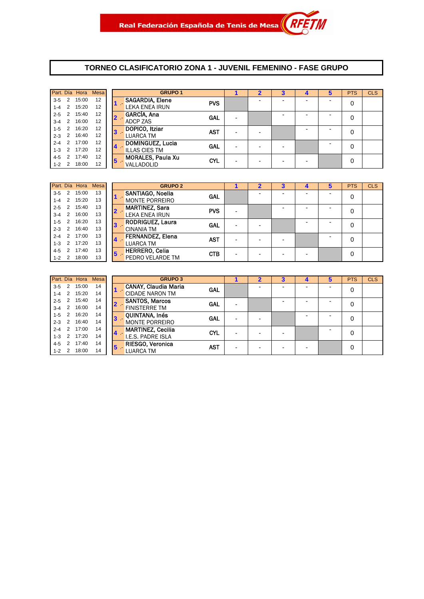#### **TORNEO CLASIFICATORIO ZONA 1 - JUVENIL FEMENINO - FASE GRUPO**

|           |                | Part Día Hora Mesa |    | <b>GRUPO 1</b>                                           |  |   | <b>PTS</b> | <b>CLS</b> |
|-----------|----------------|--------------------|----|----------------------------------------------------------|--|---|------------|------------|
| $3-5$ 2   |                | 15:00              | 12 | <b>SAGARDIA, Elene</b><br><b>PVS</b>                     |  | - | 0          |            |
| $1-4$ 2   |                | 15:20              | 12 | <b>LEKA ENEA IRUN</b>                                    |  |   |            |            |
| $2 - 5$   | $\overline{2}$ | 15:40              | 12 | GARCÍA, Ana<br>GAL<br>2 -                                |  | - | 0          |            |
| $3-4$ 2   |                | 16:00              | 12 | <b>ADCP ZAS</b>                                          |  |   |            |            |
| $1-5$ 2   |                | 16:20              | 12 | DOPICO, Itziar<br><b>AST</b><br>3 -                      |  | - | 0          |            |
| $2 - 3$ 2 |                | 16:40              | 12 | <b>LUARCA TM</b>                                         |  |   |            |            |
| $2 - 4$ 2 |                | 17:00              | 12 | DOMINGUEZ, Lucia<br><b>GAL</b>                           |  |   | 0          |            |
| $1 - 3$ 2 |                | 17:20              | 12 | $\overline{4}$<br><b>ILLAS CIES TM</b>                   |  |   |            |            |
| $4 - 5$   | $\mathcal{P}$  | 17:40              | 12 | <b>MORALES, Paula Xu</b><br><b>CYL</b><br>5 <sup>5</sup> |  | - | 0          |            |
| $1 - 2$ 2 |                | 18:00              | 12 | VALLADOLID                                               |  |   |            |            |

|           |                | Part. Día Hora Mesa |    |              | <b>GRUPO 2</b>                        |   |  |   | <b>PTS</b> | <b>CLS</b> |
|-----------|----------------|---------------------|----|--------------|---------------------------------------|---|--|---|------------|------------|
| $3 - 5$   | $\overline{2}$ | 15:00               | 13 |              | SANTIAGO, Noelia<br><b>GAL</b>        |   |  | - | 0          |            |
| $1-4$ 2   |                | 15:20               | 13 |              | <b>MONTE PORREIRO</b>                 |   |  |   |            |            |
| $2 - 5$   | 2              | 15:40               | 13 | $\mathbf{2}$ | <b>MARTINEZ, Sara</b><br><b>PVS</b>   |   |  | - | 0          |            |
| $3-4$ 2   |                | 16:00               | 13 |              | <b>LEKA ENEA IRUN</b>                 |   |  |   |            |            |
| $1 - 5$ 2 |                | 16:20               | 13 | $3 -$        | <b>RODRIGUEZ, Laura</b><br>GAL        | - |  | - | 0          |            |
| $2 - 3$ 2 |                | 16:40               | 13 |              | <b>CINANIA TM</b>                     |   |  |   |            |            |
| $2 - 4$ 2 |                | 17:00               | 13 |              | <b>FERNANDEZ, Elena</b><br><b>AST</b> | - |  |   | 0          |            |
| $1 - 3$ 2 |                | 17:20               | 13 | 4            | <b>LUARCA TM</b>                      |   |  |   |            |            |
| $4 - 5$   | 2              | 17:40               | 13 | $5^{\circ}$  | <b>HERRERO, Celia</b><br><b>CTB</b>   |   |  |   | 0          |            |
| $1 - 2$ 2 |                | 18:00               | 13 |              | PEDRO VELARDE TM                      |   |  |   |            |            |

|           |   | Part. Día Hora Mesa |    |                         | <b>GRUPO 3</b>              |            |  |  | <b>PTS</b> | <b>CLS</b> |
|-----------|---|---------------------|----|-------------------------|-----------------------------|------------|--|--|------------|------------|
| $3 - 5$   | 2 | 15:00               | 14 |                         | <b>CANAY, Claudia Maria</b> | <b>GAL</b> |  |  | 0          |            |
| $1 - 4$   | 2 | 15:20               | 14 |                         | <b>CIDADE NARON TM</b>      |            |  |  |            |            |
| $2 - 5$   | 2 | 15:40               | 14 |                         | <b>SANTOS, Marcos</b>       | GAL        |  |  | 0          |            |
| $3 - 4$   | 2 | 16:00               | 14 |                         | <b>FINISTERRE TM</b>        |            |  |  |            |            |
| $1 - 5$   | 2 | 16:20               | 14 | $\overline{\mathbf{3}}$ | <b>OUINTANA, Inés</b>       | GAL        |  |  | 0          |            |
| $2 - 3$   | 2 | 16:40               | 14 |                         | <b>MONTE PORREIRO</b>       |            |  |  |            |            |
| $2 - 4$   | 2 | 17:00               | 14 | 14                      | <b>MARTINEZ, Cecilia</b>    | <b>CYL</b> |  |  | 0          |            |
| $1 - 3$   | 2 | 17:20               | 14 |                         | <b>I.E.S. PADRE ISLA</b>    |            |  |  |            |            |
| $4 - 5$   | 2 | 17:40               | 14 | 5                       | <b>RIESGO, Veronica</b>     | <b>AST</b> |  |  | 0          |            |
| $1 - 2$ 2 |   | 18:00               | 14 |                         | <b>LUARCA TM</b>            |            |  |  |            |            |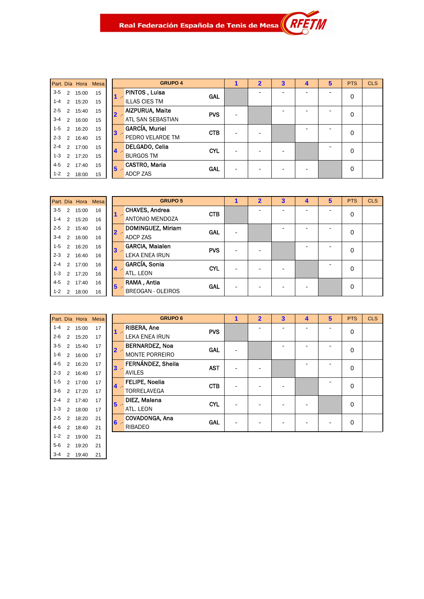|         |   | Part. Día Hora Mesa |    |
|---------|---|---------------------|----|
| $3 - 5$ | 2 | 15:00               | 15 |
| $1 - 4$ | 2 | 15:20               | 15 |
| $2 - 5$ | 2 | 15:40               | 15 |
| $3 - 4$ | 2 | 16:00               | 15 |
| $1 - 5$ | 2 | 16:20               | 15 |
| $2 - 3$ | 2 | 16:40               | 15 |
| $2 - 4$ | 2 | 17:00               | 15 |
| $1 - 3$ | 2 | 17:20               | 15 |
| $4 - 5$ | 2 | 17:40               | 15 |
| $1 - 2$ | 2 | 18:00               | 15 |

|     | <b>GRUPO 4</b>                       | $\overline{\mathbf{2}}$ | $\overline{\mathbf{3}}$ | 4 | 5 | <b>PTS</b> | <b>CLS</b> |
|-----|--------------------------------------|-------------------------|-------------------------|---|---|------------|------------|
|     | PINTOS, Luisa<br><b>GAL</b>          |                         |                         |   |   | 0          |            |
|     | <b>ILLAS CIES TM</b>                 |                         |                         |   |   |            |            |
| 2 - | <b>AIZPURUA, Maite</b><br><b>PVS</b> |                         |                         |   |   | 0          |            |
|     | <b>ATL SAN SEBASTIAN</b>             |                         |                         |   |   |            |            |
| В.  | <b>GARCÍA, Muriel</b><br><b>CTB</b>  |                         |                         |   |   | 0          |            |
|     | PEDRO VELARDE TM                     |                         |                         |   |   |            |            |
| ι.  | DELGADO, Celia<br><b>CYL</b>         |                         |                         |   |   | 0          |            |
|     | <b>BURGOS TM</b>                     |                         |                         |   |   |            |            |
| 5.  | <b>CASTRO, Maria</b><br><b>GAL</b>   |                         |                         |   |   | 0          |            |
|     | <b>ADCP ZAS</b>                      |                         |                         |   |   |            |            |

|         | Part. Día Hora Mesa |    |  |
|---------|---------------------|----|--|
| $3-5$   | 2 15:00             | 16 |  |
| $1 - 4$ | 2 15:20             | 16 |  |
| $2 - 5$ | 2 15:40             | 16 |  |
| $3 - 4$ | 2 16:00             | 16 |  |
| $1 - 5$ | 2 16:20             | 16 |  |
| $2 - 3$ | 2 16:40             | 16 |  |
| $2 - 4$ | $2 \quad 17:00$     | 16 |  |
| $1 - 3$ | $2 \quad 17:20$     | 16 |  |
| $4 - 5$ | 2 17:40             | 16 |  |
| $1 - 2$ | 2 18:00             | 16 |  |

|       | <b>GRUPO 5</b>           |            | $\overline{2}$ | $\overline{\mathbf{3}}$ | $\overline{\mathbf{4}}$ | 5 | <b>PTS</b> | <b>CLS</b> |
|-------|--------------------------|------------|----------------|-------------------------|-------------------------|---|------------|------------|
| $1 -$ | <b>CHAVES, Andrea</b>    | <b>CTB</b> |                |                         |                         |   | 0          |            |
|       | <b>ANTONIO MENDOZA</b>   |            |                |                         |                         |   |            |            |
| $2 -$ | DOMINGUEZ, Miriam        | GAL        |                |                         |                         |   | 0          |            |
|       | <b>ADCP ZAS</b>          |            |                |                         |                         |   |            |            |
| $3 -$ | <b>GARCIA, Maialen</b>   | <b>PVS</b> |                |                         |                         |   | 0          |            |
|       | LEKA ENEA IRUN           |            |                |                         |                         |   |            |            |
| $4$ . | GARCÍA, Sonia            | <b>CYL</b> | -              |                         |                         |   | 0          |            |
|       | ATL. LEON                |            |                |                         |                         |   |            |            |
| $5 -$ | RAMA, Antia              | <b>GAL</b> |                |                         |                         |   | 0          |            |
|       | <b>BREOGAN - OLEIROS</b> |            | ٠              |                         |                         |   |            |            |

| Part. Día |                | Hora  | Mesa |
|-----------|----------------|-------|------|
| $1 - 4$   | 2              | 15:00 | 17   |
| 2-6       | 2              | 15:20 | 17   |
| $3 - 5$   | $\overline{2}$ | 15:40 | 17   |
| 1-6       | 2              | 16:00 | 17   |
| $4 - 5$   | $\overline{2}$ | 16:20 | 17   |
| $2 - 3$   | $\overline{2}$ | 16:40 | 17   |
| $1 - 5$   | 2              | 17:00 | 17   |
| 3-6       | $\overline{2}$ | 17:20 | 17   |
| $2 - 4$   | $\overline{2}$ | 17.40 | 17   |
| $1 - 3$   | 2              | 18:00 | 17   |
| $2 - 5$   | $\overline{2}$ | 18:20 | 21   |
| 4-6       | $\overline{2}$ | 18:40 | 21   |
| $1 - 2$   | 2              | 19:00 | 21   |
| 5-6       | 2              | 19:20 | 21   |
| $3 - 4$   | 2              | 19:40 | 21   |

|                | <b>GRUPO 6</b>                                 |            | 1 | $\overline{\mathbf{2}}$ | $\overline{\mathbf{3}}$ | $\overline{\mathbf{A}}$ | 5 | <b>PTS</b> | <b>CLS</b> |
|----------------|------------------------------------------------|------------|---|-------------------------|-------------------------|-------------------------|---|------------|------------|
| $1 -$          | RIBERA, Ane<br><b>LEKA ENEA IRUN</b>           | <b>PVS</b> |   |                         |                         |                         |   | 0          |            |
| $2 -$          | <b>BERNARDEZ, Noa</b><br><b>MONTE PORREIRO</b> | <b>GAL</b> |   |                         |                         |                         |   | 0          |            |
| $3 -$          | FERNÁNDEZ, Sheila<br><b>AVILES</b>             | <b>AST</b> |   |                         |                         |                         |   | 0          |            |
| $4 -$          | FELIPE, Noelia<br><b>TORRELAVEGA</b>           | <b>CTB</b> |   |                         |                         |                         |   | 0          |            |
| $5 -$          | DIEZ, Malena<br>ATL. LEON                      | <b>CYL</b> |   |                         |                         |                         |   | 0          |            |
| 6 <sup>1</sup> | COVADONGA, Ana<br><b>RIBADEO</b>               | <b>GAL</b> |   |                         |                         |                         |   | 0          |            |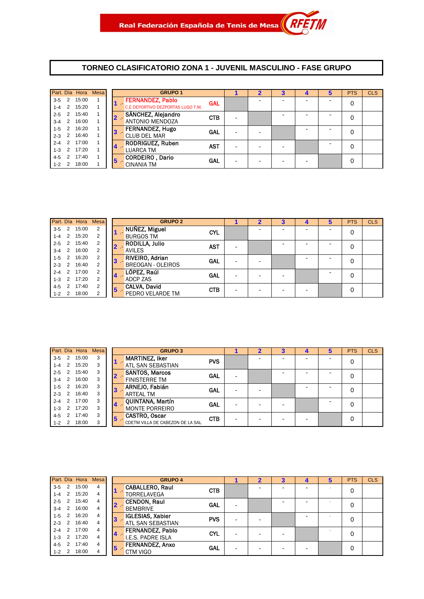#### **TORNEO CLASIFICATORIO ZONA 1 - JUVENIL MASCULINO - FASE GRUPO**

|           |                | Part. Día Hora Mesa |   | <b>GRUPO 1</b>                    |            |  |  | <b>PTS</b> | <b>CLS</b> |
|-----------|----------------|---------------------|---|-----------------------------------|------------|--|--|------------|------------|
| $3-5$ 2   |                | 15:00               |   | <b>FERNANDEZ, Pablo</b>           | <b>GAL</b> |  |  | 0          |            |
| $1 - 4$ 2 |                | 15:20               |   | C.E DEPORTIVO DEZPORTAS LUGO T.M. |            |  |  |            |            |
| $2 - 5$   | 2              | 15:40               |   | SÁNCHEZ, Alejandro                | <b>CTB</b> |  |  | 0          |            |
| $3-4$ 2   |                | 16:00               |   | <b>ANTONIO MENDOZA</b>            |            |  |  |            |            |
| $1-5$     | $\overline{2}$ | 16:20               | 3 | <b>FERNANDEZ, Hugo</b>            | GAL        |  |  | 0          |            |
| $2-3$ 2   |                | 16:40               |   | <b>CLUB DEL MAR</b>               |            |  |  |            |            |
| $2 - 4$ 2 |                | 17:00               |   | <b>RODRIGUEZ, Ruben</b>           | <b>AST</b> |  |  | 0          |            |
| $1 - 3$ 2 |                | 17:20               |   | <b>LUARCA TM</b>                  |            |  |  |            |            |
| 4-5       | 2              | 17:40               | 5 | CORDEIRO, Dario                   | GAL        |  |  | 0          |            |
| $1 - 2$ 2 |                | 18:00               |   | <b>CINANIA TM</b>                 |            |  |  |            |            |

|         |                | Part. Día Hora Mesa |                |    | <b>GRUPO 2</b>                      | 2 | 3 | 4 | <b>PTS</b> | <b>CLS</b> |
|---------|----------------|---------------------|----------------|----|-------------------------------------|---|---|---|------------|------------|
| $3 - 5$ | 2              | 15:00               | 2              |    | NUÑEZ, Miguel<br><b>CYL</b>         |   |   |   | 0          |            |
| $1 - 4$ | 2              | 15:20               | 2              |    | <b>BURGOS TM</b>                    |   |   |   |            |            |
| $2 - 5$ | 2              | 15:40               | 2              |    | <b>RODILLA, Julio</b><br><b>AST</b> |   | - |   | 0          |            |
| $3 - 4$ | $\overline{2}$ | 16:00               |                |    | <b>AVILES</b>                       |   |   |   |            |            |
| $1-5$   | 2              | 16:20               | 2              | 13 | RIVEIRO, Adrian<br><b>GAL</b>       |   |   |   | 0          |            |
| $2 - 3$ | $\overline{2}$ | 16:40               | $\overline{2}$ |    | <b>BREOGAN - OLEIROS</b>            |   |   |   |            |            |
| $2 - 4$ | 2              | 17:00               | 2              |    | LÓPEZ, Raúl<br><b>GAL</b>           |   |   |   |            |            |
| $1 - 3$ | 2              | 17:20               | 2              | 14 | <b>ADCP ZAS</b>                     |   |   |   |            |            |
| 4-5     | 2              | 17:40               | 2              | 15 | <b>CALVA, David</b><br><b>CTB</b>   |   | - |   | 0          |            |
| $1 - 2$ | 2              | 18:00               | 2              |    | PEDRO VELARDE TM                    |   |   |   |            |            |

|         |               | Part. Día Hora | <b>Mesa</b> |    | <b>GRUPO 3</b>                   |            |  |  | <b>PTS</b> | <b>CLS</b> |
|---------|---------------|----------------|-------------|----|----------------------------------|------------|--|--|------------|------------|
| $3-5$   | 2             | 15:00          | 3           |    | <b>MARTINEZ, Iker</b>            | <b>PVS</b> |  |  | 0          |            |
| $1 - 4$ | 2             | 15:20          | 3           |    | <b>ATL SAN SEBASTIAN</b>         |            |  |  |            |            |
| $2 - 5$ |               | 15:40          | 3           |    | <b>SANTOS, Marcos</b>            | GAL        |  |  | 0          |            |
| $3 - 4$ | 2             | 16:00          | 3           |    | <b>FINISTERRE TM</b>             |            |  |  |            |            |
| $1 - 5$ |               | 16:20          | 3           |    | ARNEJO, Fabián                   | <b>GAL</b> |  |  | 0          |            |
| $2 - 3$ | 2             | 16:40          | 3           |    | <b>ARTEAL TM</b>                 |            |  |  |            |            |
| $2 - 4$ | 2             | 17:00          | 3           |    | QUINTANA, Martín                 | GAL        |  |  | 0          |            |
| $1 - 3$ | $\mathcal{P}$ | 17:20          | 3           |    | <b>MONTE PORREIRO</b>            |            |  |  |            |            |
| $4 - 5$ |               | 17:40          | 3           | 15 | CASTRO, Oscar                    | <b>CTB</b> |  |  | 0          |            |
| $1 - 2$ | 2             | 18:00          | 3           |    | CDETM VILLA DE CABEZON DE LA SAL |            |  |  |            |            |

|           |                | Part. Día Hora Mesa |   |                | <b>GRUPO 4</b>           |            |  | з |  | <b>PTS</b> | <b>CLS</b> |
|-----------|----------------|---------------------|---|----------------|--------------------------|------------|--|---|--|------------|------------|
| $3 - 5$   | 2              | 15:00               | 4 |                | <b>CABALLERO, Raul</b>   | <b>CTB</b> |  |   |  | 0          |            |
| $1 - 4$   | 2              | 15:20               | 4 |                | <b>TORRELAVEGA</b>       |            |  |   |  |            |            |
| $2 - 5$   | 2              | 15:40               | 4 |                | <b>CENDON, Raul</b>      | <b>GAL</b> |  |   |  |            |            |
| $3 - 4$   | 2              | 16:00               | 4 |                | <b>BEMBRIVE</b>          |            |  |   |  |            |            |
| $1 - 5$   | 2              | 16:20               | 4 | 3              | <b>IGLESIAS, Xabier</b>  | <b>PVS</b> |  |   |  |            |            |
| $2 - 3$   | 2              | 16:40               | 4 |                | <b>ATL SAN SEBASTIAN</b> |            |  |   |  |            |            |
| $2 - 4$   | 2              | 17:00               | 4 |                | <b>FERNANDEZ, Pablo</b>  | <b>CYL</b> |  |   |  |            |            |
| $1 - 3$   | $\overline{2}$ | 17:20               | 4 | $\overline{4}$ | I.E.S. PADRE ISLA        |            |  |   |  |            |            |
| $4 - 5$   | $\mathcal{P}$  | 17:40               | 4 | 5              | <b>FERNANDEZ, Anxo</b>   | GAL        |  |   |  | 0          |            |
| $1 - 2$ 2 |                | 18:00               |   |                | CTM VIGO                 |            |  |   |  |            |            |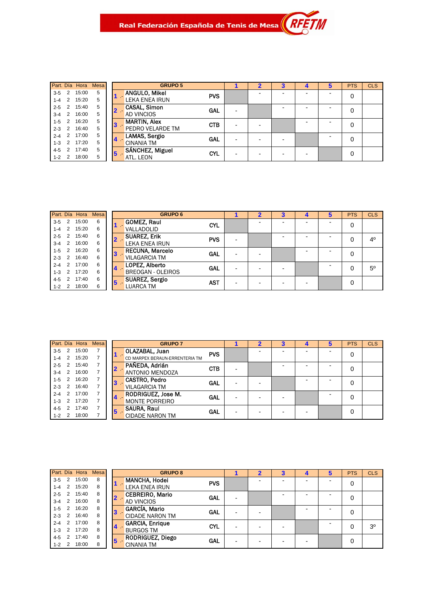|         |               | Part. Día Hora | <b>Mesa</b> |   | <b>GRUPO 5</b>       |            |   | 3 |  | <b>PTS</b> | <b>CLS</b> |
|---------|---------------|----------------|-------------|---|----------------------|------------|---|---|--|------------|------------|
| $3 - 5$ | 2             | 15:00          | 5           |   | <b>ANGULO, Mikel</b> | <b>PVS</b> |   |   |  | 0          |            |
| 1-4     | $\mathcal{P}$ | 15:20          | 5           |   | LEKA ENEA IRUN       |            |   |   |  |            |            |
| $2 - 5$ | 2             | 15:40          | 5           |   | <b>CASAL, Simon</b>  | GAL        |   |   |  | 0          |            |
| $3 - 4$ | 2             | 16:00          | 5           |   | <b>AD VINCIOS</b>    |            |   |   |  |            |            |
| $1-5$   |               | 16:20          | 5           | 3 | <b>MARTIN, Alex</b>  | <b>CTB</b> | - |   |  | 0          |            |
| $2 - 3$ | 2             | 16:40          | 5           |   | PEDRO VELARDE TM     |            |   |   |  |            |            |
| $2 - 4$ | 2             | 17:00          | 5           |   | LAMAS, Sergio        | <b>GAL</b> |   |   |  | 0          |            |
| $1 - 3$ | 2             | 17:20          | 5           |   | <b>CINANIA TM</b>    |            |   |   |  |            |            |
| $4 - 5$ |               | 17:40          | 5           | 5 | SÁNCHEZ, Miguel      | <b>CYL</b> |   |   |  | 0          |            |
| $1 - 2$ | 2             | 18:00          | 5           |   | ATL. LEON            |            |   |   |  |            |            |

|         |   | Part. Día Hora | <b>Mesa</b> | <b>GRUPO 6</b>                    |                          |   |  | <b>PTS</b> | <b>CLS</b>  |
|---------|---|----------------|-------------|-----------------------------------|--------------------------|---|--|------------|-------------|
| $3-5$   | 2 | 15:00          | 6           | <b>GOMEZ, Raul</b><br><b>CYL</b>  |                          |   |  |            |             |
| $1 - 4$ | 2 | 15:20          | 6           | VALLADOLID                        |                          |   |  |            |             |
| $2 - 5$ | 2 | 15:40          | 6           | <b>SUAREZ, Erik</b><br><b>PVS</b> | $\overline{\phantom{a}}$ |   |  |            | $4^{\circ}$ |
| $3 - 4$ | 2 | 16:00          | 6           | <b>LEKA ENEA IRUN</b>             |                          |   |  |            |             |
| $1 - 5$ | 2 | 16:20          | 6           | <b>RECUNA, Marcelo</b><br>GAL     | $\overline{\phantom{0}}$ | - |  |            |             |
| $2 - 3$ | 2 | 16:40          | 6           | <b>VILAGARCIA TM</b>              |                          |   |  |            |             |
| $2 - 4$ | 2 | 17:00          | 6           | LOPEZ, Alberto<br>GAL             |                          | ۰ |  |            | $5^{\circ}$ |
| $1 - 3$ | 2 | 17:20          | 6           | <b>BREOGAN - OLEIROS</b>          | $\overline{\phantom{0}}$ |   |  |            |             |
| $4 - 5$ | 2 | 17:40          | 6           | <b>SUAREZ, Sergio</b><br>AST<br>5 | -                        |   |  |            |             |
| $1 - 2$ | 2 | 18:00          | 6           | <b>LUARCA TM</b>                  |                          | - |  |            |             |

|         |                | Part. Día Hora | <b>Mesa</b> |   | <b>GRUPO 7</b>                 |            |  |  | <b>PTS</b> | <b>CLS</b> |
|---------|----------------|----------------|-------------|---|--------------------------------|------------|--|--|------------|------------|
| $3-5$   | $\overline{2}$ | 15:00          |             |   | OLAZABAL, Juan                 | <b>PVS</b> |  |  | 0          |            |
| $1 - 4$ | 2              | 15:20          |             |   | CD MARPEX BERAUN-ERRENTERIA TM |            |  |  |            |            |
| $2 - 5$ | 2              | 15:40          |             |   | PAÑEDA, Adrián                 | <b>CTB</b> |  |  | 0          |            |
| $3 - 4$ | 2              | 16:00          |             |   | <b>ANTONIO MENDOZA</b>         |            |  |  |            |            |
| $1 - 5$ | 2              | 16:20          |             | 3 | CASTRO, Pedro                  | <b>GAL</b> |  |  | 0          |            |
| $2 - 3$ | 2              | 16:40          |             |   | <b>VILAGARCIA TM</b>           |            |  |  |            |            |
| $2 - 4$ | 2              | 17:00          |             |   | RODRIGUEZ, Jose M.             | <b>GAL</b> |  |  | 0          |            |
| $1 - 3$ | $\mathcal{P}$  | 17:20          |             |   | <b>MONTE PORREIRO</b>          |            |  |  |            |            |
| 4-5     |                | 17:40          |             | 5 | <b>SAURA, Raul</b>             | <b>GAL</b> |  |  | 0          |            |
| $1 - 2$ | $\overline{2}$ | 18:00          |             |   | <b>CIDADE NARON TM</b>         |            |  |  |            |            |

|         |               | Part. Día Hora | Mesa |   | <b>GRUPO 8</b>                       | 2 | 3 |  | <b>PTS</b> | <b>CLS</b> |
|---------|---------------|----------------|------|---|--------------------------------------|---|---|--|------------|------------|
| $3 - 5$ | 2             | 15:00          | 8    |   | <b>MANCHA, Hodei</b><br><b>PVS</b>   |   | - |  |            |            |
| $1 - 4$ | $\mathcal{P}$ | 15:20          | 8    |   | LEKA ENEA IRUN                       |   |   |  |            |            |
| $2 - 5$ | 2             | 15:40          | 8    |   | <b>CEBREIRO, Mario</b><br>GAL        |   |   |  | 0          |            |
| $3 - 4$ | 2             | 16:00          | 8    |   | <b>AD VINCIOS</b>                    |   |   |  |            |            |
| $1-5$   | 2             | 16:20          | 8    |   | <b>GARCÍA, Mario</b><br>GAL          |   |   |  |            |            |
| $2 - 3$ | 2             | 16:40          | 8    |   | <b>CIDADE NARON TM</b>               |   |   |  |            |            |
| $2 - 4$ | 2             | 17:00          | 8    |   | <b>GARCIA, Enrique</b><br><b>CYL</b> |   |   |  |            | 30         |
| $1 - 3$ | $\mathcal{P}$ | 17:20          | 8    |   | <b>BURGOS TM</b>                     |   | - |  |            |            |
| $4 - 5$ | 2             | 17:40          | 8    | 5 | <b>RODRIGUEZ, Diego</b><br>GAL       |   | - |  |            |            |
| $1 - 2$ | 2             | 18:00          | 8    |   | <b>CINANIA TM</b>                    |   |   |  |            |            |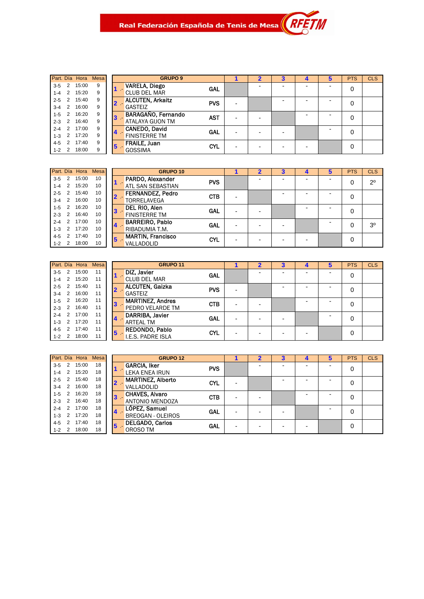| Part. Día |   | Hora  | Mesa |
|-----------|---|-------|------|
| $3 - 5$   | 2 | 15:00 | 9    |
| $1 - 4$   | 2 | 15:20 | 9    |
| $2 - 5$   | 2 | 15:40 | 9    |
| $3 - 4$   | 2 | 16:00 | 9    |
| $1 - 5$   | 2 | 16:20 | 9    |
| $2 - 3$   | 2 | 16:40 | 9    |
| $2 - 4$   | 2 | 17:00 | 9    |
| $1 - 3$   | 2 | 17:20 | 9    |
| $4 - 5$   | 2 | 17:40 | 9    |
| 1-2       | 2 | 18:00 | 9    |
|           |   |       |      |

|   | <b>GRUPO 9</b>                                |            |  | 3 | 4 | 5 | PIS | <b>CLS</b> |
|---|-----------------------------------------------|------------|--|---|---|---|-----|------------|
|   | <b>VARELA, Diego</b><br><b>CLUB DEL MAR</b>   | GAL        |  |   |   |   | 0   |            |
|   | <b>ALCUTEN, Arkaitz</b><br><b>GASTEIZ</b>     | <b>PVS</b> |  |   |   |   |     |            |
| 3 | BARAGAÑO, Fernando<br><b>ATALAYA GIJON TM</b> | <b>AST</b> |  |   |   |   | O   |            |
| 4 | CANEDO, David<br><b>FINISTERRE TM</b>         | <b>GAL</b> |  |   |   |   | 0   |            |
| 5 | FRAILE, Juan<br><b>GOSSIMA</b>                | <b>CYL</b> |  |   |   |   | O   |            |

M

|         |   | Part Día Hora Mesa |    |   | <b>GRUPO 10</b>                        |  | 3 |  | <b>PTS</b> | <b>CLS</b>  |
|---------|---|--------------------|----|---|----------------------------------------|--|---|--|------------|-------------|
| $3 - 5$ | 2 | 15:00              | 10 |   | <b>PARDO, Alexander</b><br><b>PVS</b>  |  |   |  |            | $2^{\circ}$ |
| $1 - 4$ | 2 | 15:20              | 10 |   | <b>ATL SAN SEBASTIAN</b>               |  |   |  |            |             |
| $2 - 5$ | 2 | 15:40              | 10 |   | <b>FERNANDEZ, Pedro</b><br><b>CTB</b>  |  |   |  | 0          |             |
| $3 - 4$ | 2 | 16:00              | 10 |   | <b>TORRELAVEGA</b>                     |  |   |  |            |             |
| $1 - 5$ | 2 | 16:20              | 10 | 3 | <b>DEL RIO, Alen</b><br>GAL            |  |   |  | 0          |             |
| $2 - 3$ | 2 | 16:40              | 10 |   | <b>FINISTERRE TM</b>                   |  |   |  |            |             |
| $2 - 4$ | 2 | 17:00              | 10 |   | <b>BARREIRO, Pablo</b><br>GAL          |  |   |  |            | 30          |
| $1 - 3$ | 2 | 17:20              | 10 | 4 | RIBADUMIA T.M.                         |  |   |  |            |             |
| $4 - 5$ |   | 17:40              | 10 | 5 | <b>MARTIN, Francisco</b><br><b>CYL</b> |  |   |  | 0          |             |
| $1 - 2$ |   | 18:00              | 10 |   | VALLADOLID                             |  |   |  |            |             |

|         |                | Part. Día Hora Mesa |    |            | <b>GRUPO 11</b>         |            |   | 3                        |  | <b>PTS</b> | <b>CLS</b> |
|---------|----------------|---------------------|----|------------|-------------------------|------------|---|--------------------------|--|------------|------------|
| $3 - 5$ | 2              | 15:00               | 11 |            | DIZ, Javier             | GAL        |   |                          |  |            |            |
| 1-4     | 2              | 15:20               | 11 |            | <b>CLUB DEL MAR</b>     |            |   |                          |  |            |            |
| $2 - 5$ | 2              | 15:40               | 11 |            | <b>ALCUTEN, Gaizka</b>  | <b>PVS</b> |   |                          |  | 0          |            |
| $3 - 4$ | 2              | 16:00               | 11 |            | <b>GASTEIZ</b>          |            |   |                          |  |            |            |
| $1 - 5$ | 2              | 16:20               | 11 | 3          | <b>MARTINEZ, Andres</b> | <b>CTB</b> |   |                          |  |            |            |
| $2 - 3$ | 2              | 16:40               | 11 |            | <b>PEDRO VELARDE TM</b> |            |   |                          |  |            |            |
| $2 - 4$ | $\mathcal{P}$  | 17:00               | 11 |            | <b>DARRIBA, Javier</b>  | GAL        |   |                          |  |            |            |
| $1 - 3$ | $\mathcal{P}$  | 17:20               | 11 |            | <b>ARTEAL TM</b>        |            |   |                          |  |            |            |
| $4 - 5$ | $\overline{2}$ | 17:40               | 11 | $\sqrt{5}$ | <b>REDONDO, Pablo</b>   | <b>CYL</b> | - | $\overline{\phantom{0}}$ |  | 0          |            |
| $1 - 2$ | 2              | 18:00               | 11 |            | I.E.S. PADRE ISLA       |            |   |                          |  |            |            |

|         |                | Part. Día Hora Mesa |    |   | <b>GRUPO 12</b>          |            |  | з |   | Ð | <b>PTS</b> | <b>CLS</b> |
|---------|----------------|---------------------|----|---|--------------------------|------------|--|---|---|---|------------|------------|
| $3 - 5$ | 2              | 15:00               | 18 |   | <b>GARCIA, Iker</b>      | <b>PVS</b> |  |   |   |   | 0          |            |
| $1 - 4$ | 2              | 15:20               | 18 |   | <b>LEKA ENEA IRUN</b>    |            |  |   |   |   |            |            |
| $2 - 5$ | 2              | 15:40               | 18 |   | <b>MARTINEZ, Alberto</b> | <b>CYL</b> |  |   |   |   | 0          |            |
| $3 - 4$ | 2              | 16:00               | 18 |   | VALLADOLID               |            |  |   |   |   |            |            |
| $1 - 5$ | 2              | 16:20               | 18 | 3 | <b>CHAVES, Alvaro</b>    | <b>CTB</b> |  |   | - |   | 0          |            |
| $2 - 3$ | 2              | 16:40               | 18 |   | <b>ANTONIO MENDOZA</b>   |            |  |   |   |   |            |            |
| $2 - 4$ | 2              | 17:00               | 18 |   | LÓPEZ, Samuel            | GAL        |  |   |   |   | 0          |            |
| $1 - 3$ | $\mathcal{P}$  | 17:20               | 18 |   | <b>BREOGAN - OLEIROS</b> |            |  |   |   |   |            |            |
| $4 - 5$ | $\mathfrak{p}$ | 17:40               | 18 | 5 | <b>DELGADO, Carlos</b>   | GAL        |  |   | - |   | 0          |            |
| $1 - 2$ | 2              | 18:00               | 18 |   | OROSO TM                 |            |  | - |   |   |            |            |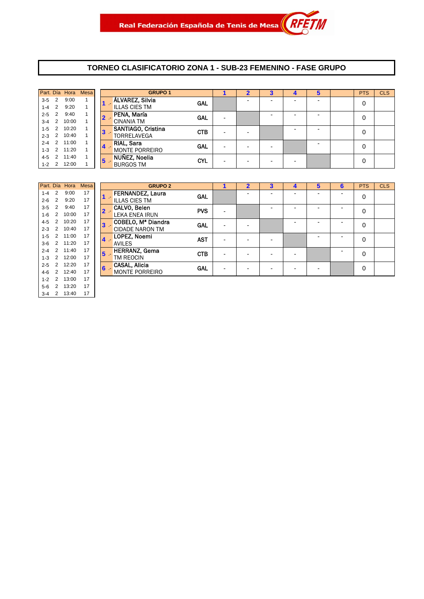#### **TORNEO CLASIFICATORIO ZONA 1 - SUB-23 FEMENINO - FASE GRUPO**

|           |                | Part. Día Hora | <b>Mesa</b> |    |              | <b>GRUPO 1</b>        |            |  |  |   | <b>PTS</b> | <b>CLS</b> |
|-----------|----------------|----------------|-------------|----|--------------|-----------------------|------------|--|--|---|------------|------------|
| $3-5$     | $\overline{2}$ | 9:00           |             |    |              | ÁLVAREZ, Silvia       | GAL        |  |  |   | 0          |            |
| $1-4$ 2   |                | 9:20           |             |    |              | <b>ILLAS CIES TM</b>  |            |  |  |   |            |            |
| $2 - 5$ 2 |                | 9:40           |             |    | $\mathbf{2}$ | PENA, María           | <b>GAL</b> |  |  |   | 0          |            |
|           |                | 3-4 2 10:00    |             |    |              | <b>CINANIA TM</b>     |            |  |  |   |            |            |
|           |                | 1-5 2 10:20    |             | 3  |              | SANTIAGO, Cristina    | <b>CTB</b> |  |  | - | 0          |            |
|           |                | 2-3 2 10:40    |             |    |              | <b>TORRELAVEGA</b>    |            |  |  |   |            |            |
|           |                | 2-4 2 11:00    |             |    |              | <b>RIAL, Sara</b>     | <b>GAL</b> |  |  |   | 0          |            |
|           |                | 1-3 2 11:20    |             | 14 |              | <b>MONTE PORREIRO</b> |            |  |  |   |            |            |
| $4 - 5$   |                | 2 11:40        |             | 15 |              | NUÑEZ, Noelia         | <b>CYL</b> |  |  |   | 0          |            |
|           |                | 1-2 2 12:00    |             |    |              | <b>BURGOS TM</b>      |            |  |  |   |            |            |

|         |   | Part. Día Hora | Mesa |   | GRI                   |
|---------|---|----------------|------|---|-----------------------|
| $1 - 4$ | 2 | 9:00           | 17   |   | FERNANDEZ, La         |
| $2 - 6$ | 2 | 9:20           | 17   |   | <b>ILLAS CIES TM</b>  |
| $3-5$   | 2 | 9:40           | 17   |   | CALVO, Belen          |
| $1 - 6$ | 2 | 10:00          | 17   |   | <b>LEKA ENEA IRUN</b> |
| $4 - 5$ | 2 | 10:20          | 17   | 3 | COBELO, Mª Dia        |
| $2 - 3$ | 2 | 10:40          | 17   |   | <b>CIDADE NARON 1</b> |
| $1 - 5$ | 2 | 11:00          | 17   |   | LOPEZ, Noemi          |
| $3-6$   | 2 | 11:20          | 17   |   | <b>AVILES</b>         |
| $2 - 4$ | 2 | 11:40          | 17   | 5 | <b>HERRANZ, Gema</b>  |
| $1 - 3$ | 2 | 12:00          | 17   |   | TM REOCIN             |
| $2 - 5$ | 2 | 12:20          | 17   | 6 | <b>CASAL, Alicia</b>  |
| $4 - 6$ | 2 | 12:40          | 17   |   | <b>MONTE PORREIR</b>  |
| $1 - 2$ | 2 | 13:00          | 17   |   |                       |
| $5-6$   | 2 | 13:20          | 17   |   |                       |
| $3 - 4$ | 2 | 13:40          | 17   |   |                       |

|         |               |                                  | Part. Día Hora Mesa |    | <b>GRUPO 2</b>          |            |   | 2 | 3                        | 5 | ь | <b>PTS</b> | <b>CLS</b> |
|---------|---------------|----------------------------------|---------------------|----|-------------------------|------------|---|---|--------------------------|---|---|------------|------------|
| $1 - 4$ | 2             | 9:00                             | 17                  |    | <b>FERNANDEZ, Laura</b> | GAL        |   |   |                          |   |   | 0          |            |
| $2 - 6$ | $\mathcal{P}$ | 9:20                             | 17                  |    | <b>ILLAS CIES TM</b>    |            |   |   |                          |   |   |            |            |
| $3 - 5$ | $\mathcal{P}$ | 9:40                             | 17                  |    | CALVO, Belen            | <b>PVS</b> |   |   |                          |   |   |            |            |
| $1-6$   | 2             | 10:00                            | 17                  |    | <b>LEKA ENEA IRUN</b>   |            | - |   |                          |   |   | $\Omega$   |            |
| 4-5     | 2             | 10:20                            | 17                  | 3  | COBELO, Mª Diandra      | <b>GAL</b> |   |   |                          |   |   | $\Omega$   |            |
| $2 - 3$ | $\mathcal{P}$ | 10:40                            | 17                  |    | <b>CIDADE NARON TM</b>  |            | - | - |                          |   |   |            |            |
| $1 - 5$ | 2             | 11:00                            | 17                  |    | LOPEZ, Noemi            | <b>AST</b> |   |   |                          |   |   | 0          |            |
| $3-6$   |               | 2 11:20                          | 17                  | 4. | <b>AVILES</b>           |            | - | - |                          |   |   |            |            |
| $2 - 4$ | 2             | 11:40                            | 17                  | 5  | <b>HERRANZ, Gema</b>    | <b>CTB</b> |   |   |                          |   |   | 0          |            |
| $1 - 3$ | 2             | 12:00                            | 17                  |    | TM REOCIN               |            | - | - | $\overline{\phantom{0}}$ |   |   |            |            |
| $2 - 5$ | $\mathcal{P}$ | 12:20                            | 17                  | 6  | CASAL, Alicia           | <b>GAL</b> |   |   |                          |   |   | $\Omega$   |            |
| 4-6     | $\mathcal{P}$ | 12:40                            | 17                  |    | <b>MONTE PORREIRO</b>   |            | - | - |                          |   |   |            |            |
|         |               | $\sqrt{2}$ $\sqrt{2}$ $\sqrt{2}$ | $4 -$               |    |                         |            |   |   |                          |   |   |            |            |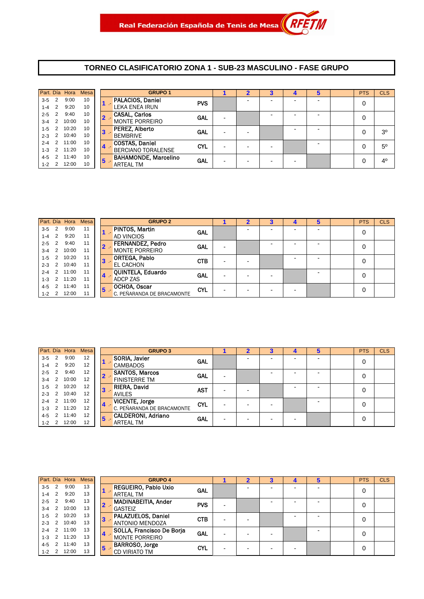#### **TORNEO CLASIFICATORIO ZONA 1 - SUB-23 MASCULINO - FASE GRUPO**

|           |                | Part. Día Hora | <b>Mesa</b> |    | <b>GRUPO 1</b>              |            |  |  | 5 | <b>PTS</b> | <b>CLS</b>     |
|-----------|----------------|----------------|-------------|----|-----------------------------|------------|--|--|---|------------|----------------|
| $3-5$ 2   |                | 9:00           | 10          |    | <b>PALACIOS, Daniel</b>     | <b>PVS</b> |  |  | - | 0          |                |
| $1-4$ 2   |                | 9:20           | 10          |    | <b>LEKA ENEA IRUN</b>       |            |  |  |   |            |                |
| $2 - 5$   | $\overline{2}$ | 9:40           | 10          |    | <b>CASAL, Carlos</b>        | <b>GAL</b> |  |  |   | 0          |                |
| $3-4$ 2   |                | 10:00          | 10          |    | <b>MONTE PORREIRO</b>       |            |  |  |   |            |                |
|           |                | 1-5 2 10:20    | 10          | 3  | PEREZ, Alberto              | <b>GAL</b> |  |  | - | 0          | 3 <sup>o</sup> |
|           |                | 2-3 2 10:40    | 10          |    | <b>BEMBRIVE</b>             |            |  |  |   |            |                |
|           |                | 2-4 2 11:00    | 10          |    | <b>COSTAS, Daniel</b>       | <b>CYL</b> |  |  |   | 0          | 5 <sup>0</sup> |
|           |                | 1-3 2 11:20    | 10          | 14 | <b>BERCIANO TORALENSE</b>   |            |  |  |   |            |                |
| 4-5       | $\overline{2}$ | 11:40          | 10          | 5  | <b>BAHAMONDE, Marcelino</b> | <b>GAL</b> |  |  |   | 0          | $4^{\circ}$    |
| $1 - 2$ 2 |                | 12:00          | 10          |    | <b>ARTEAL TM</b>            |            |  |  |   |            |                |

|           |                   | Part. Día Hora | Mesa |                | <b>GRUPO 2</b>             |            | $\overline{2}$ | 4 | 5 | <b>PTS</b> | <b>CLS</b> |
|-----------|-------------------|----------------|------|----------------|----------------------------|------------|----------------|---|---|------------|------------|
| $3-5$ 2   |                   | 9:00           | 11   |                | <b>PINTOS, Martin</b>      | <b>GAL</b> |                |   |   | 0          |            |
| $1-4$ 2   |                   | 9:20           | 11   |                | <b>AD VINCIOS</b>          |            |                |   |   |            |            |
| $2 - 5$ 2 |                   | 9:40           | 11   |                | <b>FERNANDEZ, Pedro</b>    | <b>GAL</b> |                |   |   | 0          |            |
| $3-4$ 2   |                   | 10:00          | 11   |                | <b>MONTE PORREIRO</b>      |            |                |   |   |            |            |
| $1 - 5$   | $\cdot$ 2 $\cdot$ | 10:20          | 11   | З              | <b>ORTEGA, Pablo</b>       | <b>CTB</b> |                |   |   | 0          |            |
|           |                   | 2-3 2 10:40    | 11   |                | <b>EL CACHON</b>           |            |                |   |   |            |            |
| $2-4$ 2   |                   | 11:00          | 11   |                | QUINTELA, Eduardo          | <b>GAL</b> |                |   |   | $\Omega$   |            |
|           |                   | 1-3 2 11:20    | 11   | $\blacksquare$ | ADCP ZAS                   |            |                |   |   |            |            |
| 4-5       |                   | 2 11:40        | 11   | 15             | OCHOA, Oscar               | <b>CYL</b> |                |   |   | 0          |            |
|           |                   | 1-2 2 12:00    | 11   |                | C. PEÑARANDA DE BRACAMONTE |            |                |   |   |            |            |

|         |                 | Part. Día Hora | <b>Mesa</b> |   | <b>GRUPO 3</b>             |                          |  | 4 | 5 | <b>PTS</b> | <b>CLS</b> |
|---------|-----------------|----------------|-------------|---|----------------------------|--------------------------|--|---|---|------------|------------|
| $3-5$   | $\overline{2}$  | 9:00           | 12          |   | SORIA, Javier              | <b>GAL</b>               |  |   |   | 0          |            |
| $1 - 4$ | 2               | 9:20           | 12          |   | <b>CAMBADOS</b>            |                          |  |   |   |            |            |
| $2 - 5$ | $\overline{2}$  | 9:40           | 12          |   | <b>SANTOS, Marcos</b>      | <b>GAL</b>               |  |   |   | 0          |            |
| $3 - 4$ | $\overline{2}$  | 10:00          | 12          |   | <b>FINISTERRE TM</b>       |                          |  |   |   |            |            |
| $1-5$   | 2               | 10:20          | 12          |   | <b>RIERA, David</b>        | <b>AST</b>               |  |   |   | 0          |            |
| $2 - 3$ | 2               | 10:40          | 12          |   | <b>AVILES</b>              |                          |  |   |   |            |            |
| $2 - 4$ | 2               | 11:00          | 12          |   | <b>VICENTE, Jorge</b>      |                          |  |   |   |            |            |
| $1 - 3$ | $\sim$ 2 $\sim$ | 11:20          | 12          |   | C. PEÑARANDA DE BRACAMONTE |                          |  |   |   |            |            |
| $4 - 5$ | 2               | 11:40          | 12          |   | <b>CALDERONI, Adriano</b>  |                          |  |   |   |            |            |
| $1 - 2$ | 2 <sup>2</sup>  | 12:00          | 12          |   | <b>ARTEAL TM</b>           |                          |  |   |   |            |            |
|         |                 |                |             | 5 |                            | <b>CYL</b><br><b>GAL</b> |  |   |   | 0<br>0     |            |

|           |                | Part. Día Hora | <b>Mesa</b> |                | <b>GRUPO 4</b>              |            |   |  | 5                        | <b>PTS</b> | <b>CLS</b> |
|-----------|----------------|----------------|-------------|----------------|-----------------------------|------------|---|--|--------------------------|------------|------------|
| $3-5$     | $\overline{2}$ | 9:00           | 13          |                | <b>REGUEIRO, Pablo Uxio</b> | GAL        |   |  | -                        | 0          |            |
| $1 - 4$   | $\overline{2}$ | 9:20           | 13          |                | <b>ARTEAL TM</b>            |            |   |  |                          |            |            |
| $2 - 5$   | 2              | 9:40           | 13          |                | <b>MADINABEITIA, Ander</b>  | <b>PVS</b> | - |  | $\overline{\phantom{0}}$ | 0          |            |
| $3 - 4$   | 2              | 10:00          | 13          |                | <b>GASTEIZ</b>              |            |   |  |                          |            |            |
| $1 - 5$   | $\overline{2}$ | 10:20          | 13          | 3              | PALAZUELOS, Daniel          | <b>CTB</b> | - |  | -                        | 0          |            |
| $2 - 3$   | $\overline{2}$ | 10:40          | 13          |                | ANTONIO MENDOZA             |            |   |  |                          |            |            |
| $2 - 4$   | 2              | 11:00          | 13          | $\overline{4}$ | SOLLA, Francisco De Borja   | <b>GAL</b> |   |  | $\overline{\phantom{0}}$ | 0          |            |
| $1 - 3$   | $\overline{2}$ | 11:20          | 13          |                | <b>MONTE PORREIRO</b>       |            | - |  |                          |            |            |
| $4 - 5$   | $\mathcal{P}$  | 11:40          | 13          | 15             | <b>BARROSO, Jorge</b>       | <b>CYL</b> |   |  |                          | 0          |            |
| $1 - 2$ 2 |                | 12:00          | 13          |                | <b>CD VIRIATO TM</b>        |            |   |  |                          |            |            |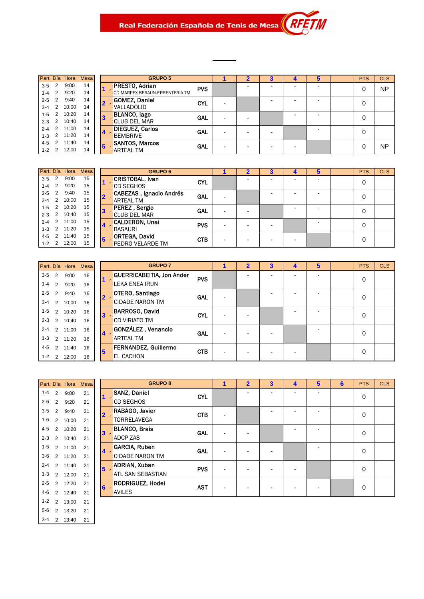Real Federación Española de Tenis de Mesa (AP

|           |                | Part. Día Hora | <b>Mesa</b> |                         | Gl                    |
|-----------|----------------|----------------|-------------|-------------------------|-----------------------|
| $3-5$     | 2              | 9:00           | 14          |                         | PRESTO, Adria         |
|           |                | $1-4$ 2 $9:20$ | 14          |                         | CD MARPEX BERAU       |
| $2 - 5$ 2 |                | 9:40           | 14          | $\overline{\mathbf{z}}$ | <b>GOMEZ, Danie</b>   |
| $3 - 4$   | 2              | 10:00          | 14          |                         | VALLADOLID            |
| $1 - 5$   | 2              | 10:20          | 14          | $\mathbf{3}$            | <b>BLANCO, lago</b>   |
| $2 - 3$   | $\overline{2}$ | 10:40          | 14          |                         | <b>CLUB DEL MAR</b>   |
| $2 - 4$   | 2              | 11:00          | 14          |                         | <b>DIEGUEZ, Carlo</b> |
| $1 - 3$   | 2              | 11:20          | 14          |                         | <b>BEMBRIVE</b>       |
|           |                | 4-5 2 11:40    | 14          | $5\phantom{1}$          | SANTOS, Marco         |
|           | $1 - 2$ 2      | 12:00          | 14          |                         | <b>ARTEAL TM</b>      |
|           |                |                |             |                         |                       |

|           |   | Part. Día Hora | Mesa |   | <b>GRUPO 5</b>                 |            |   | $\overline{\mathbf{2}}$ | 3 | 4 | 5                        | <b>PTS</b> | <b>CLS</b> |
|-----------|---|----------------|------|---|--------------------------------|------------|---|-------------------------|---|---|--------------------------|------------|------------|
| $3 - 5$   | 2 | 9:00           | 14   |   | <b>PRESTO, Adrian</b>          | <b>PVS</b> |   |                         |   |   | $\overline{\phantom{a}}$ | 0          | <b>NP</b>  |
| $1 - 4$   | 2 | 9:20           | 14   |   | CD MARPEX BERAUN-ERRENTERIA TM |            |   |                         |   |   |                          |            |            |
| $2 - 5$   | 2 | 9:40           | 14   |   | <b>GOMEZ, Daniel</b>           | <b>CYL</b> |   |                         |   |   | $\overline{\phantom{a}}$ | 0          |            |
| $3-4$     | 2 | 10:00          | 14   |   | VALLADOLID                     |            |   |                         |   |   |                          |            |            |
| $1 - 5$   | 2 | 10:20          | 14   | 3 | <b>BLANCO, lago</b>            | <b>GAL</b> |   |                         |   |   |                          | 0          |            |
| $2 - 3$ 2 |   | 10:40          | 14   |   | <b>CLUB DEL MAR</b>            |            |   |                         |   |   |                          |            |            |
| $2 - 4$   | 2 | 11:00          | 14   |   | <b>DIEGUEZ, Carlos</b>         | <b>GAL</b> | - |                         |   |   | -                        | 0          |            |
| $1 - 3$   | 2 | 11:20          | 14   |   | <b>BEMBRIVE</b>                |            |   |                         |   |   |                          |            |            |
| 4-5       | 2 | 11:40          | 14   | 5 | <b>SANTOS, Marcos</b>          | GAL        |   |                         |   |   |                          | 0          | <b>NP</b>  |
| $1 - 2$ 2 |   | 12:00          | 14   |   | <b>ARTEAL TM</b>               |            |   |                         |   |   |                          |            |            |
|           |   |                |      |   |                                |            |   |                         |   |   |                          |            |            |

| Part. Día Hora Mesa           | GF                                         |
|-------------------------------|--------------------------------------------|
| 15<br>9:00<br>2               | <b>CRISTOBAL, Iva</b>                      |
| 15<br>$1-4$ 2<br>9:20         | CD SEGHOS                                  |
| 15<br>2<br>9:40               | CABEZAS, Igna<br>$\overline{\mathbf{2}}$ . |
| 15<br>10:00<br>$3-4$ 2        | <b>ARTEAL TM</b>                           |
| 15<br>10:20<br>2              | PEREZ, Sergio<br>3                         |
| 15<br>2<br>10:40              | <b>CLUB DEL MAR</b>                        |
| 15<br>$\overline{2}$<br>11:00 | <b>CALDERON, Un</b><br>$\blacktriangle$    |
| 15<br>$1-3$ 2<br>11:20        | <b>BASAURI</b>                             |
| 15<br>4-5 2 11:40             | <b>ORTEGA, David</b><br>5 <sup>2</sup>     |
| 15<br>12:00<br>$1-2$ 2        | PEDRO VELARD                               |

|           |   | Part. Día Hora | Mesa |             | <b>GRUPO 6</b>                  |            |   | 3                        | 5                        | <b>PTS</b> | <b>CLS</b> |
|-----------|---|----------------|------|-------------|---------------------------------|------------|---|--------------------------|--------------------------|------------|------------|
| $3 - 5$   | 2 | 9:00           | 15   |             | <b>CRISTOBAL, Ivan</b>          | <b>CYL</b> |   |                          | -                        | 0          |            |
| $1 - 4$   | 2 | 9:20           | 15   |             | <b>CD SEGHOS</b>                |            |   |                          |                          |            |            |
| $2 - 5$   | 2 | 9:40           | 15   |             | <b>CABEZAS</b> , Ignacio Andrés | GAL        |   |                          | -                        |            |            |
| $3 - 4$   | 2 | 10:00          | 15   |             | <b>ARTEAL TM</b>                |            |   |                          |                          | 0          |            |
| $1-5$     | 2 | 10:20          | 15   |             | PEREZ, Sergio<br>$3 -$          | <b>GAL</b> |   |                          | $\overline{\phantom{0}}$ |            |            |
| $2 - 3$ 2 |   | 10:40          | 15   |             | <b>CLUB DEL MAR</b>             |            |   |                          |                          | 0          |            |
| $2 - 4$ 2 |   | 11:00          | 15   |             | <b>CALDERON, Unai</b>           | <b>PVS</b> |   |                          | -                        | 0          |            |
|           |   | 1-3 2 11:20    | 15   |             | <b>BASAURI</b>                  |            |   | $\overline{\phantom{0}}$ |                          |            |            |
| 4-5       | 2 | 11:40          | 15   | $5^{\circ}$ | ORTEGA, David                   | <b>CTB</b> |   |                          |                          | 0          |            |
| $1 - 2$ 2 |   | 12:00          | 15   |             | PEDRO VELARDE TM                |            | - |                          |                          |            |            |

| G                    |              |    | Part. Día Hora Mesa |           |
|----------------------|--------------|----|---------------------|-----------|
| <b>GUERRICABEIT</b>  |              | 16 | 9:00                | $3-5$ 2   |
| LEKA ENEA IRL        |              | 16 | 9:20                | $1-4$ 2   |
| OTERO, Santia        | $\mathbf 2$  | 16 | 9:40                | $2 - 5$ 2 |
| <b>CIDADE NARON</b>  |              | 16 | $2 \quad 10:00$     | $3 - 4$   |
| BARROSO, Day         | $\mathbf{R}$ | 16 | 2 10:20             | $1 - 5$   |
| <b>CD VIRIATO TM</b> |              | 16 | $2 \quad 10:40$     | $2 - 3$   |
| GONZÁLEZ, Ve         |              | 16 | 2 11:00             | $2 - 4$   |
| <b>ARTEAL TM</b>     |              | 16 | 1-3 2 11:20         |           |
| <b>FERNANDEZ. 0</b>  | 5            | 16 | 4-5 2 11:40         |           |
| EL CACHON            |              | 16 | $2 \quad 12:00$     | $1 - 2$   |

|         |               | Part. Día Hora | Mesa |                | <b>GRUPO 7</b>                   |            |                          | $\overline{2}$ | 3 | 4 | 5                        | <b>PTS</b> | <b>CLS</b> |
|---------|---------------|----------------|------|----------------|----------------------------------|------------|--------------------------|----------------|---|---|--------------------------|------------|------------|
| $3 - 5$ | $\mathcal{P}$ | 9:00           | 16   |                | <b>GUERRICABEITIA, Jon Ander</b> | <b>PVS</b> |                          |                |   |   | -                        | 0          |            |
| $1 - 4$ | 2             | 9:20           | 16   |                | LEKA ENEA IRUN                   |            |                          |                |   |   |                          |            |            |
| $2 - 5$ | $\mathcal{P}$ | 9:40           | 16   | $2 -$          | OTERO, Santiago                  | <b>GAL</b> | $\overline{\phantom{0}}$ |                |   |   | $\overline{\phantom{0}}$ | 0          |            |
| $3 - 4$ | $\mathcal{P}$ | 10:00          | 16   |                | <b>CIDADE NARON TM</b>           |            |                          |                |   |   |                          |            |            |
| $1 - 5$ | $\mathcal{P}$ | 10:20          | 16   | 3              | <b>BARROSO, David</b>            | <b>CYL</b> |                          |                |   |   | $\overline{\phantom{0}}$ | 0          |            |
| $2 - 3$ | $\mathcal{P}$ | 10:40          | 16   |                | <b>CD VIRIATO TM</b>             |            |                          |                |   |   |                          |            |            |
| $2 - 4$ | $\mathcal{P}$ | 11:00          | 16   | $4 -$          | GONZÁLEZ, Venancio               | <b>GAL</b> | -                        |                |   |   |                          | 0          |            |
| $1 - 3$ | $\mathcal{P}$ | 11:20          | 16   |                | <b>ARTEAL TM</b>                 |            |                          |                |   |   |                          |            |            |
| 4-5     | $\mathcal{P}$ | 11:40          | 16   | 5 <sup>5</sup> | FERNANDEZ, Guillermo             | <b>CTB</b> |                          |                |   |   |                          | 0          |            |
| $1 - 2$ | 2             | 12:00          | 16   |                | EL CACHON                        |            |                          |                |   |   |                          |            |            |

| Part. Día |                | Hora  | Mesa |   | GF                   |
|-----------|----------------|-------|------|---|----------------------|
| $1 - 4$   | 2              | 9:00  | 21   |   | <b>SANZ, Daniel</b>  |
| $2 - 6$   | $\overline{2}$ | 9:20  | 21   |   | CD SEGHOS            |
| $3 - 5$   | $\mathfrak{p}$ | 9:40  | 21   | 2 | RABAGO, Javier       |
| $1 - 6$   | $\overline{2}$ | 10:00 | 21   |   | TORRELAVEGA          |
| $4 - 5$   | $\mathfrak{p}$ | 10:20 | 21   | 3 | <b>BLANCO, Brais</b> |
| $2 - 3$   | $\mathfrak{p}$ | 10:40 | 21   |   | ADCP ZAS             |
| $1 - 5$   | $\mathfrak{p}$ | 11:00 | 21   |   | GARCIA, Ruben        |
| $3-6$     | 2              | 11:20 | 21   |   | <b>CIDADE NARON</b>  |
| $2 - 4$   | $\mathfrak{p}$ | 11:40 | 21   | 5 | <b>ADRIAN, Xuban</b> |
| $1 - 3$   | $\overline{2}$ | 12:00 | 21   |   | <b>ATL SAN SEBAS</b> |
| $2 - 5$   | $\overline{2}$ | 12:20 | 21   | 6 | <b>RODRIGUEZ, H</b>  |
| $4 - 6$   | $\mathfrak{p}$ | 12:40 | 21   |   | <b>AVILES</b>        |
| $1 - 2$   | $\overline{2}$ | 13:00 | 21   |   |                      |
| $5-6$     | 2              | 13:20 | 21   |   |                      |
| $3 - 4$   | 2              | 13:40 | 21   |   |                      |

|         |                | Part. Día Hora | Mesa |                | <b>GRUPO 8</b>         |            | 1                        | $\overline{2}$ | 3 | 4 | 5              | 6 | <b>PTS</b>  | <b>CLS</b> |
|---------|----------------|----------------|------|----------------|------------------------|------------|--------------------------|----------------|---|---|----------------|---|-------------|------------|
| $1 - 4$ | $\overline{2}$ | 9:00           | 21   | - 17           | <b>SANZ, Daniel</b>    | <b>CYL</b> |                          |                |   | - | $\blacksquare$ |   | $\mathbf 0$ |            |
| $2 - 6$ | $\mathcal{P}$  | 9:20           | 21   |                | <b>CD SEGHOS</b>       |            |                          |                |   |   |                |   |             |            |
| $3 - 5$ | $\mathcal{P}$  | 9:40           | 21   | $2 -$          | RABAGO, Javier         | <b>CTB</b> | ٠                        |                |   |   | -              |   | $\mathbf 0$ |            |
| 1-6     | 2              | 10:00          | 21   |                | TORRELAVEGA            |            |                          |                |   |   |                |   |             |            |
| $4 - 5$ | $\mathcal{P}$  | 10:20          | 21   | $3 -$          | <b>BLANCO, Brais</b>   | GAL        | $\blacksquare$           |                |   |   | ٠              |   | $\mathbf 0$ |            |
| $2 - 3$ | $\mathcal{P}$  | 10:40          | 21   |                | <b>ADCP ZAS</b>        |            |                          |                |   |   |                |   |             |            |
| $1 - 5$ | $\mathcal{P}$  | 11:00          | 21   | $\overline{4}$ | <b>GARCIA, Ruben</b>   | <b>GAL</b> |                          |                |   |   | ۰              |   | $\mathbf 0$ |            |
| $3-6$   | $\mathcal{P}$  | 11:20          | 21   |                | <b>CIDADE NARON TM</b> |            |                          |                |   |   |                |   |             |            |
| $2 - 4$ | $\mathcal{P}$  | 11:40          | 21   | $5\phantom{1}$ | ADRIAN, Xuban          | <b>PVS</b> | $\blacksquare$           | ٠              | - | ۰ |                |   | $\mathbf 0$ |            |
| $1 - 3$ | 2              | 12:00          | 21   |                | ATL SAN SEBASTIAN      |            |                          |                |   |   |                |   |             |            |
| $2 - 5$ | 2              | 12:20          | 21   | $6 -$          | RODRIGUEZ, Hodei       | <b>AST</b> | $\overline{\phantom{a}}$ |                |   | - |                |   | $\mathbf 0$ |            |
| 4-6     | $\mathfrak{p}$ | 12:40          | 21   |                | <b>AVILES</b>          |            |                          |                |   |   |                |   |             |            |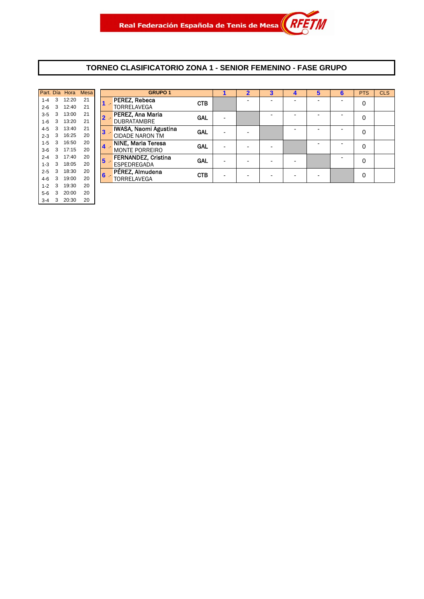#### **TORNEO CLASIFICATORIO ZONA 1 - SENIOR FEMENINO - FASE GRUPO**

|   | <b>Mesa</b> | Hora  |   | Part. Día |
|---|-------------|-------|---|-----------|
|   | 21          | 12:20 | 3 | $1 - 4$   |
|   | 21          | 12:40 | 3 | $2 - 6$   |
|   | 21          | 13:00 | 3 | $3 - 5$   |
|   | 21          | 13:20 | 3 | $1 - 6$   |
|   | 21          | 13:40 | 3 | $4 - 5$   |
|   | 20          | 16:25 | 3 | $2 - 3$   |
|   | 20          | 16:50 | 3 | $1 - 5$   |
|   | 20          | 17:15 | 3 | $3-6$     |
| 5 | 20          | 17:40 | 3 | $2 - 4$   |
|   | 20          | 18:05 | 3 | $1 - 3$   |
| 6 | 20          | 18:30 | 3 | $2 - 5$   |
|   | 20          | 19:00 | 3 | $4 - 6$   |
|   | 20          | 19:30 | 3 | $1 - 2$   |
|   | 20          | 20:00 | 3 | 5-6       |
|   | 20          | 20:30 | 3 | $3 - 4$   |

|         |               | Part. Día Hora | <b>Mesa</b> |                  | <b>GRUPO 1</b>               |            |   |  |   | 5 | 6 | <b>PTS</b> | <b>CLS</b> |
|---------|---------------|----------------|-------------|------------------|------------------------------|------------|---|--|---|---|---|------------|------------|
| $1 - 4$ | 3             | 12:20          | 21          |                  | PEREZ, Rebeca                | <b>CTB</b> |   |  |   |   | - | 0          |            |
| $2 - 6$ | 3             | 12:40          | 21          |                  | <b>TORRELAVEGA</b>           |            |   |  |   |   |   |            |            |
| $3-5$   | 3             | 13:00          | 21          | 2 -              | PEREZ, Ana Maria             | <b>GAL</b> |   |  |   |   |   | 0          |            |
| $1-6$   | 3             | 13:20          | 21          |                  | <b>DUBRATAMBRE</b>           |            |   |  |   |   |   |            |            |
| 4-5     | 3             | 13:40          | 21          | $3 -$            | <b>IWASA, Naomi Agustina</b> | <b>GAL</b> | - |  |   |   |   | 0          |            |
| $2 - 3$ | 3             | 16:25          | 20          |                  | <b>CIDADE NARON TM</b>       |            |   |  |   |   |   |            |            |
| $1 - 5$ | 3             | 16:50          | 20          | $4 -$            | NINE, Maria Teresa           | <b>GAL</b> |   |  |   |   |   | 0          |            |
| $3-6$   | $\mathcal{B}$ | 17:15          | 20          |                  | <b>MONTE PORREIRO</b>        |            |   |  |   |   |   |            |            |
| $2 - 4$ | 3             | 17:40          | 20          | $5 -$            | <b>FERNANDEZ, Cristina</b>   | <b>GAL</b> |   |  |   |   |   | 0          |            |
| $1 - 3$ | 3             | 18:05          | 20          |                  | <b>ESPEDREGADA</b>           |            |   |  |   |   |   |            |            |
| $2 - 5$ | 3             | 18:30          | 20          | $6 \overline{6}$ | PÉREZ, Almudena              | <b>CTB</b> | ۰ |  | - |   |   | $\Omega$   |            |
| 4-6     | 3             | 19:00          | 20          |                  | <b>TORRELAVEGA</b>           |            |   |  |   |   |   |            |            |
|         |               |                |             |                  |                              |            |   |  |   |   |   |            |            |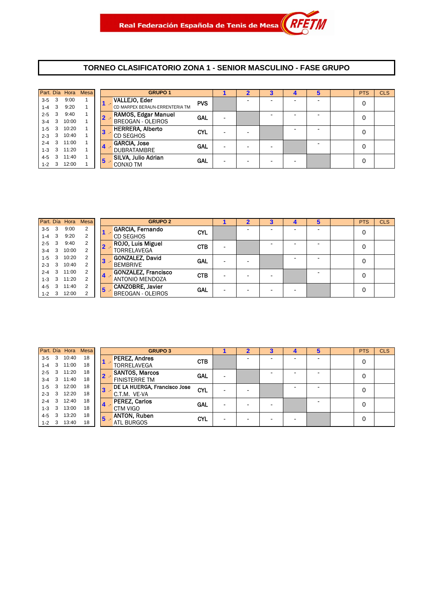#### **TORNEO CLASIFICATORIO ZONA 1 - SENIOR MASCULINO - FASE GRUPO**

|         |                         | Part. Día Hora | <b>Mesa</b> |   | <b>GRUPO 1</b>                 |            |  |  | 5 | <b>PTS</b> | <b>CLS</b> |
|---------|-------------------------|----------------|-------------|---|--------------------------------|------------|--|--|---|------------|------------|
| $3 - 5$ | -3                      | 9:00           |             |   | VALLEJO, Eder                  | <b>PVS</b> |  |  |   | 0          |            |
| $1 - 4$ | 3                       | 9:20           |             |   | CD MARPEX BERAUN-ERRENTERIA TM |            |  |  |   |            |            |
| $2 - 5$ | 3                       | 9:40           |             |   | RAMOS, Edgar Manuel            | <b>GAL</b> |  |  |   | 0          |            |
| $3 - 4$ | $\overline{\mathbf{3}}$ | 10:00          |             |   | <b>BREOGAN - OLEIROS</b>       |            |  |  |   |            |            |
| $1 - 5$ | 3                       | 10:20          |             | З | <b>HERRERA, Alberto</b>        | CYL        |  |  |   | 0          |            |
| $2 - 3$ | $\overline{\mathbf{3}}$ | 10:40          |             |   | <b>CD SEGHOS</b>               |            |  |  |   |            |            |
| $2 - 4$ | $\overline{3}$          | 11:00          |             |   | <b>GARCIA, Jose</b>            | <b>GAL</b> |  |  |   |            |            |
| $1 - 3$ | $-3$                    | 11:20          |             |   | <b>DUBRATAMBRE</b>             |            |  |  |   | 0          |            |
| $4 - 5$ | 3                       | 11:40          |             |   | SILVA, Julio Adrian            | <b>GAL</b> |  |  |   | 0          |            |
| $1 - 2$ | 3                       | 12:00          |             | Ю | CONXO TM                       |            |  |  |   |            |            |

|         |                         |       | Part. Día Hora Mesa |                         | <b>GRUPO 2</b>             |            |   | $\mathbf 2$ | Δ. | 5 | <b>PTS</b> | <b>CLS</b> |
|---------|-------------------------|-------|---------------------|-------------------------|----------------------------|------------|---|-------------|----|---|------------|------------|
| 3-5     | $\overline{\mathbf{3}}$ | 9:00  | 2                   |                         | <b>GARCIA, Fernando</b>    | <b>CYL</b> |   |             |    |   | 0          |            |
| $1-4$ 3 |                         | 9:20  | 2                   |                         | <b>CD SEGHOS</b>           |            |   |             |    |   |            |            |
| $2 - 5$ | 3                       | 9:40  | 2                   |                         | ROJO, Luis Miguel          | <b>CTB</b> |   |             |    |   | 0          |            |
| $3-4$ 3 |                         | 10:00 | 2                   |                         | <b>TORRELAVEGA</b>         |            | - |             |    |   |            |            |
| $1-5$   | 3                       | 10:20 |                     | 3                       | <b>GONZALEZ, David</b>     | GAL        |   |             |    |   | 0          |            |
| $2 - 3$ | - 3                     | 10:40 | 2                   |                         | <b>BEMBRIVE</b>            |            |   |             |    |   |            |            |
| $2 - 4$ | 3                       | 11:00 | 2                   | $\overline{\mathbf{4}}$ | <b>GONZALEZ, Francisco</b> | <b>CTB</b> |   |             |    |   | 0          |            |
| $1-3$ 3 |                         | 11:20 | 2                   |                         | <b>ANTONIO MENDOZA</b>     |            |   |             |    |   |            |            |
| 4-5     | 3                       | 11:40 | 2                   | $5 -$                   | <b>CANZOBRE, Javier</b>    | <b>GAL</b> |   |             |    |   | 0          |            |
| $1 - 2$ | - 3                     | 12:00 | 2                   |                         | BREOGAN - OLEIROS          |            |   |             |    |   |            |            |

|             |                         | Part. Día Hora | Mesa |   | <b>GRUPO 3</b>               |            |  |  | 5 | <b>PTS</b> | <b>CLS</b> |
|-------------|-------------------------|----------------|------|---|------------------------------|------------|--|--|---|------------|------------|
| $3-5$       | 3                       | 10:40          | 18   |   | <b>PEREZ, Andres</b>         | <b>CTB</b> |  |  |   | 0          |            |
| $1 - 4$     | $\mathbf{3}$            | 11:00          | 18   |   | TORRELAVEGA                  |            |  |  |   |            |            |
| $2 - 5$     | $\overline{\mathbf{3}}$ | 11:20          | 18   |   | <b>SANTOS, Marcos</b>        | <b>GAL</b> |  |  |   | 0          |            |
| $3 - 4$     | $\mathbf{3}$            | 11:40          | 18   |   | <b>FINISTERRE TM</b>         |            |  |  |   |            |            |
| $1 - 5$     | 3                       | 12:00          | 18   |   | DE LA HUERGA, Francisco Jose | <b>CYL</b> |  |  |   | 0          |            |
| $2 - 3$     | 3                       | 12:20          | 18   |   | C.T.M. VE-VA                 |            |  |  |   |            |            |
| $2 - 4$     | $\overline{\mathbf{3}}$ | 12:40          | 18   |   | <b>PEREZ, Carlos</b>         | <b>GAL</b> |  |  |   | 0          |            |
| $1 - 3$     | 3                       | 13:00          | 18   |   | <b>CTM VIGO</b>              |            |  |  |   |            |            |
| $4 - 5$     | 3                       | 13:20          | 18   | 5 | <b>ANTON, Ruben</b>          | <b>CYL</b> |  |  |   | 0          |            |
| $1 - 2 = 3$ |                         | 13:40          | 18   |   | <b>ATL BURGOS</b>            |            |  |  |   |            |            |
|             |                         |                |      |   |                              |            |  |  |   |            |            |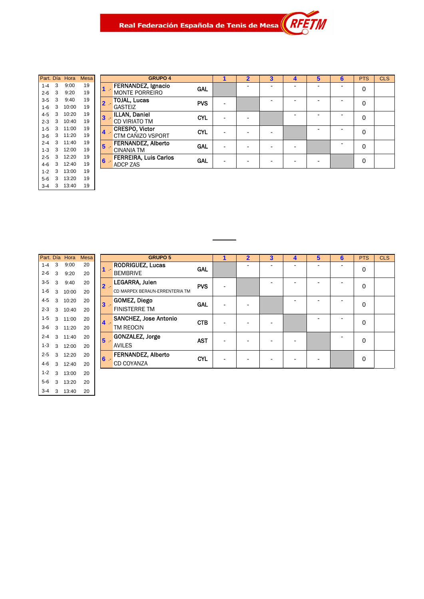Real Federación Española de Tenis de Mesa $\parallel$ 

|                                         | iviesa. | нога  |   | Part. Dia |
|-----------------------------------------|---------|-------|---|-----------|
|                                         | 19      | 9:00  | 3 | $1 - 4$   |
|                                         | 19      | 9:20  | 3 | $2 - 6$   |
| TOJAL, Lucas<br>$\overline{\mathbf{2}}$ | 19      | 9:40  | 3 | $3 - 5$   |
|                                         | 19      | 10:00 | 3 | $1 - 6$   |
| 3                                       | 19      | 10:20 | 3 | 4-5       |
|                                         | 19      | 10:40 | 3 | $2 - 3$   |
| <b>CRESPO, Victo</b><br>4               | 19      | 11:00 | 3 | $1 - 5$   |
|                                         | 19      | 11:20 | 3 | $3-6$     |
| 5                                       | 19      | 11:40 | 3 | $2 - 4$   |
|                                         | 19      | 12:00 | 3 | $1 - 3$   |
| <b>FERREIRA, Lui</b><br>6               | 19      | 12:20 | 3 | $2 - 5$   |
| ADCP ZAS                                | 19      | 12:40 | 3 | 4-6       |
|                                         | 19      | 13:00 | 3 | $1 - 2$   |
|                                         | 19      | 13:20 | 3 | 5-6       |
|                                         | 19      | 13:40 | 3 | $3 - 4$   |

|         |              | Part. Día Hora | Mesa |                | <b>GRUPO 4</b>               |            |   | $\overline{2}$ | $\overline{\mathbf{3}}$ | 4                        | 5 | 6 | <b>PTS</b> | <b>CLS</b> |
|---------|--------------|----------------|------|----------------|------------------------------|------------|---|----------------|-------------------------|--------------------------|---|---|------------|------------|
| $1 - 4$ | 3            | 9:00           | 19   |                | FERNANDEZ, Ignacio           | <b>GAL</b> |   |                |                         |                          |   |   | 0          |            |
| 2-6     | 3            | 9:20           | 19   |                | <b>MONTE PORREIRO</b>        |            |   |                |                         |                          |   |   |            |            |
| 3-5     | 3            | 9:40           | 19   | 2 .-           | <b>TOJAL, Lucas</b>          | <b>PVS</b> | - |                |                         |                          |   |   | 0          |            |
| $1 - 6$ | 3            | 10:00          | 19   |                | <b>GASTEIZ</b>               |            |   |                |                         |                          |   |   |            |            |
| 4-5     | 3            | 10:20          | 19   | 3              | ILLAN, Daniel                | <b>CYL</b> |   |                |                         |                          |   |   | 0          |            |
| $2 - 3$ | 3            | 10:40          | 19   |                | <b>CD VIRIATO TM</b>         |            |   |                |                         |                          |   |   |            |            |
| $1 - 5$ | 3            | 11:00          | 19   | $4 -$          | <b>CRESPO, Victor</b>        | <b>CYL</b> |   |                |                         |                          |   |   | 0          |            |
| $3-6$   |              | 3 11:20        | 19   |                | CTM CAÑIZO VSPORT            |            |   |                |                         |                          |   |   |            |            |
| $2 - 4$ | $\mathbf{3}$ | 11:40          | 19   | $5\phantom{1}$ | <b>FERNANDEZ, Alberto</b>    | <b>GAL</b> |   |                |                         | $\overline{\phantom{a}}$ |   |   | 0          |            |
| $1 - 3$ | 3            | 12:00          | 19   |                | <b>CINANIA TM</b>            |            |   |                |                         |                          |   |   |            |            |
| $2 - 5$ | 3            | 12:20          | 19   | $6 -$          | <b>FERREIRA, Luis Carlos</b> | <b>GAL</b> |   |                |                         |                          |   |   | 0          |            |
| 4-6     | 3            | 12:40          | 19   |                | ADCP ZAS                     |            |   |                |                         |                          |   |   |            |            |

|                                         | Mesa | Hora  |   | Part. Dia |
|-----------------------------------------|------|-------|---|-----------|
| <b>RODRIGUEZ, Lu</b>                    | 20   | 9:00  | 3 | $1 - 4$   |
| <b>BEMBRIVE</b>                         | 20   | 9:20  | 3 | $2 - 6$   |
| <b>LEGARRA, Julei</b><br>2              | 20   | 9:40  | 3 | 3-5       |
| <b>CD MARPEX BERAUN</b>                 | 20   | 10:00 | 3 | $1 - 6$   |
| GOMEZ, Diego<br>3                       | 20   | 10:20 | 3 | 4-5       |
| <b>FINISTERRE TM</b>                    | 20   | 10:40 | 3 | $2 - 3$   |
| <b>SANCHEZ, Jose</b><br>$\blacklozenge$ | 20   | 11:00 | 3 | 1-5       |
| TM REOCIN                               | 20   | 11:20 | 3 | $3-6$     |
| <b>GONZALEZ, Jor</b><br>5               | 20   | 11:40 | 3 | $2 - 4$   |
| <b>AVILES</b>                           | 20   | 12:00 | 3 | $1 - 3$   |
| FERNANDEZ. A<br>6                       | 20   | 12:20 | 3 | $2 - 5$   |
| CD COYANZA                              | 20   | 12:40 | 3 | $4-6$     |
|                                         | 20   | 13:00 | 3 | $1 - 2$   |
|                                         | 20   | 13:20 | 3 | $5-6$     |
|                                         | 20   | 13:40 | 3 | $3 - 4$   |

|         |   | Part. Día Hora | Mesa |                     | <b>GRUPO 5</b>                 |            |                          | 2 | 3 | 4 | 5 | 6 | <b>PTS</b> | <b>CLS</b> |
|---------|---|----------------|------|---------------------|--------------------------------|------------|--------------------------|---|---|---|---|---|------------|------------|
| $1 - 4$ | 3 | 9:00           | 20   |                     | <b>RODRIGUEZ, Lucas</b>        | GAL        |                          |   |   |   |   |   | 0          |            |
| $2 - 6$ | 3 | 9:20           | 20   | $\mathcal{L}^{\pm}$ | <b>BEMBRIVE</b>                |            |                          |   |   |   |   |   |            |            |
| $3 - 5$ | 3 | 9:40           | 20   | $2 -$               | LEGARRA, Julen                 | <b>PVS</b> |                          |   |   | - | ۰ | - | 0          |            |
| 1-6     | 3 | 10:00          | 20   |                     | CD MARPEX BERAUN-ERRENTERIA TM |            |                          |   |   |   |   |   |            |            |
| 4-5     | 3 | 10:20          | 20   | $3 -$               | <b>GOMEZ, Diego</b>            | <b>GAL</b> |                          |   |   |   |   |   | 0          |            |
| $2 - 3$ | 3 | 10:40          | 20   |                     | <b>FINISTERRE TM</b>           |            |                          |   |   |   |   |   |            |            |
| $1 - 5$ | 3 | 11:00          | 20   | $4 -$               | <b>SANCHEZ, Jose Antonio</b>   | <b>CTB</b> |                          |   |   |   |   |   | 0          |            |
| $3-6$   |   | 3 11:20        | 20   |                     | TM REOCIN                      |            |                          |   |   |   |   |   |            |            |
| $2 - 4$ | 3 | 11:40          | 20   | $5 -$               | GONZALEZ, Jorge                | <b>AST</b> | $\overline{\phantom{a}}$ |   |   |   |   |   | 0          |            |
| $1 - 3$ | 3 | 12:00          | 20   |                     | <b>AVILES</b>                  |            |                          |   |   |   |   |   |            |            |
| $2 - 5$ | 3 | 12:20          | 20   | $6 -$               | FERNANDEZ, Alberto             | <b>CYL</b> |                          |   |   |   |   |   | 0          |            |
| 4-6     | 3 | 12:40          | 20   |                     | <b>CD COYANZA</b>              |            |                          |   |   |   |   |   |            |            |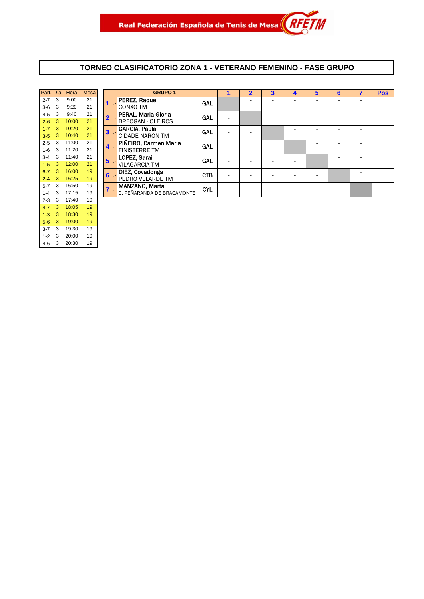#### **TORNEO CLASIFICATORIO ZONA 1 - VETERANO FEMENINO - FASE GRUPO**

| Part. Día    | Hora  | <b>Mesa</b> |   | GF                   |
|--------------|-------|-------------|---|----------------------|
| 3<br>$2 - 7$ | 9:00  | 21          |   | PEREZ. Raguel        |
| 3<br>$3-6$   | 9:20  | 21          |   | CONXO TM             |
| 3<br>$4 - 5$ | 9:40  | 21          | 2 | PERAL, Maria G       |
| 3<br>$2 - 6$ | 10:00 | 21          |   | <b>BREOGAN - OLE</b> |
| 3<br>$1 - 7$ | 10:20 | 21          | 3 | GARCIA, Paula        |
| 3<br>$3-5$   | 10:40 | 21          |   | <b>CIDADE NARON</b>  |
| 3<br>$2 - 5$ | 11:00 | 21          | 4 | PIÑEIRO. Carme       |
| 3<br>$1-6$   | 11:20 | 21          |   | <b>FINISTERRE TM</b> |
| 3<br>$3 - 4$ | 11:40 | 21          | 5 | LOPEZ, Sarai         |
| 3<br>$1 - 5$ | 12:00 | 21          |   | <b>VILAGARCIA TM</b> |
| 3<br>$6 - 7$ | 16:00 | 19          | 6 | DIEZ, Covadong       |
| 3<br>$2 - 4$ | 16:25 | 19          |   | PEDRO VELARD         |
| 3<br>$5 - 7$ | 16:50 | 19          |   | MANZANO, Mar         |
| 3<br>$1 - 4$ | 17:15 | 19          |   | C. PEÑARANDA DI      |
| 3<br>$2 - 3$ | 17:40 | 19          |   |                      |
| 3<br>$4 - 7$ | 18:05 | 19          |   |                      |
| 3<br>$1 - 3$ | 18:30 | 19          |   |                      |
| 3<br>$5-6$   | 19:00 | 19          |   |                      |
| 3<br>$3 - 7$ | 19:30 | 19          |   |                      |
| 3<br>$1 - 2$ | 20:00 | 19          |   |                      |
| 3<br>$4 - 6$ | 20:30 | 19          |   |                      |

| Part. Día |   | Hora  | <b>Mesa</b> |   | <b>GRUPO 1</b>             |            |   | $\overline{2}$ | 3 | 4 | 5 | 6 | 7 | <b>Pos</b> |
|-----------|---|-------|-------------|---|----------------------------|------------|---|----------------|---|---|---|---|---|------------|
| $2 - 7$   | 3 | 9:00  | 21          |   | PEREZ, Raquel              | <b>GAL</b> |   |                |   | - |   |   | - |            |
| $3-6$     | 3 | 9:20  | 21          |   | CONXO TM                   |            |   |                |   |   |   |   |   |            |
| 4-5       | 3 | 9:40  | 21          |   | PERAL, Maria Gloria        | GAL        |   |                |   |   |   |   |   |            |
| $2 - 6$   | 3 | 10:00 | 21          |   | <b>BREOGAN - OLEIROS</b>   |            |   |                |   |   |   |   |   |            |
| $1 - 7$   | 3 | 10:20 | 21          | 3 | <b>GARCIA, Paula</b>       | GAL        | - |                |   |   |   |   |   |            |
| $3 - 5$   | 3 | 10:40 | 21          |   | <b>CIDADE NARON TM</b>     |            |   |                |   |   |   |   |   |            |
| $2 - 5$   | 3 | 11:00 | 21          | 4 | PIÑEIRO, Carmen Maria      | GAL        | - |                |   |   |   |   | - |            |
| $1 - 6$   | 3 | 11:20 | 21          |   | <b>FINISTERRE TM</b>       |            |   |                |   |   |   |   |   |            |
| $3 - 4$   | 3 | 11:40 | 21          | 5 | LOPEZ, Sarai               | GAL        |   |                |   |   |   |   | ۰ |            |
| $1-5$     | 3 | 12:00 | 21          |   | <b>VILAGARCIA TM</b>       |            |   |                |   |   |   |   |   |            |
| $6 - 7$   | 3 | 16:00 | 19          | 6 | DIEZ, Covadonga            | <b>CTB</b> |   |                |   | - |   |   |   |            |
| $2 - 4$   | 3 | 16:25 | 19          |   | PEDRO VELARDE TM           |            |   |                |   |   |   |   |   |            |
| $5 - 7$   | 3 | 16:50 | 19          |   | MANZANO, Marta             | <b>CYL</b> |   |                |   |   |   |   |   |            |
| $1 - 4$   | 3 | 17:15 | 19          |   | C. PEÑARANDA DE BRACAMONTE |            |   |                |   | - |   |   |   |            |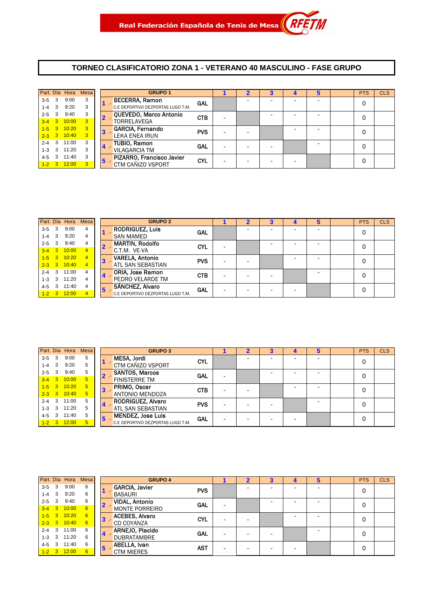#### **TORNEO CLASIFICATORIO ZONA 1 - VETERANO 40 MASCULINO - FASE GRUPO**

|         |                         | Part. Día Hora | Mesa           |                         | <b>GRUPO 1</b>                    |            |   |  | 5 | <b>PTS</b> | <b>CLS</b> |
|---------|-------------------------|----------------|----------------|-------------------------|-----------------------------------|------------|---|--|---|------------|------------|
| $3-5$   | -3                      | 9:00           | 3              |                         | <b>BECERRA, Ramon</b>             | <b>GAL</b> |   |  |   | 0          |            |
| $1 - 4$ | $\overline{\mathbf{3}}$ | 9:20           | 3              |                         | C.E DEPORTIVO DEZPORTAS LUGO T.M. |            |   |  |   |            |            |
| $2 - 5$ | 3                       | 9:40           | 3              |                         | QUEVEDO, Marco Antonio            | <b>CTB</b> | - |  |   | 0          |            |
|         |                         | $3-4$ 3 10:00  | $\overline{3}$ |                         | TORRELAVEGA                       |            |   |  |   |            |            |
| $1 - 5$ | 3 <sup>°</sup>          | 10:20          | 3              | 3                       | <b>GARCIA, Fernando</b>           | <b>PVS</b> |   |  |   | 0          |            |
|         |                         | $2-3$ 3 10:40  | $\overline{3}$ |                         | <b>LEKA ENEA IRUN</b>             |            | - |  |   |            |            |
| $2 - 4$ | -3                      | 11:00          | 3              | $\overline{\mathbf{4}}$ | <b>TUBIO, Ramon</b>               | GAL        |   |  |   |            |            |
| $1 - 3$ | - 3                     | 11:20          | 3              |                         | <b>VILAGARCIA TM</b>              |            |   |  |   | 0          |            |
| $4 - 5$ | 3                       | 11:40          | 3              | 5                       | PIZARRO, Francisco Javier         | CYL        |   |  |   | 0          |            |
| $1 - 2$ | $\blacksquare$ 3        | 12:00          | 3              |                         | <b>CTM CAÑIZO VSPORT</b>          |            |   |  |   |            |            |

|           |            |               | Part. Día Hora Mesa |    | <b>GRUPO 2</b>                    |            |   | 2 |  |  | <b>PTS</b> | <b>CLS</b> |
|-----------|------------|---------------|---------------------|----|-----------------------------------|------------|---|---|--|--|------------|------------|
| $3 - 5$   | - 3        | 9:00          | 4                   |    | <b>RODRIGUEZ, Luis</b>            | GAL        |   |   |  |  | 0          |            |
| $1 - 4$ 3 |            | 9:20          | 4                   |    | <b>SAN MAMED</b>                  |            |   |   |  |  |            |            |
| $2 - 5$   | - 3        | 9:40          | 4                   |    | <b>MARTIN, Rodolfo</b>            | <b>CYL</b> |   |   |  |  | 0          |            |
| $3-4$ 3   |            | 10:00         | $\overline{4}$      |    | C.T.M. VE-VA                      |            |   |   |  |  |            |            |
|           | $1 - 5$ 3  | 10:20         | $\overline{4}$      |    | <b>VARELA, Antonio</b>            | <b>PVS</b> |   |   |  |  | 0          |            |
|           |            | $2-3$ 3 10:40 | $\overline{4}$      |    | <b>ATL SAN SEBASTIAN</b>          |            |   |   |  |  |            |            |
| $2 - 4$   | 3          | 11:00         | 4                   | 14 | <b>ORIA, Jose Ramon</b>           | <b>CTB</b> |   |   |  |  | 0          |            |
| $1 - 3$   | - 3        | 11:20         | 4                   |    | <b>PEDRO VELARDE TM</b>           |            | - |   |  |  |            |            |
| $4 - 5$   | 3          | 11:40         | 4                   | 5  | SÁNCHEZ, Alvaro                   | GAL        |   |   |  |  |            |            |
| $1-2$     | $\sqrt{3}$ | 12:00         | $\overline{4}$      |    | C.E DEPORTIVO DEZPORTAS LUGO T.M. |            |   |   |  |  |            |            |

|         |      | Part. Día Hora  | <b>Mesa</b> |                         | <b>GRUPO 3</b>                    |            | 2 | 3 | 5                        | <b>PTS</b> | <b>CLS</b> |
|---------|------|-----------------|-------------|-------------------------|-----------------------------------|------------|---|---|--------------------------|------------|------------|
| $3 - 5$ | 3    | 9:00            | 5           |                         | MESA, Jordi                       | <b>CYL</b> |   |   | -                        | 0          |            |
| $1 - 4$ | 3    | 9:20            | 5           |                         | CTM CAÑIZO VSPORT                 |            |   |   |                          |            |            |
| $2 - 5$ | 3    | 9:40            | 5           |                         | <b>SANTOS, Marcos</b>             | <b>GAL</b> |   |   | $\overline{\phantom{0}}$ | 0          |            |
| $3 - 4$ | $-3$ | 10:00           | 5           |                         | <b>FINISTERRE TM</b>              |            |   |   |                          |            |            |
| $1-5$   |      | 3 10:20         | 5           | $3 -$                   | PRIMO, Oscar                      | <b>CTB</b> |   |   | $\overline{\phantom{0}}$ | 0          |            |
|         |      | $2-3$ 3 10:40   | 5           |                         | <b>ANTONIO MENDOZA</b>            |            |   |   |                          |            |            |
| $2 - 4$ | 3    | 11:00           | 5           |                         | <b>RODRIGUEZ, Alvaro</b>          | <b>PVS</b> |   |   |                          | 0          |            |
| $1 - 3$ | 3    | 11:20           | 5           | $4 -$                   | <b>ATL SAN SEBASTIAN</b>          |            |   |   |                          |            |            |
| $4 - 5$ |      | 11:40           | 5           | $\overline{\mathbf{5}}$ | <b>MENDEZ, Jose Luis</b>          | <b>GAL</b> |   |   |                          | 0          |            |
|         |      | $1 - 2$ 3 12:00 | 5           |                         | C.E DEPORTIVO DEZPORTAS LUGO T.M. |            |   |   |                          |            |            |
|         |      |                 |             |                         |                                   |            |   |   |                          |            |            |

|           |                         | Part. Día Hora | <b>Mesa</b> |                  | <b>GRUPO 4</b>        |            |  | 4 | 5 | <b>PTS</b> | <b>CLS</b> |
|-----------|-------------------------|----------------|-------------|------------------|-----------------------|------------|--|---|---|------------|------------|
| $3-5$     | - 3                     | 9:00           | 6           |                  | <b>GARCIA, Javier</b> | <b>PVS</b> |  |   |   | 0          |            |
| $1-4$ 3   |                         | 9:20           | 6           |                  | <b>BASAURI</b>        |            |  |   |   |            |            |
| $2 - 5$   | 3                       | 9:40           | 6           | $2 -$            | <b>VIDAL, Antonio</b> | <b>GAL</b> |  |   |   | 0          |            |
| $3 - 4$   | $-32$                   | 10:00          | 6           |                  | <b>MONTE PORREIRO</b> |            |  |   |   |            |            |
| $1 - 5$ 3 |                         | 10:20          | 6           | $\mathbf{3}$     | <b>ACEBES, Alvaro</b> | <b>CYL</b> |  |   | - | 0          |            |
|           |                         | $2-3$ 3 10:40  | 6           |                  | CD COYANZA            |            |  |   |   |            |            |
| $2 - 4$ 3 |                         | 11:00          | 6           | $\blacktriangle$ | ARNEJO, Placido       | <b>GAL</b> |  |   | - | 0          |            |
| $1 - 3$   | $\overline{\mathbf{3}}$ | 11:20          | 6           |                  | <b>DUBRATAMBRE</b>    |            |  |   |   |            |            |
| $4 - 5$   | 3                       | 11:40          | 6           | 5                | ABELLA, Ivan          | <b>AST</b> |  |   |   | 0          |            |
| $1 - 2$ 3 |                         | 12:00          | 6           |                  | <b>CTM MIERES</b>     |            |  |   |   |            |            |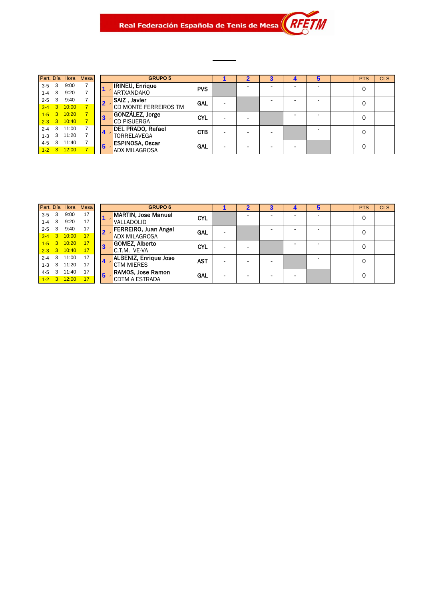#### Real Federación Española de Tenis de Mesa $\parallel R$ M

|         |                         |                 | Part. Día Hora Mesa |   | <b>GRUPO 5</b>           |            |  |  |  | <b>PTS</b> | <b>CLS</b> |
|---------|-------------------------|-----------------|---------------------|---|--------------------------|------------|--|--|--|------------|------------|
| $3 - 5$ | -3                      | 9:00            |                     |   | <b>IRINEU, Enrique</b>   | <b>PVS</b> |  |  |  | 0          |            |
| $1 - 4$ | -3                      | 9:20            |                     |   | <b>ARTXANDAKO</b>        |            |  |  |  |            |            |
| $2 - 5$ | -3                      | 9:40            |                     |   | <b>SAIZ, Javier</b>      | <b>GAL</b> |  |  |  | 0          |            |
| $3-4$ 3 |                         | 10:00           |                     |   | CD MONTE FERREIROS TM    |            |  |  |  |            |            |
|         | $1 - 5$ 3               | 10:20           | $\overline{\tau}$   |   | GONZÁLEZ, Jorge          | <b>CYL</b> |  |  |  | 0          |            |
|         |                         | $2-3$ 3 10:40   |                     |   | <b>CD PISUERGA</b>       |            |  |  |  |            |            |
| $2 - 4$ | $\overline{\mathbf{3}}$ | 11:00           |                     |   | <b>DEL PRADO, Rafael</b> | <b>CTB</b> |  |  |  | 0          |            |
| $1 - 3$ | 3                       | 11:20           |                     |   | <b>TORRELAVEGA</b>       |            |  |  |  |            |            |
| $4 - 5$ | 3                       | 11:40           |                     | 5 | <b>ESPINOSA, Oscar</b>   | <b>GAL</b> |  |  |  | 0          |            |
|         |                         | $1 - 2$ 3 12:00 |                     |   | <b>ADX MILAGROSA</b>     |            |  |  |  |            |            |

| Part. Día Hora Mesa                    | <b>GRUPO 6</b>                         |            |   |  | b | <b>PTS</b> | <b>CLS</b> |
|----------------------------------------|----------------------------------------|------------|---|--|---|------------|------------|
| 9:00<br>17<br>3<br>$3 - 5$             | <b>MARTIN, Jose Manuel</b>             | <b>CYL</b> |   |  |   | 0          |            |
| 9:20<br>17<br>3<br>$1 - 4$             | VALLADOLID                             |            |   |  |   |            |            |
| 17<br>9:40<br>3<br>$2 - 5$             | FERREIRO, Juan Angel<br>$\overline{2}$ | <b>GAL</b> |   |  |   | 0          |            |
| 17<br>10:00<br>3<br>$3 - 4$            | <b>ADX MILAGROSA</b>                   |            |   |  |   |            |            |
| 17<br>10:20<br>$\sqrt{3}$<br>$1 - 5$   | <b>GOMEZ, Alberto</b><br>13            | <b>CYL</b> |   |  |   | 0          |            |
| 17<br>$3 \quad 10:40$<br>$2 - 3$       | C.T.M. VE-VA                           |            |   |  |   |            |            |
| 17<br>11:00<br>3<br>$2 - 4$            | <b>ALBENIZ, Enrique Jose</b><br>14     | <b>AST</b> |   |  |   | 0          |            |
| 17<br>11:20<br>3<br>$1 - 3$            | <b>CTM MIERES</b>                      |            | - |  |   |            |            |
| 17<br>11:40<br>3<br>$4 - 5$            | RAMOS, Jose Ramon<br>$5\phantom{1}$    | <b>GAL</b> |   |  |   | 0          |            |
| 17<br>12:00<br>$\mathbf{3}$<br>$1 - 2$ | <b>CDTM A ESTRADA</b>                  |            |   |  |   |            |            |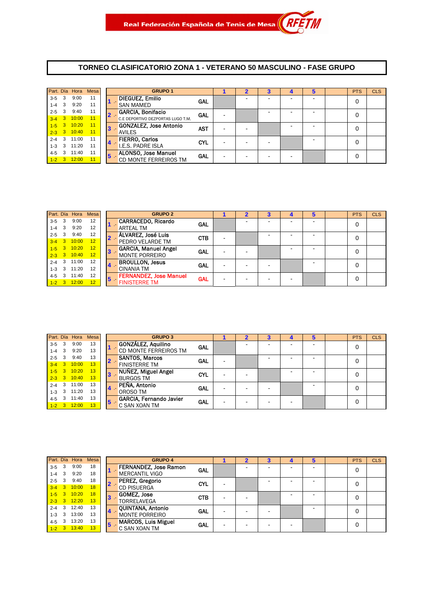#### **TORNEO CLASIFICATORIO ZONA 1 - VETERANO 50 MASCULINO - FASE GRUPO**

|           |                         | Part. Día Hora  | <b>Mesa</b> |            | <b>GRUPO 1</b>                    |            |  |  | 5 | <b>PTS</b> | <b>CLS</b> |
|-----------|-------------------------|-----------------|-------------|------------|-----------------------------------|------------|--|--|---|------------|------------|
| 3-5       | -3                      | 9:00            | 11          |            | <b>DIEGUEZ, Emilio</b>            | <b>GAL</b> |  |  |   | 0          |            |
| $1 - 4$   | $\mathbf{3}$            | 9:20            | 11          |            | <b>SAN MAMED</b>                  |            |  |  |   |            |            |
| $2 - 5$   | 3                       | 9:40            | 11          | $2 -$      | <b>GARCIA, Bonifacio</b>          | GAL        |  |  |   | 0          |            |
|           |                         | $3-4$ 3 10:00   | 11          |            | C.E DEPORTIVO DEZPORTAS LUGO T.M. |            |  |  |   |            |            |
|           |                         | $1 - 5$ 3 10:20 | 11          | 3          | GONZALEZ, Jose Antonio            | AST        |  |  |   | 0          |            |
|           |                         | $2-3$ 3 10:40   | 11          |            | <b>AVILES</b>                     |            |  |  |   |            |            |
| $2 - 4$   | $\overline{\mathbf{3}}$ | 11:00           | 11          |            | <b>FIERRO, Carlos</b>             | <b>CYL</b> |  |  |   |            |            |
| $1 - 3$   | 3                       | 11:20           | 11          | 14         | I.E.S. PADRE ISLA                 |            |  |  |   |            |            |
| 4-5       | 3                       | 11:40           | 11          | $\sqrt{5}$ | <b>ALONSO, Jose Manuel</b>        | GAL        |  |  |   | 0          |            |
| $1 - 2$ 3 |                         | 12:00           | 11          |            | CD MONTE FERREIROS TM             |            |  |  |   |            |            |

|         |                                              | Part. Día Hora  | <b>Mesa</b> |                             | <b>GRUPO 2</b>                |            |  |  |   | <b>PTS</b> | <b>CLS</b> |
|---------|----------------------------------------------|-----------------|-------------|-----------------------------|-------------------------------|------------|--|--|---|------------|------------|
| $3 - 5$ | 3                                            | 9:00            | 12          |                             | <b>CARRACEDO, Ricardo</b>     | <b>GAL</b> |  |  |   | 0          |            |
| $1 - 4$ | 3                                            | 9:20            | 12          |                             | <b>ARTEAL TM</b>              |            |  |  |   |            |            |
| $2 - 5$ | 3                                            | 9:40            | 12          | 2 -                         | ÁLVAREZ, José Luis            | <b>CTB</b> |  |  |   | 0          |            |
| $3 - 4$ | $\blacksquare$ 3<br>10:00<br>$1 - 5$ 3 10:20 | 12              |             | PEDRO VELARDE TM            |                               |            |  |  |   |            |            |
|         | $2 - 3$ 3 10:40                              | 12              | 3           | <b>GARCIA, Manuel Angel</b> | GAL                           |            |  |  | 0 |            |            |
|         |                                              |                 | 12          |                             | <b>MONTE PORREIRO</b>         |            |  |  |   |            |            |
| $2 - 4$ | 3                                            | 11:00           | 12          |                             | <b>BROULLON, Jesus</b>        | GAL        |  |  |   | 0          |            |
| $1 - 3$ | 3                                            | 11:20           | 12          | $\overline{4}$              | <b>CINANIA TM</b>             |            |  |  |   |            |            |
| $4 - 5$ | 3                                            | 11:40           | 12          | 5                           | <b>FERNANDEZ, Jose Manuel</b> | <b>GAL</b> |  |  |   | 0          |            |
|         |                                              | $1 - 2$ 3 12:00 | 12          |                             | <b>FINISTERRE TM</b>          |            |  |  |   |            |            |
|         |                                              |                 |             |                             |                               |            |  |  |   |            |            |

|         |                         | Part. Día Hora Mesa |    |                | <b>GRUPO 3</b>               |            |  |  | 5 | <b>PTS</b> | <b>CLS</b> |
|---------|-------------------------|---------------------|----|----------------|------------------------------|------------|--|--|---|------------|------------|
| $3 - 5$ | $\mathbf{3}$            | 9:00                | 13 |                | GONZÁLEZ, Aquilino           | GAL        |  |  |   | 0          |            |
| $1 - 4$ | 3                       | 9:20                | 13 |                | <b>CD MONTE FERREIROS TM</b> |            |  |  |   |            |            |
| $2 - 5$ | 3                       | 9:40                | 13 |                | <b>SANTOS, Marcos</b>        | <b>GAL</b> |  |  |   | 0          |            |
| $3 - 4$ | 3 <sup>1</sup>          | 10:00               | 13 |                | <b>FINISTERRE TM</b>         |            |  |  |   |            |            |
| $1 - 5$ |                         | $3 \quad 10:20$     | 13 | $\mathbf{3}$   | NUÑEZ, Miguel Angel          | <b>CYL</b> |  |  |   | 0          |            |
|         |                         | $2-3$ 3 10:40       | 13 |                | <b>BURGOS TM</b>             |            |  |  |   |            |            |
| $2 - 4$ | 3                       | 11:00               | 13 | $\overline{4}$ | PEÑA, Antonio                | <b>GAL</b> |  |  |   | 0          |            |
| $1 - 3$ | $\overline{\mathbf{3}}$ | 11:20               | 13 |                | OROSO TM                     |            |  |  |   |            |            |
| $4 - 5$ | 3                       | 11:40               | 13 | 5              | GARCIA, Fernando Javier      | <b>GAL</b> |  |  |   | 0          |            |
|         |                         | $1 - 2$ 3 12:00     | 13 |                | C SAN XOAN TM                |            |  |  |   |            |            |

|         |                | Part. Día Hora  | Mesa |   | <b>GRUPO 4</b>               |            |  |  | 5 | <b>PTS</b> | <b>CLS</b> |
|---------|----------------|-----------------|------|---|------------------------------|------------|--|--|---|------------|------------|
| $3 - 5$ | 3              | 9:00            | 18   |   | <b>FERNANDEZ, Jose Ramon</b> | <b>GAL</b> |  |  |   | 0          |            |
| $1 - 4$ | 3              | 9:20            | 18   |   | <b>MERCANTIL VIGO</b>        |            |  |  |   |            |            |
| $2 - 5$ | 3              | 9:40            | 18   |   | PEREZ, Gregorio<br>$2 -$     | <b>CYL</b> |  |  |   | 0          |            |
| $3 - 4$ | $\mathbf{3}$   | 10:00           | 18   |   | <b>CD PISUERGA</b>           |            |  |  |   |            |            |
| $1-5$   | 3 <sup>2</sup> | 10:20           | 18   |   | <b>GOMEZ, Jose</b>           | <b>CTB</b> |  |  |   | 0          |            |
|         |                | $2 - 3$ 3 12:20 | 13   |   | <b>TORRELAVEGA</b>           |            |  |  |   |            |            |
| $2 - 4$ | 3              | 12:40           | 13   |   | QUINTANA, Antonio            | <b>GAL</b> |  |  |   | 0          |            |
| $1 - 3$ | 3              | 13:00           | 13   |   | 4.<br><b>MONTE PORREIRO</b>  |            |  |  |   |            |            |
| $4 - 5$ |                | 13:20           | 13   | 5 | <b>MARCOS, Luis Miguel</b>   | <b>GAL</b> |  |  |   | 0          |            |
| $1-2$ 3 |                | 13:40           | 13   |   | C SAN XOAN TM                |            |  |  |   |            |            |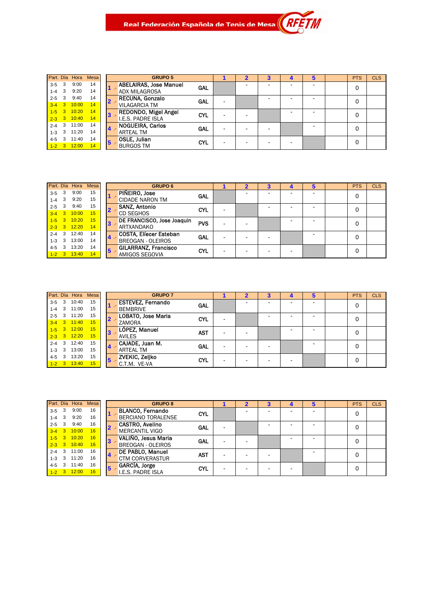# Real Federación Española de Tenis de Mesa $\parallel$ *R*

| Part. Día |   | Hora  | <b>Mesa</b> |
|-----------|---|-------|-------------|
| $3 - 5$   | 3 | 9:00  | 14          |
| $1 - 4$   | 3 | 9:20  | 14          |
| $2 - 5$   | 3 | 9:40  | 14          |
| $3 - 4$   | 3 | 10:00 | 14          |
| $1 - 5$   | 3 | 10:20 | 14          |
| $2 - 3$   | 3 | 10:40 | 14          |
| $2 - 4$   | 3 | 11:00 | 14          |
| $1 - 3$   | 3 | 11:20 | 14          |
| $4 - 5$   | 3 | 11:40 | 14          |
| $1 - 2$   | 3 | 12:00 | 14          |

|                | <b>GRUPO 5</b>                                        |            |  | з | 4 | b | <b>PTS</b> | <b>CLS</b> |
|----------------|-------------------------------------------------------|------------|--|---|---|---|------------|------------|
|                | <b>ABELAIRAS, Jose Manuel</b><br><b>ADX MILAGROSA</b> | GAL        |  |   |   |   |            |            |
| $\overline{2}$ | <b>RECUNA, Gonzalo</b><br><b>VILAGARCIA TM</b>        | GAL        |  |   |   |   | 0          |            |
| $3 -$          | <b>REDONDO, Migel Angel</b><br>I.E.S. PADRE ISLA      | <b>CYL</b> |  |   |   |   | 0          |            |
| $4 -$          | <b>NOGUEIRA, Carlos</b><br><b>ARTEAL TM</b>           | GAL        |  |   |   |   |            |            |
| $5 -$          | <b>OSLE, Julian</b><br><b>BURGOS TM</b>               | <b>CYL</b> |  |   |   |   |            |            |

.<br>M

|         |                                        | Part. Día Hora  | <b>Mesa</b> |                            | <b>GRUPO 6</b>                |            |  |  | 5 | <b>PTS</b> | <b>CLS</b> |
|---------|----------------------------------------|-----------------|-------------|----------------------------|-------------------------------|------------|--|--|---|------------|------------|
| $3 - 5$ | 3                                      | 9:00            | 15          |                            | PIÑEIRO, Jose                 | <b>GAL</b> |  |  |   |            |            |
| $1 - 4$ | 3                                      | 9:20            | 15          |                            | <b>CIDADE NARON TM</b>        |            |  |  |   |            |            |
| $2 - 5$ | 3<br>3 <sup>2</sup><br>$1 - 5$ 3 10:20 | 9:40            | 15          | $2 -$                      | <b>SANZ, Antonio</b>          | <b>CYL</b> |  |  |   |            |            |
| $3 - 4$ |                                        | 10:00           | 15          |                            | <b>CD SEGHOS</b>              |            |  |  |   |            |            |
|         | $2 - 3$ 3 12:20                        | 15              | $3 -$       | DE FRANCISCO, Jose Joaquin | <b>PVS</b>                    |            |  |  | 0 |            |            |
|         |                                        |                 | 14          |                            | ARTXANDAKO                    |            |  |  |   |            |            |
| $2 - 4$ | 3                                      | 12:40           | 14          |                            | <b>COSTA, Elíecer Esteban</b> | GAL        |  |  |   |            |            |
| $1 - 3$ | 3                                      | 13:00           | 14          |                            | <b>BREOGAN - OLEIROS</b>      |            |  |  |   |            |            |
| $4 - 5$ |                                        | 13:20           | 14          | $\overline{\mathbf{5}}$    | <b>GILARRANZ, Francisco</b>   | <b>CYL</b> |  |  |   | 0          |            |
|         |                                        | $1 - 2$ 3 13:40 | 14          |                            | AMIGOS SEGOVIA                |            |  |  |   |            |            |

|           |                         | Part. Día Hora | Mesa |                  | <b>GRUPO 7</b>           |            |                |  |  | <b>PTS</b> | <b>CLS</b> |
|-----------|-------------------------|----------------|------|------------------|--------------------------|------------|----------------|--|--|------------|------------|
| $3 - 5$   | 3                       | 10:40          | 15   |                  | <b>ESTEVEZ, Fernando</b> | GAL        |                |  |  | 0          |            |
| $1 - 4$   | $\mathbf{3}$            | 11:00          | 15   |                  | <b>BEMBRIVE</b>          |            |                |  |  |            |            |
| $2 - 5$   | $\overline{\mathbf{3}}$ | 11:20          | 15   | $2 -$            | LOBATO, Jose Maria       | <b>CYL</b> |                |  |  | 0          |            |
| $3-4$ 3   |                         | 11:40          | 15   |                  | ZAMORA                   |            |                |  |  |            |            |
| $1 - 5$ 3 |                         | 12:00          | 15   | 3                | LÓPEZ, Manuel            | <b>AST</b> | -              |  |  | 0          |            |
| $2 - 3$ 3 |                         | 12:20          | 15   |                  | <b>AVILES</b>            |            |                |  |  |            |            |
| $2 - 4$   | $\overline{\mathbf{3}}$ | 12:40          | 15   | $\blacktriangle$ | CAJADE, Juan M.          | <b>GAL</b> |                |  |  | 0          |            |
| $1 - 3$   | $\overline{\mathbf{3}}$ | 13:00          | 15   |                  | <b>ARTEAL TM</b>         |            |                |  |  |            |            |
| $4 - 5$   | 3                       | 13:20          | 15   | 5                | <b>ZVEKIC, Zeljko</b>    | <b>CYL</b> | $\blacksquare$ |  |  | 0          |            |
| $1 - 2$ 3 |                         | 13:40          | 15   |                  | C.T.M. VE-VA             |            |                |  |  |            |            |

|           |   |                 | Part. Día Hora Mesa |    | <b>GRUPO 8</b>            |            |  |  | ю | <b>PTS</b> | <b>CLS</b> |
|-----------|---|-----------------|---------------------|----|---------------------------|------------|--|--|---|------------|------------|
| $3-5$ 3   |   | 9:00            | 16                  |    | <b>BLANCO, Fernando</b>   | <b>CYL</b> |  |  |   | 0          |            |
| $1-4$ 3   |   | 9:20            | 16                  |    | <b>BERCIANO TORALENSE</b> |            |  |  |   |            |            |
| $2 - 5$ 3 |   | 9:40            | 16                  |    | <b>CASTRO, Avelino</b>    | <b>GAL</b> |  |  |   | 0          |            |
|           |   | $3-4$ 3 10:00   | 16                  |    | <b>MERCANTIL VIGO</b>     |            |  |  |   |            |            |
|           |   | $1 - 5$ 3 10:20 | 16                  |    | VALIÑO, Jesus Maria       | GAL        |  |  |   | 0          |            |
|           |   | $2 - 3$ 3 10:40 | 16                  |    | <b>BREOGAN - OLEIROS</b>  |            |  |  |   |            |            |
|           |   | 2-4 3 11:00     | 16                  |    | DE PABLO, Manuel          | <b>AST</b> |  |  |   | 0          |            |
|           |   | $1-3$ 3 11:20   | 16                  |    | <b>CTM CORVERASTUR</b>    |            |  |  |   |            |            |
| 4-5       | 3 | 11:40           | 16                  | 15 | GARCÍA, Jorge             | <b>CYL</b> |  |  |   | 0          |            |
|           |   | $1 - 2$ 3 12:00 | 16                  |    | <b>I.E.S. PADRE ISLA</b>  |            |  |  |   |            |            |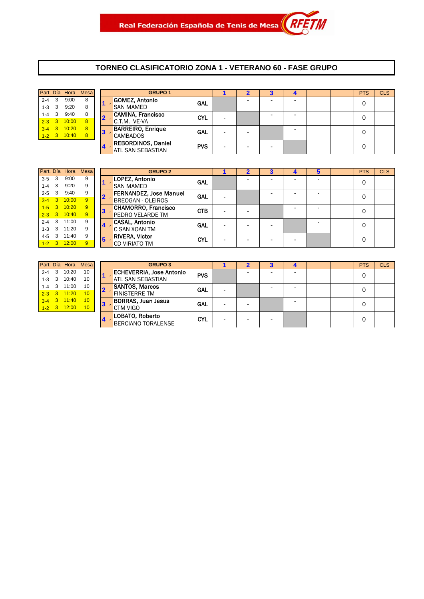#### **TORNEO CLASIFICATORIO ZONA 1 - VETERANO 60 - FASE GRUPO**

|                    | Part. Día Hora Mesa |                   |     |           |
|--------------------|---------------------|-------------------|-----|-----------|
| <b>GOMEZ, Anto</b> | 8                   | 9:00              | 3   | $2 - 4$   |
| <b>SAN MAMED</b>   | 8                   | 9:20              |     | $1 - 3$ 3 |
| <b>CAMINA, Fra</b> | 8                   | 9:40              | - 3 | $1 - 4$   |
| C.T.M. VE-VA       | $\mathbf{8}$        | $2-3$ 3 10:00     |     |           |
| з                  | $\overline{8}$      | $3-4$ $3$ $10:20$ |     |           |
|                    | 8                   | 10:40             | 3   | $1 - 2$   |
|                    |                     |                   |     |           |

|           |              |       | Part. Día Hora Mesa |       | <b>GRUPO 1</b>            |            |   | 2                        | 3                        | 4 |  | <b>PTS</b> | <b>CLS</b> |
|-----------|--------------|-------|---------------------|-------|---------------------------|------------|---|--------------------------|--------------------------|---|--|------------|------------|
| $2 - 4$   |              | 9:00  | 8                   |       | GOMEZ, Antonio            | <b>GAL</b> |   | $\overline{\phantom{a}}$ | -                        | - |  | 0          |            |
| $1-3$     |              | 9:20  | 8                   |       | <b>SAN MAMED</b>          |            |   |                          |                          |   |  |            |            |
| $1 - 4$   |              | 9:40  | 8                   |       | CAMINA, Francisco         | <b>CYL</b> |   |                          | -                        | - |  | 0          |            |
| $2 - 3$ 3 |              | 10:00 |                     |       | C.T.M. VE-VA              |            |   |                          |                          |   |  |            |            |
| $3 - 4$   | $\mathbf{3}$ | 10:20 | 8                   | $3 -$ | <b>BARREIRO, Enrique</b>  | <b>GAL</b> |   |                          |                          | - |  | 0          |            |
| $1 - 2$ 3 |              | 10:40 | 8                   |       | <b>CAMBADOS</b>           |            |   | $\overline{\phantom{0}}$ |                          |   |  |            |            |
|           |              |       |                     |       | <b>REBORDINOS, Daniel</b> | <b>PVS</b> |   |                          |                          |   |  |            |            |
|           |              |       |                     |       | <b>ATL SAN SEBASTIAN</b>  |            | - | -                        | $\overline{\phantom{0}}$ |   |  |            |            |

|           |     |               | Part. Día Hora Mesa |  | <b>GRUPO 2</b>                |            | 2 | 4 | 5 | <b>PTS</b> | <b>CLS</b> |
|-----------|-----|---------------|---------------------|--|-------------------------------|------------|---|---|---|------------|------------|
| $3-5$     | - 3 | 9:00          | 9                   |  | LOPEZ, Antonio                | <b>GAL</b> |   |   |   | 0          |            |
| $1 - 4$   | 3   | 9:20          | 9                   |  | <b>SAN MAMED</b>              |            |   |   |   |            |            |
| $2 - 5$   | 3   | 9:40          | 9                   |  | <b>FERNANDEZ, Jose Manuel</b> | <b>GAL</b> |   |   |   | 0          |            |
|           |     | $3-4$ 3 10:00 | 9                   |  | <b>BREOGAN - OLEIROS</b>      |            |   |   |   |            |            |
| $1-5$     |     | 3 10:20       | 9                   |  | <b>CHAMORRO, Francisco</b>    | <b>CTB</b> |   |   |   | 0          |            |
|           |     | $2-3$ 3 10:40 | 9                   |  | <b>PEDRO VELARDE TM</b>       |            |   |   |   |            |            |
| $2 - 4$ 3 |     | 11:00         | 9                   |  | <b>CASAL, Antonio</b>         | <b>GAL</b> |   |   |   | 0          |            |
| $1 - 3$ 3 |     | 11:20         | 9                   |  | C SAN XOAN TM                 |            |   |   |   |            |            |
| $4-5$ 3   |     | 11:40         | 9                   |  | <b>RIVERA, Victor</b>         | <b>CYL</b> |   |   |   | 0          |            |
| $1 - 2$ 3 |     | 12:00         | 9                   |  | <b>CD VIRIATO TM</b>          |            |   |   |   |            |            |

| GF                                     | Part. Día Hora Mesa |                           |         |
|----------------------------------------|---------------------|---------------------------|---------|
| <b>ECHEVERRIA, J</b>                   | 10                  | 3 10:20                   | $2 - 4$ |
| <b>ATL SAN SEBAS</b>                   | 10                  | 1-3 3 10:40               |         |
| <b>SANTOS, Marco</b><br>$\overline{2}$ | 10                  | 3 11:00                   | $1 - 4$ |
| <b>FINISTERRE TM</b>                   | 10                  | $3 \quad 11:20$           | $2 - 3$ |
| BORRAS, Juan<br>$\mathbf{R}$           | 10                  | $3 - 4$ $3$ $11 \cdot 40$ |         |
| CTM VIGO                               | 10                  | $3 \quad 12:00$           | $1 - 2$ |
|                                        |                     |                           |         |

|           |  |                 | Part. Día Hora Mesa       |           | <b>GRUPO 3</b>                  |            |                          |  |                          |  | <b>PTS</b> | <b>CLS</b> |
|-----------|--|-----------------|---------------------------|-----------|---------------------------------|------------|--------------------------|--|--------------------------|--|------------|------------|
|           |  | 2-4 3 10:20     | 10                        |           | <b>ECHEVERRIA, Jose Antonio</b> | <b>PVS</b> |                          |  | $\overline{\phantom{a}}$ |  | 0          |            |
| $1 - 3$ 3 |  | 10:40           | 10                        |           | ATL SAN SEBASTIAN               |            |                          |  |                          |  |            |            |
|           |  | 1-4 3 11:00     | 10                        |           | <b>SANTOS, Marcos</b>           | <b>GAL</b> | $\overline{\phantom{a}}$ |  | -                        |  | 0          |            |
|           |  | $2 - 3$ 3 11:20 | 10                        |           | <b>FINISTERRE TM</b>            |            |                          |  |                          |  |            |            |
|           |  | $3-4$ 3 11:40   | 10                        | <u> 3</u> | <b>BORRAS, Juan Jesus</b>       | GAL        | -                        |  |                          |  | 0          |            |
|           |  | $1 - 2$ 3 12:00 | 10 <sup>1</sup>           |           | CTM VIGO                        |            |                          |  |                          |  |            |            |
|           |  |                 |                           |           | LOBATO, Roberto                 | <b>CYL</b> |                          |  |                          |  | 0          |            |
|           |  | $\sim$          | <b>BERCIANO TORALENSE</b> |           |                                 |            |                          |  |                          |  |            |            |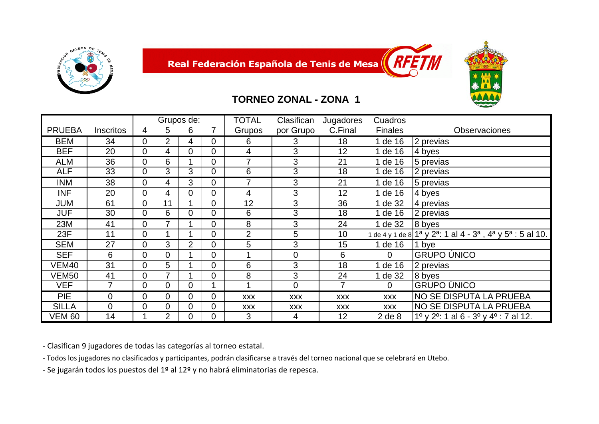



#### **TORNEO ZONAL - ZONA 1**

|               |                  |   |                | Grupos de:     |                | <b>TOTAL</b>   | Clasifican     | Jugadores  | Cuadros        |                                                                                    |
|---------------|------------------|---|----------------|----------------|----------------|----------------|----------------|------------|----------------|------------------------------------------------------------------------------------|
| <b>PRUEBA</b> | <b>Inscritos</b> | 4 | 5              | 6              |                | Grupos         | por Grupo      | C.Final    | <b>Finales</b> | <b>Observaciones</b>                                                               |
| BEM           | 34               | 0 | $\overline{2}$ | 4              | $\mathbf 0$    | 6              | 3              | 18         | 1 de 16        | 2 previas                                                                          |
| <b>BEF</b>    | 20               | 0 | 4              | $\Omega$       | $\mathbf 0$    | 4              | 3              | 12         | 1 de 16        | 4 byes                                                                             |
| <b>ALM</b>    | 36               | 0 | 6              |                | $\mathbf 0$    | 7              | 3              | 21         | 1 de 16        | 5 previas                                                                          |
| <b>ALF</b>    | 33               | 0 | 3              | 3              | $\overline{0}$ | 6              | 3              | 18         | 1 de 16        | 2 previas                                                                          |
| <b>INM</b>    | 38               | 0 | 4              | 3              | 0              | 7              | 3              | 21         | 1 de 16        | 5 previas                                                                          |
| <b>INF</b>    | 20               | 0 | 4              | 0              | $\Omega$       | 4              | 3              | 12         | 1 de 16        | 4 byes                                                                             |
| JUM           | 61               | 0 | 11             |                | $\overline{0}$ | 12             | 3              | 36         | 1 de 32        | 4 previas                                                                          |
| <b>JUF</b>    | 30               | 0 | 6              | $\Omega$       | $\Omega$       | 6              | 3              | 18         | de 16          | 2 previas                                                                          |
| 23M           | 41               | 0 | 7              |                | $\Omega$       | 8              | 3              | 24         | 1 de 32        | 8 byes                                                                             |
| 23F           | 11               | 0 |                |                | $\mathbf 0$    | $\overline{2}$ | 5              | 10         |                | de 4 y 1 de 8 $1^a$ y $2^a$ : 1 al 4 - $3^a$ , $4^a$ y $5^a$ : 5 al 10.            |
| <b>SEM</b>    | 27               | 0 | 3              | $\overline{2}$ | $\mathbf 0$    | 5              | 3              | 15         | 1 de 16        | 1 bye                                                                              |
| <b>SEF</b>    | 6                | 0 | $\overline{0}$ |                | $\overline{0}$ |                | $\overline{0}$ | 6          | $\Omega$       | <b>GRUPO ÚNICO</b>                                                                 |
| VEM40         | 31               | 0 | 5              |                | $\Omega$       | 6              | 3              | 18         | de 16          | 2 previas                                                                          |
| VEM50         | 41               | 0 | 7              |                | $\overline{0}$ | 8              | 3              | 24         | de 32          | 8 byes                                                                             |
| <b>VEF</b>    | 7                | 0 | $\mathbf 0$    | 0              |                |                | $\mathbf 0$    | 7          | $\overline{0}$ | <b>GRUPO ÚNICO</b>                                                                 |
| <b>PIE</b>    | 0                | 0 | $\mathbf 0$    | $\overline{0}$ | 0              | <b>XXX</b>     | <b>XXX</b>     | <b>XXX</b> | <b>XXX</b>     | NO SE DISPUTA LA PRUEBA                                                            |
| <b>SILLA</b>  | 0                | 0 | 0              | $\Omega$       | $\Omega$       | <b>XXX</b>     | <b>XXX</b>     | <b>XXX</b> | <b>XXX</b>     | NO SE DISPUTA LA PRUEBA                                                            |
| <b>VEM 60</b> | 14               |   | $\overline{2}$ | 0              | $\overline{0}$ | 3              | 4              | 12         | $2$ de $8$     | $1^{\circ}$ y 2 <sup>o</sup> : 1 al 6 - 3 <sup>o</sup> y 4 <sup>o</sup> : 7 al 12. |

‐ Clasifican 9 jugadores de todas las categorías al torneo estatal.

‐ Todos los jugadores no clasificados y participantes, podrán clasificarse <sup>a</sup> través del torneo nacional que se celebrará en Utebo.

‐ Se jugarán todos los puestos del 1º al 12º y no habrá eliminatorias de repesca.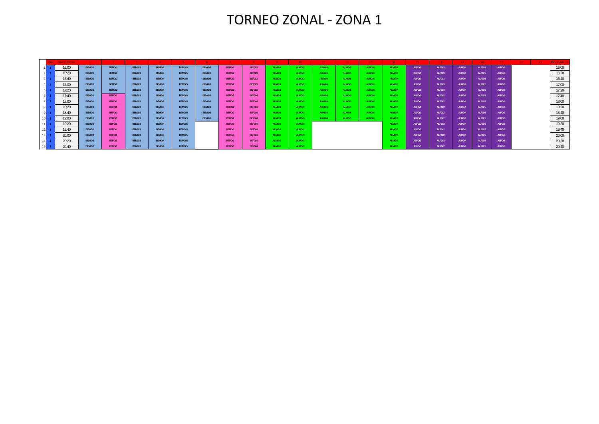### TORNEO ZONAL ‐ ZONA 1

|    | Hora\Mesa |        |        |        |        |        |        |        |        |        | 10     | 11 <sup>7</sup> | 12 <sub>1</sub> | 13     | $14 -$ | $15 -$ | 16 <sub>1</sub> | 17     | $18 -$ | $19-$  | $-21$<br>20. |       |
|----|-----------|--------|--------|--------|--------|--------|--------|--------|--------|--------|--------|-----------------|-----------------|--------|--------|--------|-----------------|--------|--------|--------|--------------|-------|
|    | 16:00     | BEMGr1 | BEMGr2 | BEMGr3 | BEMGr4 | BEMGr5 | BEMGr6 | BEFGr2 | BEFGr3 | ALMGr1 | ALMGr2 | ALMGr4          | ALMGr5          | ALMGr6 | ALMGr7 | ALFGr1 | ALFGr3          | ALFGr4 | ALFGr5 | ALFGr6 |              | 16:00 |
|    | 16:20     | BEMGr1 | BEMGr2 | BEMGr3 | BEMGr4 | BEMGr5 | BEMGr6 | BEFGr2 | BEFGr3 | ALMGr1 | ALMGr2 | ALMGr4          | ALMGr5          | ALMGr6 | ALMGr7 | ALFGr1 | ALFGr3          | ALFGr4 | ALFGr5 | ALFGr6 |              | 16:20 |
|    | 16:40     | BEMGr1 | BEMGr2 | BEMGr3 | BEMGr4 | BEMGr5 | BEMGr6 | BEFGr2 | BEFGr3 | ALMGr1 | ALMGr2 | ALMGr4          | ALMGr5          | ALMGr6 | ALMGr7 | ALFGr1 | ALFGr3          | ALFGr4 | ALFGr5 | ALFGr6 |              | 16:40 |
|    | 17:00     | BEMGr1 | BEMGr2 | BEMGr3 | BEMGr4 | BEMGr5 | BEMGr6 | BEFGr2 | BEFGr3 | ALMGr1 | ALMGr2 | ALMGr4          | ALMGr5          | ALMGr6 | ALMGr7 | ALFGr1 | ALFGr3          | ALFGr4 | ALFGr5 | ALFGr6 |              | 17:00 |
|    | 17:20     | BEMGr1 | BEMGr2 | BEMGr3 | BEMGr4 | BEMGr5 | BEMGr6 | BEFGr2 | BEFGr3 | ALMGr1 | ALMGr2 | ALMGr4          | ALMGr5          | ALMGr6 | ALMGr7 | ALFGr1 | ALFGr3          | ALFGr4 | ALFGr5 | ALFGr6 |              | 17:20 |
|    | 17:40     | BEMGr1 | BEFGr1 | BEMGr3 | BEMGr4 | BEMGr5 | BEMGr6 | BEFGr2 | BEFGr4 | ALMGr1 | ALMGr3 | ALMGr4          | ALMGr5          | ALMGr6 | ALMGr7 | ALFGr1 | ALFGr2          | ALFGr4 | ALFGr5 | ALFGr6 |              | 17:40 |
|    | 18:00     | BEMGr1 | BEFGr1 | BEMGr3 | BEMGr4 | BEMGr5 | BEMGr6 | BEFGr2 | BEFGr4 | ALMGr1 | ALMGr3 | ALMGr4          | ALMGr5          | ALMGr6 | ALMGr7 | ALFGr1 | ALFGr2          | ALFGr4 | ALFGr5 | ALFGr6 |              | 18:00 |
|    | 18:20     | BEMGr1 | BEFGr1 | BEMGr3 | BEMGr4 | BEMGr5 | BEMGr6 | BEFGr2 | BEFGr4 | ALMGr1 | ALMGr3 | ALMGr4          | ALMGr5          | ALMGr6 | ALMGr7 | ALFGr1 | ALFGr2          | ALFGr4 | ALFGr5 | ALFGr6 |              | 18:20 |
|    | 18:40     | BEMGr1 | BEFGr1 | BEMGr3 | BEMGr4 | BEMGr5 | BEMGr6 | BEFGr2 | BEFGr4 | ALMGr1 | ALMGr3 | ALMGr4          | ALMGr5          | ALMGr6 | ALMGr7 | ALFGr1 | ALFGr2          | ALFGr4 | ALFGr5 | ALFGr6 |              | 18:40 |
|    | 19:00     | BEMGr1 | BEFGr1 | BEMGr3 | BEMGr4 | BEMGr5 | BEMGr6 | BEFGr2 | BEFGr4 | ALMGr1 | ALMGr3 | ALMGr4          | ALMGr5          | ALMGr6 | ALMGr7 | ALFGr1 | ALFGr2          | ALFGr4 | ALFGr5 | ALFGr6 |              | 19:00 |
| 11 | 19:20     | BEMGr2 | BEFGr1 | BEMGr3 | BEMGr4 | BEMGr5 |        | BEFGr3 | BEFGr4 | ALMGr2 | ALMGr3 |                 |                 |        | ALMGr7 | ALFGr3 | ALFGr2          | ALFGr4 | ALFGr5 | ALFGr6 |              | 19:20 |
| 12 | 19:40     | BEMGr2 | BEFGr1 | BEMGr3 | BEMGr4 | BEMGr5 |        | BEFGr3 | BEFGr4 | ALMGr2 | ALMGr3 |                 |                 |        | ALMGr7 | ALFGr3 | ALFGr2          | ALFGr4 | ALFGr5 | ALFGr6 |              | 19:40 |
|    | 20:00     | BEMGr2 | BEFGr1 | BEMGr3 | BEMGr4 | BEMGr5 |        | BEFGr3 | BEFGr4 | ALMGr2 | ALMGr3 |                 |                 |        | ALMGr7 | ALFGr3 | ALFGr2          | ALFGr4 | ALFGr5 | ALFGr6 |              | 20:00 |
| 14 | 20:20     | BEMGr2 | BEFGr1 | BEMGr3 | BEMGr4 | BEMGr5 |        | BEFGr3 | BEFGr4 | ALMGr2 | ALMGr3 |                 |                 |        | ALMGr7 | ALFGr3 | ALFGr2          | ALFGr4 | ALFGr5 | ALFGr6 |              | 20:20 |
| 15 | 20:40     | BEMGr2 | BEFGr1 | BEMGr3 | BEMGr4 | BEMGr5 |        | BEFGr3 | BEFGr4 | ALMGr2 | ALMGr3 |                 |                 |        | ALMGr7 | ALFGr3 | ALFGr2          | ALFGr4 | ALFGr5 | ALFGr6 |              | 20:40 |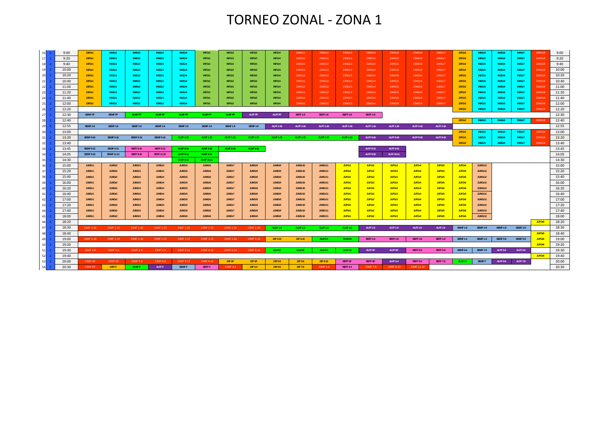## TORNEO ZONAL ‐ ZONA 1

| 16                   | 9:00  | 23FGr1           | <b>INMGr1</b>     | INMGr2           | INMGr3            | <b>INMGr4</b>    | INFGr1            | INFGr2           | INFGr3           | INFGr4           | 23MGr1           | 23MGr2           | 23MGr3           | 23MGr4           | 23MGr5          | 23MGr6          | 23MGr7             | 23FGr2          | <b>INMGr5</b>   | <b>INMGr6</b>   | INMGr7          | 23MGr8 | 9:00  |
|----------------------|-------|------------------|-------------------|------------------|-------------------|------------------|-------------------|------------------|------------------|------------------|------------------|------------------|------------------|------------------|-----------------|-----------------|--------------------|-----------------|-----------------|-----------------|-----------------|--------|-------|
| 17                   | 9:20  | 23FGr1           | INMGr1            | INMGr2           | INMGr3            | INMGr4           | INFGr1            | INFGr2           | INFGr3           | INFGr4           | 23MGr1           | 23MGr2           | 23MGr3           | 23MGr4           | 23MGr5          | 23MGr6          | 23MGr7             | 23FGr2          | <b>INMGr5</b>   | <b>INMGr6</b>   | INMGr7          | 23MGr8 | 9:20  |
| <b>18</b>            | 9:40  | 23FGr1           | <b>INMGr1</b>     | INMGr2           | INMGr3            | <b>INMGr4</b>    | INFGr1            | INFGr2           | INFGr3           | INFGr4           | 23MGr1           | 23MGr2           | 23MGr3           | 23MGr4           | 23MGr5          | 23MGr6          | 23MGr7             | 23FGr2          | <b>INMGr5</b>   | <b>INMGr6</b>   | INMGr7          | 23MGr8 | 9:40  |
| 19                   | 10:00 | 23FGr1           | <b>INMGr1</b>     | INMGr2           | INMGr3            | <b>INMGr4</b>    | INFGr1            | INFGr2           | INFGr3           | INFGr4           | 23MGr1           | 23MGr2           | 23MGr3           | 23MGr4           | 23MGr5          | 23MGr6          | 23MGr7             | 23FGr2          | <b>INMGr5</b>   | <b>INMGr6</b>   | INMGr7          | 23MGr8 | 10:00 |
| 20                   | 10:20 | 23FGr1           | <b>INMGr1</b>     | INMGr2           | INMGr3            | <b>INMGr4</b>    | INFGr1            | INFGr2           | INFGr3           | INFGr4           | 23MGr1           | 23MGr2           | 23MGr3           | 23MGr4           | 23MGr5          | 23MGr6          | 23MGr7             | 23FGr2          | <b>INMGr5</b>   | <b>INMGr6</b>   | INMGr7          | 23MGr8 | 10:20 |
| 21                   | 10:40 | 23FGr1           | <b>INMGr1</b>     | INMGr2           | INMGr3            | <b>INMGr4</b>    | INFGr1            | INFGr2           | INFGr3           | INFGr4           | 23MGr1           | 23MGr2           | 23MGr3           | 23MGr4           | 23MGr5          | 23MGr6          | 23MGr7             | 23FGr2          | <b>INMGr5</b>   | INMGr6          | INMGr7          | 23MGr8 | 10:40 |
| 22                   | 11:00 | 23FGr1           | <b>INMGr1</b>     | INMGr2           | INMGr3            | <b>INMGr4</b>    | INFGr1            | INFGr2           | INFGr3           | <b>INFGr4</b>    | 23MGr1           | 23MGr2           | 23MGr3           | 23MGr4           | 23MGr5          | 23MGr6          | 23MGr7             | 23FGr2          | <b>INMGr5</b>   | <b>INMGr6</b>   | INMGr7          | 23MGr8 | 11:00 |
| 23                   | 11:20 | 23FGr1           | <b>INMGr1</b>     | INMGr2           | INMGr3            | <b>INMGr4</b>    | INFGr1            | INFGr2           | INFGr3           | <b>INFGr4</b>    | 23MGr1           | 23MGr2           | 23MGr3           | 23MGr4           | 23MGr5          | 23MGr6          | 23MGr7             | 23FGr2          | <b>INMGr5</b>   | <b>INMGr6</b>   | INMGr7          | 23MGr8 | 11:20 |
| 24                   | 11:40 | 23FGr1           | <b>INMGr1</b>     | INMGr2           | INMGr3            | <b>INMGr4</b>    | <b>INFGr1</b>     | INFGr2           | INFGr3           | <b>INFGr4</b>    | 23MGr1           | 23MGr2           | 23MGr3           | 23MGr4           | 23MGr5          | 23MGr6          | 23MGr7             | 23FGr2          | <b>INMGr5</b>   | <b>INMGr6</b>   | INMGr7          | 23MGr8 | 11:40 |
| 25                   | 12:00 | 23FGr1           | <b>INMGr1</b>     | INMGr2           | INMGr3            | <b>INMGr4</b>    | INFGr1            | INFGr2           | INFGr3           | INFGr4           | 23MGr1           | 23MGr2           | 23MGr3           | 23MGr4           | 23MGr5          | 23MGr6          | 23MGr7             | 23FGr2          | <b>INMGr5</b>   | <b>INMGr6</b>   | INMGr7          | 23MGr8 | 12:00 |
| 26<br>$\overline{z}$ | 12:20 |                  |                   |                  |                   |                  |                   |                  |                  |                  |                  |                  |                  |                  |                 |                 |                    | 23FGr2          | <b>INMGr5</b>   | <b>INMGr6</b>   | INMGr7          | 23MGr8 | 12:20 |
| 27                   | 12:30 | <b>BEMF PF</b>   | <b>BEMF PF</b>    | <b>ALMF PF</b>   | <b>ALMF PF</b>    | <b>ALMF PF</b>   | <b>ALMF PF</b>    | <b>ALMF PF</b>   | ALFF PF          | <b>ALFF PF</b>   | <b>BEFF 1-8</b>  | <b>BEFF 1-8</b>  | <b>BEFF 1-8</b>  | <b>BEFF 1-8</b>  |                 |                 |                    |                 |                 |                 |                 |        | 12:30 |
| <b>28</b>            | 12:40 |                  |                   |                  |                   |                  |                   |                  |                  |                  |                  |                  |                  |                  |                 |                 |                    | 23FGr2          | INMGr5          | <b>INMGr6</b>   | INMGr7          | 23MGr8 | 12:40 |
| <b>29</b><br>- 2     | 12:55 | <b>BEMF 1-8</b>  | <b>BEMF 1-8</b>   | <b>BEMF 1-8</b>  | <b>BEMF 1-8</b>   | <b>BEMF 1-8</b>  | <b>BEMF 1-8</b>   | <b>BEMF 1-8</b>  | <b>BEMF 1-8</b>  | ALFF 1-16        | ALFF 1-16        | <b>ALFF 1-16</b> | <b>ALFF 1-16</b> | ALFF 1-16        | ALFF 1-16       | ALFF 1-16       | ALFF 1-16          |                 |                 |                 |                 |        | 12:55 |
| 30 <sup>2</sup>      | 13:00 |                  |                   |                  |                   |                  |                   |                  |                  |                  |                  |                  |                  |                  |                 |                 |                    | 23FGr2          | <b>INMGr5</b>   | INMGr6          | INMGr7          | 23MGr8 | 13:00 |
| 31                   | 13:20 | <b>BEMF 9-16</b> | <b>BEMF 9-16</b>  | <b>BEMF 9-16</b> | <b>BEMF 9-16</b>  | <b>ALMF 1-16</b> | <b>ALMF 1-16</b>  | <b>ALMF 1-16</b> | <b>ALMF 1-16</b> | <b>ALMF 1-16</b> | <b>ALMF 1-16</b> | <b>ALMF 1-16</b> | <b>ALMF 1-16</b> | ALFF 9-16        | ALFF 9-16       | ALFF 9-16       | ALFF 9-16          | 23FGr2          | <b>INMGr5</b>   | INMGr6          | INMGr7          | 23MGr8 | 13:20 |
| 32                   | 13:40 |                  |                   |                  |                   |                  |                   |                  |                  |                  |                  |                  |                  |                  |                 |                 |                    | 23FGr2          | <b>INMGr5</b>   | <b>INMGr6</b>   | INMGr7          | 23MGr8 | 13:40 |
| 33                   | 13:45 | <b>BEMF 9-12</b> | <b>BEMF 9-12</b>  | <b>BEFF 9-12</b> | <b>BEFF 9-12</b>  | <b>ALMF 9-16</b> | <b>ALMF 9-16</b>  | <b>ALMF 9-16</b> | <b>ALMF 9-16</b> |                  |                  |                  |                  | <b>ALFF 9-12</b> | ALFF 9-12       |                 |                    |                 |                 |                 |                 |        | 13:45 |
| 34                   | 14:05 | <b>BEMF 9-10</b> | <b>BEMF 11-12</b> | <b>BEFF 9-10</b> | <b>BEFF 11-12</b> | <b>ALMF 9-12</b> | <b>ALMF 9-12</b>  |                  |                  |                  |                  |                  |                  | <b>ALFF 9-10</b> | ALFF 10-11      |                 |                    |                 |                 |                 |                 |        | 14:05 |
| 35                   | 14:30 |                  |                   |                  |                   | <b>ALMF 9-10</b> | <b>ALMF 10-11</b> |                  |                  |                  |                  |                  |                  |                  |                 |                 |                    |                 |                 |                 |                 |        | 14:30 |
| 36                   | 15:00 | JUMGr1           | JUMGr2            | JUMGr3           | JUMGr4            | JUMGr5           | JUMGr6            | JUMGr7           | JUMGr8           | JUMGr9           | JUMGr10          | JUMGr11          | JUFGr1           | JUFGr2           | JUFGr3          | JUFGr4          | JUFGr5             | JUFGr6          | JUMGr12         |                 |                 |        | 15:00 |
| 37                   | 15:20 | JUMGr1           | JUMGr2            | JUMGr3           | JUMGr4            | JUMGr5           | JUMGr6            | JUMGr7           | JUMGr8           | JUMGr9           | JUMGr10          | JUMGr11          | JUFGr1           | JUFGr2           | JUFGr3          | JUFGr4          | JUFGr5             | JUFGr6          | JUMGr12         |                 |                 |        | 15:20 |
| 38<br>- 2            | 15:40 | <b>JUMGr1</b>    | JUMGr2            | <b>JUMGr3</b>    | JUMGr4            | JUMGr5           | JUMGr6            | JUMGr7           | JUMGr8           | <b>JUMGr9</b>    | JUMGr10          | JUMGr11          | JUFGr1           | JUFGr2           | JUFGr3          | JUFGr4          | JUFGr5             | JUFGr6          | JUMGr12         |                 |                 |        | 15:40 |
| 39<br>$\overline{2}$ | 16:00 | JUMGr1           | JUMGr2            | <b>JUMGr3</b>    | JUMGr4            | JUMGr5           | JUMGr6            | JUMGr7           | <b>JUMGr8</b>    | JUMGr9           | JUMGr10          | JUMGr11          | JUFGr1           | JUFGr2           | JUFGr3          | JUFGr4          | JUFGr5             | JUFGr6          | JUMGr12         |                 |                 |        | 16:00 |
| $40$ 2               | 16:20 | JUMGr1           | JUMGr2            | <b>JUMGr3</b>    | JUMGr4            | JUMGr5           | JUMGr6            | JUMGr7           | JUMGr8           | <b>JUMGr9</b>    | JUMGr10          | JUMGr11          | JUFGr1           | JUFGr2           | JUFGr3          | JUFGr4          | <b>JUFGr5</b>      | JUFGr6          | JUMGr12         |                 |                 |        | 16:20 |
| 41 2                 | 16:40 | JUMGr1           | JUMGr2            | <b>JUMGr3</b>    | JUMGr4            | JUMGr5           | JUMGr6            | JUMGr7           | JUMGr8           | JUMGr9           | JUMGr10          | JUMGr11          | JUFGr1           | JUFGr2           | JUFGr3          | <b>JUFGr4</b>   | JUFGr5             | JUFGr6          | JUMGr12         |                 |                 |        | 16:40 |
| 42                   | 17:00 | JUMGr1           | JUMGr2            | JUMGr3           | JUMGr4            | JUMGr5           | JUMGr6            | JUMGr7           | JUMGr8           | JUMGr9           | JUMGr10          | JUMGr11          | JUFGr1           | JUFGr2           | JUFGr3          | JUFGr4          | JUFGr5             | JUFGr6          | JUMGr12         |                 |                 |        | 17:00 |
| 43                   | 17:20 | JUMGr1           | JUMGr2            | <b>JUMGr3</b>    | JUMGr4            | JUMGr5           | JUMGr6            | JUMGr7           | JUMGr8           | JUMGr9           | JUMGr10          | JUMGr11          | JUFGr1           | JUFGr2           | JUFGr3          | JUFGr4          | JUFG <sub>r5</sub> | JUFGr6          | JUMGr12         |                 |                 |        | 17:20 |
| 44                   | 17:40 | JUMGr1           | JUMGr2            | <b>JUMGr3</b>    | JUMGr4            | JUMGr5           | JUMGr6            | JUMGr7           | JUMGr8           | <b>JUMGr9</b>    | JUMGr10          | JUMGr11          | JUFGr1           | JUFGr2           | JUFGr3          | JUFGr4          | JUFGr5             | JUFGr6          | JUMGr12         |                 |                 |        | 17:40 |
| 45                   | 18:00 | JUMGr1           | JUMGr2            | JUMGr3           | JUMGr4            | JUMGr5           | JUMGr6            | JUMGr7           | JUMGr8           | <b>JUMGr9</b>    | JUMGr10          | JUMGr11          | JUFGr1           | JUFGr2           | JUFGr3          | JUFGr4          | JUFGr5             | JUFGr6          | JUMGr12         |                 |                 |        | 18:00 |
| 46                   | 18:20 |                  |                   |                  |                   |                  |                   |                  |                  |                  |                  |                  |                  |                  |                 |                 |                    |                 |                 |                 |                 | JUFGr6 | 18:20 |
| 47                   | 18:30 | 23MF 1-32        | 23MF 1-32         | 23MF 1-32        | 23MF 1-32         | 23MF 1-32        | 23MF 1-32         | 23MF 1-32        | 23MF 1-32        | <b>ALMF 1-8</b>  | <b>ALMF 1-8</b>  | <b>ALMF 1-8</b>  | <b>ALMF 1-8</b>  | <b>ALFF 1-8</b>  | <b>ALFF 1-8</b> | <b>ALFF 1-8</b> | <b>ALFF 1-8</b>    | <b>BEMF 1-8</b> | <b>BEMF 1-8</b> | <b>BEMF 1-8</b> | <b>BEMF 1-8</b> |        | 18:30 |
| 48                   | 18:40 |                  |                   |                  |                   |                  |                   |                  |                  |                  |                  |                  |                  |                  |                 |                 |                    |                 |                 |                 |                 | JUFGr6 | 18:40 |
| 49                   | 19:00 | 23MF 1-16        | 23MF 1-16         | 23MF 1-16        | 23MF 1-16         | 23MF 1-16        | 23MF 1-16         | 23MF 1-16        | 23MF 1-16        | 23F 5-10         | 23F 5-10         | <b>ALM 5-8</b>   | <b>ALM 5-8</b>   | <b>BEFF 1-8</b>  | <b>BEFF 1-8</b> | <b>BEFF 1-8</b> | <b>BEFF 1-8</b>    | <b>BEMF 1-4</b> | <b>BEMF 1-4</b> | <b>BEMF 5-8</b> | <b>BEMF 5-8</b> | JUFGr6 | 19:00 |
| 50<br>$\overline{z}$ | 19:20 |                  |                   |                  |                   |                  |                   |                  |                  |                  |                  |                  |                  |                  |                 |                 |                    |                 |                 |                 |                 | JUFGr6 | 19:20 |
| $51$ 2               | 19:30 | 23MF 1-8         | 23MF 1-8          | 23MF 1-8         | 23MF 1-8          | 23MF 9-16        | 23MF 9-16         | 23MF 9-16        | 23MF 9-16        | ALM SF           | ALM SF           | <b>ALM 5-6</b>   | ALM 7-8          | ALFF SF          | ALFF SF         | <b>BEFF 5-8</b> | <b>BEFF 5-8</b>    | <b>BEMF 5-6</b> | <b>BEMF 7-8</b> | <b>ALFF 5-8</b> | <b>ALFF 5-8</b> |        | 19:30 |
| 52<br>$\overline{2}$ | 19:40 |                  |                   |                  |                   |                  |                   |                  |                  |                  |                  |                  |                  |                  |                 |                 |                    |                 |                 |                 |                 | JUFGr6 | 19:40 |
| $53$ 2               | 20:00 | 23MF SF          | 23MF SF           | 23MF 5-8         | 23MF 5-8          | 23MF 9-12        | 23MF 9-12         | 23F SF           | 23F SF           | 23F 5-8          | 23F 5-8          | 23F 9-10         | <b>BEFF SF</b>   | <b>BEFF SF</b>   | <b>ALFF 3-4</b> | <b>BEFF 5-6</b> | <b>BEFF 7-8</b>    | <b>ALM 3-4</b>  | <b>BEMFF</b>    | <b>ALFF 5-6</b> | <b>ALFF 7-8</b> |        | 20:00 |
| $54$ 2               | 20:30 | 23MF FF          | 23FF F            | ALMF F           | ALFF F            | <b>BEMFF</b>     | <b>BEFFF</b>      | 23MF 3-4         | 23F 3-4          | 23F 5-6          | 23F 7-8          | 23MF 5-6         | <b>BEFF 3-4</b>  | 23MF 7-8         | 23MF 9-10       | 23MF 11-12      |                    |                 |                 |                 |                 |        | 20:30 |